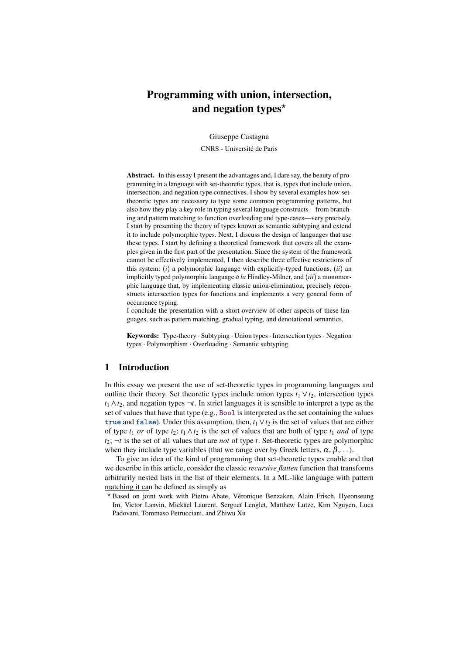# Programming with union, intersection, and negation types*?*

Giuseppe Castagna

CNRS - Universite de Paris ´

Abstract. In this essay I present the advantages and, I dare say, the beauty of programming in a language with set-theoretic types, that is, types that include union, intersection, and negation type connectives. I show by several examples how settheoretic types are necessary to type some common programming patterns, but also how they play a key role in typing several language constructs—from branching and pattern matching to function overloading and type-cases—very precisely. I start by presenting the theory of types known as semantic subtyping and extend it to include polymorphic types. Next, I discuss the design of languages that use these types. I start by defining a theoretical framework that covers all the examples given in the first part of the presentation. Since the system of the framework cannot be effectively implemented, I then describe three effective restrictions of this system: (*i*) a polymorphic language with explicitly-typed functions, (*ii*) an implicitly typed polymorphic language  $\dot{a}$  *la* Hindley-Milner, and (*iii*) a monomorphic language that, by implementing classic union-elimination, precisely reconstructs intersection types for functions and implements a very general form of occurrence typing.

I conclude the presentation with a short overview of other aspects of these languages, such as pattern matching, gradual typing, and denotational semantics.

Keywords: Type-theory · Subtyping · Union types · Intersection types · Negation types · Polymorphism · Overloading · Semantic subtyping.

# <span id="page-0-0"></span>1 Introduction

In this essay we present the use of set-theoretic types in programming languages and outline their theory. Set theoretic types include union types  $t_1 \vee t_2$ , intersection types *t*<sup>1</sup> ∧*t*2, and negation types ¬*t*. In strict languages it is sensible to interpret a type as the set of values that have that type (e.g., Bool is interpreted as the set containing the values true and false). Under this assumption, then,  $t_1 \vee t_2$  is the set of values that are either of type  $t_1$  *or* of type  $t_2$ ;  $t_1 \wedge t_2$  is the set of values that are both of type  $t_1$  *and* of type  $t_2$ ;  $\rightarrow t$  is the set of all values that are *not* of type *t*. Set-theoretic types are polymorphic when they include type variables (that we range over by Greek letters,  $\alpha$ ,  $\beta$ ,...).

To give an idea of the kind of programming that set-theoretic types enable and that we describe in this article, consider the classic *recursive flatten* function that transforms arbitrarily nested lists in the list of their elements. In a ML-like language with pattern matching it can be defined as simply as

<sup>&</sup>lt;sup>\*</sup> Based on joint work with Pietro Abate, Véronique Benzaken, Alain Frisch, Hyeonseung Im, Victor Lanvin, Mickäel Laurent, Sergueï Lenglet, Matthew Lutze, Kim Nguyen, Luca Padovani, Tommaso Petrucciani, and Zhiwu Xu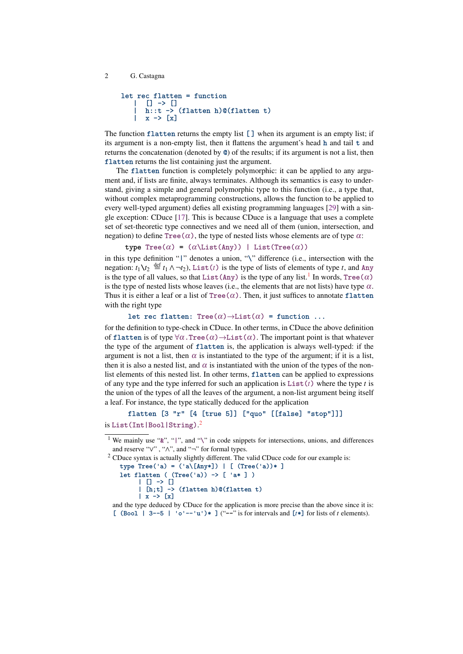```
let rec flatten = function
     | [] -> []
     | h::t \frac{1}{x} (flatten h)@(flatten t)<br>| x -> [x]
        x \rightarrow \lceil x \rceil
```
The function flatten returns the empty list  $[]$  when its argument is an empty list; if its argument is a non-empty list, then it flattens the argument's head  $h$  and tail  $t$  and returns the concatenation (denoted by @) of the results; if its argument is not a list, then flatten returns the list containing just the argument.

The flatten function is completely polymorphic: it can be applied to any argument and, if lists are finite, always terminates. Although its semantics is easy to understand, giving a simple and general polymorphic type to this function (i.e., a type that, without complex metaprogramming constructions, allows the function to be applied to every well-typed argument) defies all existing programming languages [\[29\]](#page-56-0) with a single exception: CDuce [\[17\]](#page-56-1). This is because CDuce is a language that uses a complete set of set-theoretic type connectives and we need all of them (union, intersection, and negation) to define  $Tree(\alpha)$ , the type of nested lists whose elements are of type  $\alpha$ :

```
type Tree(\alpha) = (\alpha\text{List(Any)}) | List(Tree(\alpha))
```
in this type definition "|" denotes a union, "\" difference (i.e., intersection with the negation:  $t_1 \lambda t_2 \stackrel{\text{def}}{=} t_1 \wedge \neg t_2$ , List(*t*) is the type of lists of elements of type *t*, and Any is the type of all values, so that  $List(\texttt{Any})$  is the type of any list.<sup>[1](#page-1-0)</sup> In words, Tree ( $\alpha$ ) is the type of nested lists whose leaves (i.e., the elements that are not lists) have type  $\alpha$ . Thus it is either a leaf or a list of  $Tree(\alpha)$ . Then, it just suffices to annotate flatten with the right type

```
let rec flatten: Tree(\alpha) \rightarrowList(\alpha) = function ...
```
for the definition to type-check in CDuce. In other terms, in CDuce the above definition of flatten is of type  $\forall \alpha$ . Tree $(\alpha) \rightarrow$ List $(\alpha)$ . The important point is that whatever the type of the argument of flatten is, the application is always well-typed: if the argument is not a list, then  $\alpha$  is instantiated to the type of the argument; if it is a list, then it is also a nested list, and  $\alpha$  is instantiated with the union of the types of the nonlist elements of this nested list. In other terms, flatten can be applied to expressions of any type and the type inferred for such an application is  $List(t)$  where the type *t* is the union of the types of all the leaves of the argument, a non-list argument being itself a leaf. For instance, the type statically deduced for the application

```
flatten [3 "r" [4 [true 5]] ["quo" [[false] "stop"]]]
is List(Int|Bool|String).
2
```
<span id="page-1-0"></span><sup>&</sup>lt;sup>1</sup> We mainly use " $\&$ ", "|", and "\" in code snippets for intersections, unions, and differences and reserve "∨" , "∧", and "¬" for formal types.

<span id="page-1-1"></span> $2$  CDuce syntax is actually slightly different. The valid CDuce code for our example is:

type  $Tree('a) = ('a([Any*]) | [ (Tree('a))* ]$ let flatten (  $(Tree('a))$  ->  $['a*]$  )  $|$   $\Box$   $\rightarrow$   $\Box$ | [h;t] -> (flatten h)@(flatten t)  $|x \rightarrow [x]$ 

and the type deduced by CDuce for the application is more precise than the above since it is:  $[$  (Bool | 3--5 | 'o'--'u')\* ] ("--" is for intervals and  $[t*]$  for lists of *t* elements).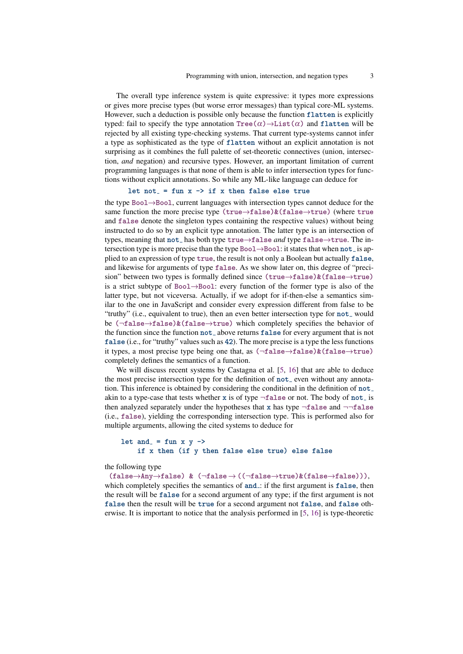The overall type inference system is quite expressive: it types more expressions or gives more precise types (but worse error messages) than typical core-ML systems. However, such a deduction is possible only because the function flatten is explicitly typed: fail to specify the type annotation  $Tree(\alpha) \rightarrow List(\alpha)$  and flatten will be rejected by all existing type-checking systems. That current type-systems cannot infer a type as sophisticated as the type of flatten without an explicit annotation is not surprising as it combines the full palette of set-theoretic connectives (union, intersection, *and* negation) and recursive types. However, an important limitation of current programming languages is that none of them is able to infer intersection types for functions without explicit annotations. So while any ML-like language can deduce for

# let not = fun  $x \rightarrow$  if x then false else true

the type Bool→Bool, current languages with intersection types cannot deduce for the same function the more precise type (true→false)&(false→true) (where true and false denote the singleton types containing the respective values) without being instructed to do so by an explicit type annotation. The latter type is an intersection of types, meaning that not has both type true→false *and* type false→true. The intersection type is more precise than the type  $Bool \rightarrow Bool$ : it states that when  $not$  is applied to an expression of type true, the result is not only a Boolean but actually false, and likewise for arguments of type false. As we show later on, this degree of "precision" between two types is formally defined since (true→false)&(false→true) is a strict subtype of Bool→Bool: every function of the former type is also of the latter type, but not viceversa. Actually, if we adopt for if-then-else a semantics similar to the one in JavaScript and consider every expression different from false to be "truthy" (i.e., equivalent to true), then an even better intersection type for not\_would be (¬false→false)&(false→true) which completely specifies the behavior of the function since the function not<sub>-</sub> above returns false for every argument that is not false (i.e., for "truthy" values such as 42). The more precise is a type the less functions it types, a most precise type being one that, as  $(\neg false \rightarrow false \rightarrow true)$ completely defines the semantics of a function.

We will discuss recent systems by Castagna et al. [\[5,](#page-55-0) [16\]](#page-55-1) that are able to deduce the most precise intersection type for the definition of not\_ even without any annotation. This inference is obtained by considering the conditional in the definition of not akin to a type-case that tests whether x is of type  $\neg$ false or not. The body of not is then analyzed separately under the hypotheses that x has type  $\neg$ false and  $\neg\neg$ false (i.e., false), yielding the corresponding intersection type. This is performed also for multiple arguments, allowing the cited systems to deduce for

#### let and = fun x  $y \rightarrow$ if x then (if y then false else true) else false

the following type

 $(false \rightarrow Any \rightarrow false)$  &  $(\neg false \rightarrow ((\neg false \rightarrow true) \& (false \rightarrow false))),$ 

which completely specifies the semantics of and : if the first argument is false, then the result will be false for a second argument of any type; if the first argument is not false then the result will be true for a second argument not false, and false otherwise. It is important to notice that the analysis performed in [\[5,](#page-55-0) [16\]](#page-55-1) is type-theoretic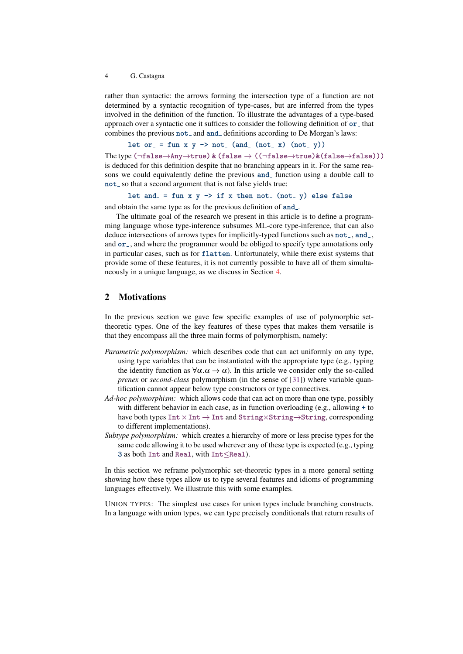rather than syntactic: the arrows forming the intersection type of a function are not determined by a syntactic recognition of type-cases, but are inferred from the types involved in the definition of the function. To illustrate the advantages of a type-based approach over a syntactic one it suffices to consider the following definition of  $\sigma$ -that combines the previous  $not$  and and definitions according to De Morgan's laws:

```
let or = fun x y \rightarrow not_{-} (and (not x) (not y))
```
The type  $(\neg false \rightarrow Any \rightarrow true)$  & (false  $\rightarrow ((\neg false \rightarrow true)$  & (false $\rightarrow false)$ )) is deduced for this definition despite that no branching appears in it. For the same reasons we could equivalently define the previous and function using a double call to not so that a second argument that is not false yields true:

let and = fun x  $y \rightarrow if x$  then not (not y) else false

and obtain the same type as for the previous definition of and .

The ultimate goal of the research we present in this article is to define a programming language whose type-inference subsumes ML-core type-inference, that can also deduce intersections of arrows types for implicitly-typed functions such as  $not_$ , and, and or –, and where the programmer would be obliged to specify type annotations only in particular cases, such as for flatten. Unfortunately, while there exist systems that provide some of these features, it is not currently possible to have all of them simultaneously in a unique language, as we discuss in Section [4.](#page-15-0)

# <span id="page-3-0"></span>2 Motivations

In the previous section we gave few specific examples of use of polymorphic settheoretic types. One of the key features of these types that makes them versatile is that they encompass all the three main forms of polymorphism, namely:

- *Parametric polymorphism:* which describes code that can act uniformly on any type, using type variables that can be instantiated with the appropriate type (e.g., typing the identity function as  $\forall \alpha \cdot \alpha \rightarrow \alpha$ ). In this article we consider only the so-called *prenex* or *second-class* polymorphism (in the sense of [\[31\]](#page-56-2)) where variable quantification cannot appear below type constructors or type connectives.
- *Ad-hoc polymorphism:* which allows code that can act on more than one type, possibly with different behavior in each case, as in function overloading (e.g., allowing + to have both types  $Int \times Int \rightarrow Int$  and  $String \times String \rightarrow String$ , corresponding to different implementations).
- *Subtype polymorphism:* which creates a hierarchy of more or less precise types for the same code allowing it to be used wherever any of these type is expected (e.g., typing 3 as both Int and Real, with Int≤Real).

In this section we reframe polymorphic set-theoretic types in a more general setting showing how these types allow us to type several features and idioms of programming languages effectively. We illustrate this with some examples.

UNION TYPES: The simplest use cases for union types include branching constructs. In a language with union types, we can type precisely conditionals that return results of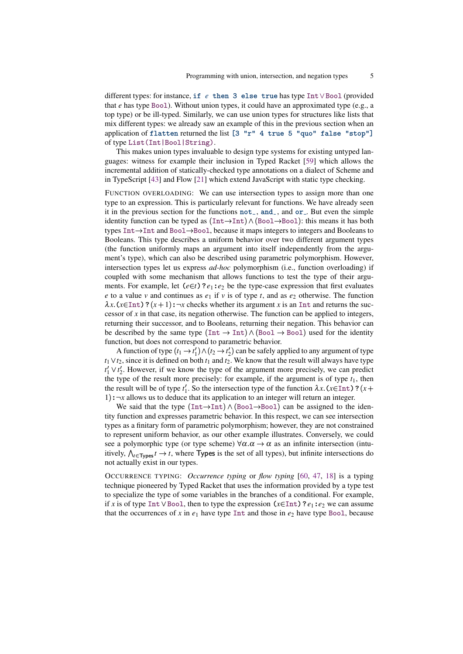different types: for instance, if *e* then 3 else true has type Int∨Bool (provided that *e* has type Bool). Without union types, it could have an approximated type (e.g., a top type) or be ill-typed. Similarly, we can use union types for structures like lists that mix different types: we already saw an example of this in the previous section when an application of flatten returned the list  $[3 "r" 4 true 5 "quo" false "stop"]$ of type List(Int|Bool|String).

This makes union types invaluable to design type systems for existing untyped languages: witness for example their inclusion in Typed Racket [\[59\]](#page-58-0) which allows the incremental addition of statically-checked type annotations on a dialect of Scheme and in TypeScript [\[43\]](#page-57-0) and Flow [\[21\]](#page-56-3) which extend JavaScript with static type checking.

FUNCTION OVERLOADING: We can use intersection types to assign more than one type to an expression. This is particularly relevant for functions. We have already seen it in the previous section for the functions  $not_$ , and  $,$  and or . But even the simple identity function can be typed as (Int→Int)∧(Bool→Bool): this means it has both types Int→Int and Bool→Bool, because it maps integers to integers and Booleans to Booleans. This type describes a uniform behavior over two different argument types (the function uniformly maps an argument into itself independently from the argument's type), which can also be described using parametric polymorphism. However, intersection types let us express *ad-hoc* polymorphism (i.e., function overloading) if coupled with some mechanism that allows functions to test the type of their arguments. For example, let  $(e \in t)$  ?  $e_1 : e_2$  be the type-case expression that first evaluates *e* to a value *v* and continues as  $e_1$  if *v* is of type *t*, and as  $e_2$  otherwise. The function  $\lambda x$ . ( $x \in$ Int)? ( $x + 1$ ): ¬*x* checks whether its argument *x* is an Int and returns the successor of *x* in that case, its negation otherwise. The function can be applied to integers, returning their successor, and to Booleans, returning their negation. This behavior can be described by the same type (Int  $\rightarrow$  Int)  $\land$  (Bool  $\rightarrow$  Bool) used for the identity function, but does not correspond to parametric behavior.

A function of type  $(t_1 \rightarrow t_1') \land (t_2 \rightarrow t_2')$  can be safely applied to any argument of type  $t_1 \vee t_2$ , since it is defined on both  $t_1$  and  $t_2$ . We know that the result will always have type  $t'_1 \vee t'_2$ . However, if we know the type of the argument more precisely, we can predict the type of the result more precisely: for example, if the argument is of type  $t_1$ , then the result will be of type  $t'_1$ . So the intersection type of the function  $\lambda x$ *.*( $x \in Int$ )?( $x +$ 1): $\neg x$  allows us to deduce that its application to an integer will return an integer.

We said that the type  $(Int \rightarrow Int) \wedge (Bool \rightarrow Bool)$  can be assigned to the identity function and expresses parametric behavior. In this respect, we can see intersection types as a finitary form of parametric polymorphism; however, they are not constrained to represent uniform behavior, as our other example illustrates. Conversely, we could see a polymorphic type (or type scheme)  $\forall \alpha \cdot \alpha \rightarrow \alpha$  as an infinite intersection (intuitively,  $\bigwedge_{t \in \text{Types}} t \to t$ , where Types is the set of all types), but infinite intersections do not actually exist in our types.

OCCURRENCE TYPING: *Occurrence typing* or *flow typing* [\[60,](#page-58-1) [47,](#page-57-1) [18\]](#page-56-4) is a typing technique pioneered by Typed Racket that uses the information provided by a type test to specialize the type of some variables in the branches of a conditional. For example, if *x* is of type Int∨Bool, then to type the expression (*x*∈Int) ?*e*<sup>1</sup> : *e*<sup>2</sup> we can assume that the occurrences of  $x$  in  $e_1$  have type Int and those in  $e_2$  have type Bool, because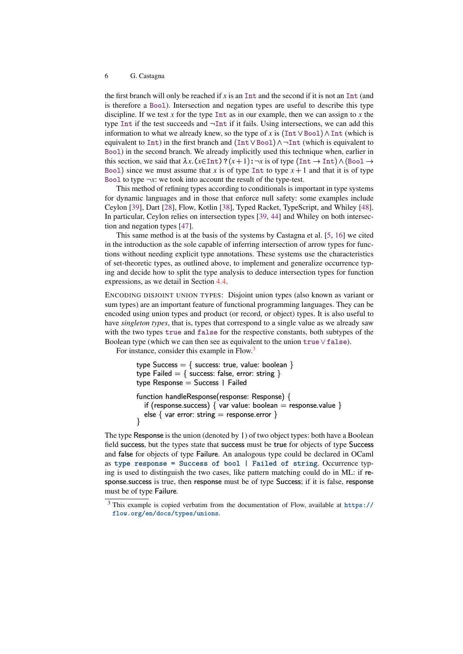the first branch will only be reached if  $x$  is an Int and the second if it is not an Int (and is therefore a Bool). Intersection and negation types are useful to describe this type discipline. If we test  $x$  for the type  $Int$  as in our example, then we can assign to  $x$  the type Int if the test succeeds and  $\neg$ Int if it fails. Using intersections, we can add this information to what we already knew, so the type of x is (Int  $\vee$ Bool)∧Int (which is equivalent to Int) in the first branch and (Int∨Bool)∧ ¬Int (which is equivalent to Bool) in the second branch. We already implicitly used this technique when, earlier in this section, we said that  $\lambda x$ *.*( $x \in \text{Int}$ )?( $x + 1$ ): $\neg x$  is of type ( $\text{Int} \rightarrow \text{Int}$ ) $\wedge$ (Bool  $\rightarrow$ Bool) since we must assume that *x* is of type Int to type  $x + 1$  and that it is of type Bool to type  $\neg x$ : we took into account the result of the type-test.

This method of refining types according to conditionals is important in type systems for dynamic languages and in those that enforce null safety: some examples include Ceylon [\[39\]](#page-57-2), Dart [\[28\]](#page-56-5), Flow, Kotlin [\[38\]](#page-57-3), Typed Racket, TypeScript, and Whiley [\[48\]](#page-57-4). In particular, Ceylon relies on intersection types [\[39,](#page-57-2) [44\]](#page-57-5) and Whiley on both intersection and negation types [\[47\]](#page-57-1).

This same method is at the basis of the systems by Castagna et al. [\[5,](#page-55-0) [16\]](#page-55-1) we cited in the introduction as the sole capable of inferring intersection of arrow types for functions without needing explicit type annotations. These systems use the characteristics of set-theoretic types, as outlined above, to implement and generalize occurrence typing and decide how to split the type analysis to deduce intersection types for function expressions, as we detail in Section [4.4.](#page-40-0)

ENCODING DISJOINT UNION TYPES: Disjoint union types (also known as variant or sum types) are an important feature of functional programming languages. They can be encoded using union types and product (or record, or object) types. It is also useful to have *singleton types*, that is, types that correspond to a single value as we already saw with the two types true and false for the respective constants, both subtypes of the Boolean type (which we can then see as equivalent to the union true∨false).

For instance, consider this example in Flow.<sup>[3](#page-5-0)</sup>

```
type Success = \{ success: true, value: boolean \}type Failed = { success: false, error: string }
type Response = Success  Failed
function handleResponse(response: Response) {
  if (response.success) { var value: boolean = response.value }
  else { var error: string = response.error }
}
```
The type Response is the union (denoted by |) of two object types: both have a Boolean field success, but the types state that success must be true for objects of type Success and false for objects of type Failure. An analogous type could be declared in OCaml as type response = Success of bool | Failed of string. Occurrence typing is used to distinguish the two cases, like pattern matching could do in ML: if response.success is true, then response must be of type Success; if it is false, response must be of type Failure.

<span id="page-5-0"></span><sup>&</sup>lt;sup>3</sup> This example is copied verbatim from the documentation of Flow, available at [https://](https://flow.org/en/docs/types/unions) [flow.org/en/docs/types/unions](https://flow.org/en/docs/types/unions).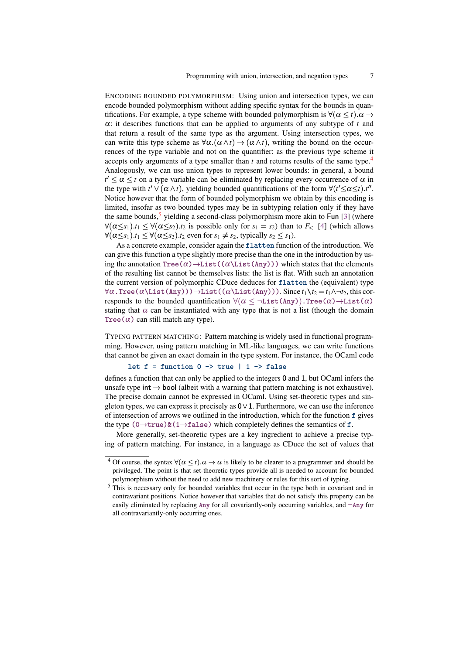ENCODING BOUNDED POLYMORPHISM: Using union and intersection types, we can encode bounded polymorphism without adding specific syntax for the bounds in quantifications. For example, a type scheme with bounded polymorphism is  $\forall (\alpha \leq t) . \alpha \rightarrow$ α: it describes functions that can be applied to arguments of any subtype of *t* and that return a result of the same type as the argument. Using intersection types, we can write this type scheme as  $\forall \alpha .(\alpha \wedge t) \rightarrow (\alpha \wedge t)$ , writing the bound on the occurrences of the type variable and not on the quantifier: as the previous type scheme it accepts only arguments of a type smaller than *t* and returns results of the same type.[4](#page-6-0) Analogously, we can use union types to represent lower bounds: in general, a bound  $t' \leq \alpha \leq t$  on a type variable can be eliminated by replacing every occurrence of  $\alpha$  in the type with  $t' \vee (\alpha \wedge t)$ , yielding bounded quantifications of the form  $\forall (t' \leq \alpha \leq t)$ .*t''*. Notice however that the form of bounded polymorphism we obtain by this encoding is limited, insofar as two bounded types may be in subtyping relation only if they have the same bounds,<sup>[5](#page-6-1)</sup> yielding a second-class polymorphism more akin to Fun [\[3\]](#page-54-0) (where  $\forall (\alpha \leq s_1) . t_1 \leq \forall (\alpha \leq s_2) . t_2$  is possible only for  $s_1 = s_2$ ) than to  $F_{\leq 1}$  (which allows  $\forall (\alpha < s_1) . t_1 < \forall (\alpha < s_2) . t_2$  even for  $s_1 \neq s_2$ , typically  $s_2 < s_1$ ).

As a concrete example, consider again the flatten function of the introduction. We can give this function a type slightly more precise than the one in the introduction by using the annotation  $Tree(\alpha) \rightarrow List((\alpha \text{List(Anv)}))$  which states that the elements of the resulting list cannot be themselves lists: the list is flat. With such an annotation the current version of polymorphic CDuce deduces for flatten the (equivalent) type  $\forall \alpha \text{.Tree}(\alpha \text{List(Any)})) \rightarrow \text{List}((\alpha \text{List(Any)})).$  Since  $t_1 \backslash t_2 = t_1 \wedge \neg t_2$ , this corresponds to the bounded quantification  $\forall (\alpha \leq \neg List(\text{Any}))$ . Tree $(\alpha) \rightarrow List(\alpha)$ stating that  $\alpha$  can be instantiated with any type that is not a list (though the domain Tree( $\alpha$ ) can still match any type).

TYPING PATTERN MATCHING: Pattern matching is widely used in functional programming. However, using pattern matching in ML-like languages, we can write functions that cannot be given an exact domain in the type system. For instance, the OCaml code

## let  $f = function 0 \rightarrow true 1 \rightarrow false$

defines a function that can only be applied to the integers 0 and 1, but OCaml infers the unsafe type int  $\rightarrow$  bool (albeit with a warning that pattern matching is not exhaustive). The precise domain cannot be expressed in OCaml. Using set-theoretic types and singleton types, we can express it precisely as 0∨1. Furthermore, we can use the inference of intersection of arrows we outlined in the introduction, which for the function f gives the type  $(0 \rightarrow true)$   $\& (1 \rightarrow false)$  which completely defines the semantics of f.

More generally, set-theoretic types are a key ingredient to achieve a precise typing of pattern matching. For instance, in a language as CDuce the set of values that

<span id="page-6-0"></span><sup>&</sup>lt;sup>4</sup> Of course, the syntax  $\forall (\alpha \leq t) . \alpha \rightarrow \alpha$  is likely to be clearer to a programmer and should be privileged. The point is that set-theoretic types provide all is needed to account for bounded polymorphism without the need to add new machinery or rules for this sort of typing.

<span id="page-6-1"></span><sup>&</sup>lt;sup>5</sup> This is necessary only for bounded variables that occur in the type both in covariant and in contravariant positions. Notice however that variables that do not satisfy this property can be easily eliminated by replacing Any for all covariantly-only occurring variables, and  $\neg$ Any for all contravariantly-only occurring ones.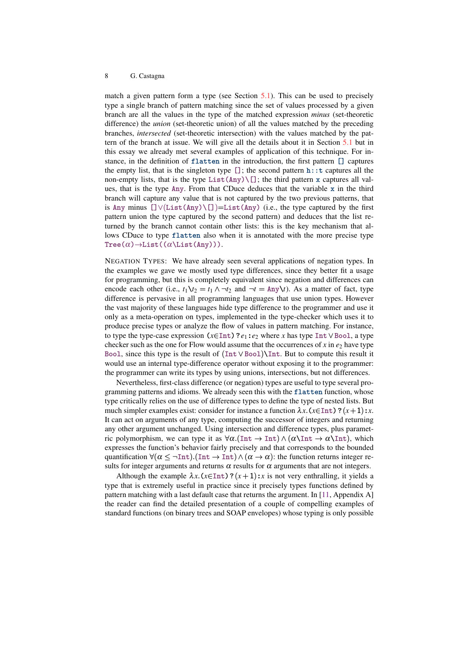match a given pattern form a type (see Section [5.1\)](#page-46-0). This can be used to precisely type a single branch of pattern matching since the set of values processed by a given branch are all the values in the type of the matched expression *minus* (set-theoretic difference) the *union* (set-theoretic union) of all the values matched by the preceding branches, *intersected* (set-theoretic intersection) with the values matched by the pattern of the branch at issue. We will give all the details about it in Section [5.1](#page-46-0) but in this essay we already met several examples of application of this technique. For instance, in the definition of flatten in the introduction, the first pattern [] captures the empty list, that is the singleton type  $[]$ ; the second pattern h:: t captures all the non-empty lists, that is the type  $List(\text{Any})\setminus[]$ ; the third pattern x captures all values, that is the type Any. From that CDuce deduces that the variable  $x$  in the third branch will capture any value that is not captured by the two previous patterns, that is Any minus []∨(List(Any)\[])=List(Any) (i.e., the type captured by the first pattern union the type captured by the second pattern) and deduces that the list returned by the branch cannot contain other lists: this is the key mechanism that allows CDuce to type flatten also when it is annotated with the more precise type  $Tree(\alpha) \rightarrow List((\alpha \text{List(Any)})).$ 

NEGATION TYPES: We have already seen several applications of negation types. In the examples we gave we mostly used type differences, since they better fit a usage for programming, but this is completely equivalent since negation and differences can encode each other (i.e.,  $t_1\lambda t_2 = t_1 \wedge \neg t_2$  and  $\neg t = \text{Any}\lambda t$ ). As a matter of fact, type difference is pervasive in all programming languages that use union types. However the vast majority of these languages hide type difference to the programmer and use it only as a meta-operation on types, implemented in the type-checker which uses it to produce precise types or analyze the flow of values in pattern matching. For instance, to type the type-case expression (*x*∈Int) ?*e*<sup>1</sup> : *e*<sup>2</sup> where *x* has type Int∨Bool, a type checker such as the one for Flow would assume that the occurrences of  $x$  in  $e_2$  have type Bool, since this type is the result of (Int∨Bool)\Int. But to compute this result it would use an internal type-difference operator without exposing it to the programmer: the programmer can write its types by using unions, intersections, but not differences.

Nevertheless, first-class difference (or negation) types are useful to type several programming patterns and idioms. We already seen this with the flatten function, whose type critically relies on the use of difference types to define the type of nested lists. But much simpler examples exist: consider for instance a function  $\lambda x$ *.*( $x \in Int$ )?( $x + 1$ ): *x*. It can act on arguments of any type, computing the successor of integers and returning any other argument unchanged. Using intersection and difference types, plus parametric polymorphism, we can type it as  $\forall \alpha$ .(Int  $\rightarrow$  Int)  $\land$  ( $\alpha$ )Int  $\rightarrow$   $\alpha$ )Int), which expresses the function's behavior fairly precisely and that corresponds to the bounded quantification  $\forall (\alpha \leq \neg \text{Int})$ .(Int  $\rightarrow$  Int)  $\land (\alpha \rightarrow \alpha)$ : the function returns integer results for integer arguments and returns  $\alpha$  results for  $\alpha$  arguments that are not integers.

Although the example  $\lambda x$ . ( $x \in Int$ ) ? ( $x + 1$ ): *x* is not very enthralling, it yields a type that is extremely useful in practice since it precisely types functions defined by pattern matching with a last default case that returns the argument. In [\[11,](#page-55-3) Appendix A] the reader can find the detailed presentation of a couple of compelling examples of standard functions (on binary trees and SOAP envelopes) whose typing is only possible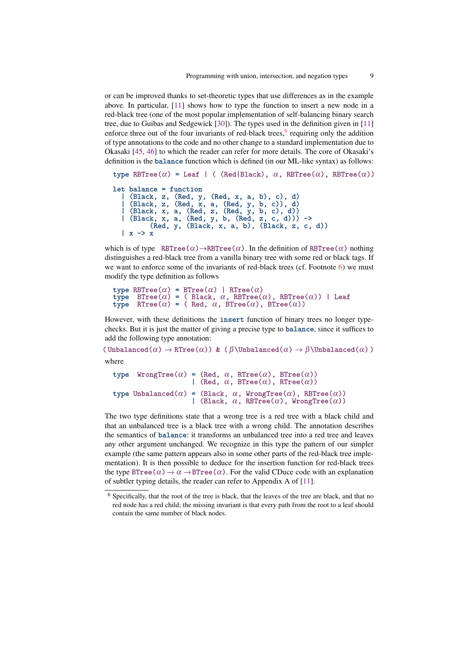or can be improved thanks to set-theoretic types that use differences as in the example above. In particular, [\[11\]](#page-55-3) shows how to type the function to insert a new node in a red-black tree (one of the most popular implementation of self-balancing binary search tree, due to Guibas and Sedgewick [\[30\]](#page-56-6)). The types used in the definition given in [\[11\]](#page-55-3) enforce three out of the four invariants of red-black trees, <sup>[6](#page-8-0)</sup> requiring only the addition of type annotations to the code and no other change to a standard implementation due to Okasaki [\[45,](#page-57-6) [46\]](#page-57-7) to which the reader can refer for more details. The core of Okasaki's definition is the balance function which is defined (in our ML-like syntax) as follows:

```
type RBTree(\alpha) = Leaf | ( (Red|Black), \alpha, RBTree(\alpha), RBTree(\alpha))
let balance = function
  | (Black, z, (Red, y, (Red, x, a, b), c), d)
  | (Black, z, (Red, x, a, (Red, y, b, c)), d)
  | (Black, x, a, (Red, z, (Red, y, b, c), d))
  | (Black, x, a, (Red, y, b, (Red, z, c, d))) ->
          (Red, y, (Black, x, a, b), (Black, z, c, d))
  | x \rightarrow x
```
which is of type RBTree( $\alpha$ )  $\rightarrow$ RBTree( $\alpha$ ). In the definition of RBTree( $\alpha$ ) nothing distinguishes a red-black tree from a vanilla binary tree with some red or black tags. If we want to enforce some of the invariants of red-black trees (cf. Footnote  $6$ ) we must modify the type definition as follows

```
type RBTree(\alpha) = BTree(\alpha) | RTree(\alpha)
type BTree(\alpha) = ( Black, \alpha, RBTree(\alpha), RBTree(\alpha)) | Leaf
type RTree(\alpha) = (Red, \alpha, BTree(\alpha), BTree(\alpha))
```
However, with these definitions the insert function of binary trees no longer typechecks. But it is just the matter of giving a precise type to balance, since it suffices to add the following type annotation:

( Unbalanced( $\alpha$ ) → RTree( $\alpha$ ) ) & (  $\beta\$  Unbalanced( $\alpha$ ) →  $\beta\$  Unbalanced( $\alpha$ ) ) where

```
type WrongTree(\alpha) = (Red, \alpha, RTree(\alpha), BTree(\alpha))
                          | (Red, \alpha, BTree(\alpha), RTree(\alpha))
type Unbalanced(\alpha) = (Black, \alpha, WrongTree(\alpha), RBTree(\alpha))
                          | (Black, \alpha, RBTree(\alpha), WrongTree(\alpha))
```
The two type definitions state that a wrong tree is a red tree with a black child and that an unbalanced tree is a black tree with a wrong child. The annotation describes the semantics of balance: it transforms an unbalanced tree into a red tree and leaves any other argument unchanged. We recognize in this type the pattern of our simpler example (the same pattern appears also in some other parts of the red-black tree implementation). It is then possible to deduce for the insertion function for red-black trees the type BTree( $\alpha$ )  $\rightarrow \alpha \rightarrow$ BTree( $\alpha$ ). For the valid CDuce code with an explanation of subtler typing details, the reader can refer to Appendix A of [\[11\]](#page-55-3).

<span id="page-8-0"></span><sup>6</sup> Specifically, that the root of the tree is black, that the leaves of the tree are black, and that no red node has a red child; the missing invariant is that every path from the root to a leaf should contain the same number of black nodes.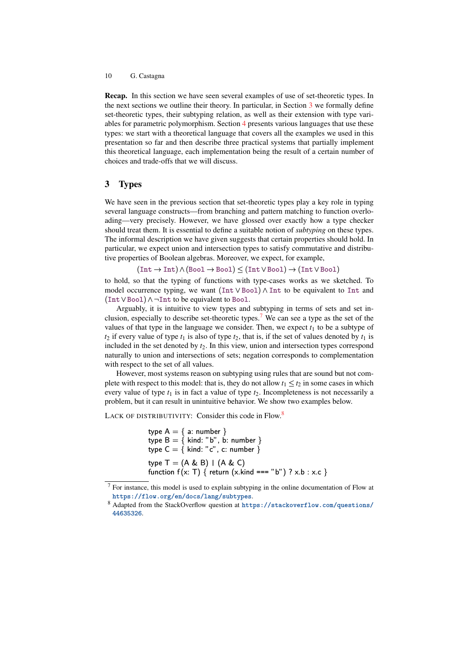Recap. In this section we have seen several examples of use of set-theoretic types. In the next sections we outline their theory. In particular, in Section [3](#page-9-0) we formally define set-theoretic types, their subtyping relation, as well as their extension with type variables for parametric polymorphism. Section [4](#page-15-0) presents various languages that use these types: we start with a theoretical language that covers all the examples we used in this presentation so far and then describe three practical systems that partially implement this theoretical language, each implementation being the result of a certain number of choices and trade-offs that we will discuss.

# <span id="page-9-0"></span>3 Types

We have seen in the previous section that set-theoretic types play a key role in typing several language constructs—from branching and pattern matching to function overloading—very precisely. However, we have glossed over exactly how a type checker should treat them. It is essential to define a suitable notion of *subtyping* on these types. The informal description we have given suggests that certain properties should hold. In particular, we expect union and intersection types to satisfy commutative and distributive properties of Boolean algebras. Moreover, we expect, for example,

 $(Int \t\rightarrow Int) \wedge (Bool \t\rightarrow Bool) \leq (Int \vee Bool) \rightarrow (Int \vee Bool)$ 

to hold, so that the typing of functions with type-cases works as we sketched. To model occurrence typing, we want (Int ∨ Bool) ∧ Int to be equivalent to Int and (Int∨Bool)∧ ¬Int to be equivalent to Bool.

Arguably, it is intuitive to view types and subtyping in terms of sets and set in-clusion, especially to describe set-theoretic types.<sup>[7](#page-9-1)</sup> We can see a type as the set of the values of that type in the language we consider. Then, we expect  $t_1$  to be a subtype of  $t_2$  if every value of type  $t_1$  is also of type  $t_2$ , that is, if the set of values denoted by  $t_1$  is included in the set denoted by  $t_2$ . In this view, union and intersection types correspond naturally to union and intersections of sets; negation corresponds to complementation with respect to the set of all values.

However, most systems reason on subtyping using rules that are sound but not complete with respect to this model: that is, they do not allow  $t_1 \leq t_2$  in some cases in which every value of type  $t_1$  is in fact a value of type  $t_2$ . Incompleteness is not necessarily a problem, but it can result in unintuitive behavior. We show two examples below.

LACK OF DISTRIBUTIVITY: Consider this code in Flow.<sup>[8](#page-9-2)</sup>

type  $A = \{ a: number \}$ type  $B = \{$  kind: "b", b: number  $\}$ type  $C = \{$  kind: "c", c: number  $\}$ type  $T = (A \& B) (A \& C)$ function  $f(x: T)$  { return  $(x.kind == "b")$  ? x.b : x.c }

<span id="page-9-1"></span><sup>7</sup> For instance, this model is used to explain subtyping in the online documentation of Flow at <https://flow.org/en/docs/lang/subtypes>.

<span id="page-9-2"></span><sup>8</sup> Adapted from the StackOverflow question at [https://stackoverflow.com/questions/](https://stackoverflow.com/questions/44635326) [44635326](https://stackoverflow.com/questions/44635326).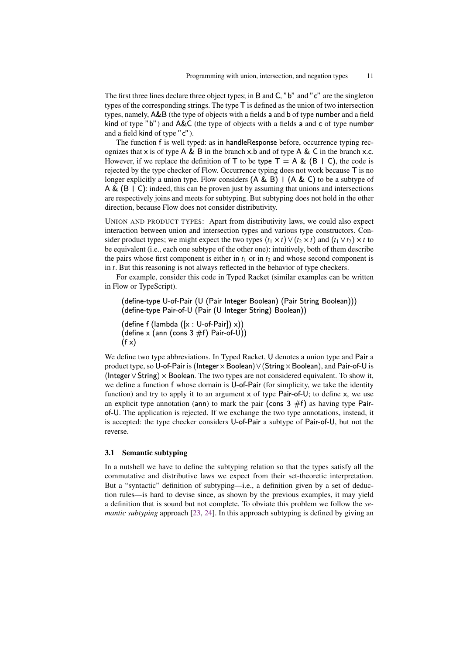The first three lines declare three object types; in B and C, "b" and "c" are the singleton types of the corresponding strings. The type  $\mathsf T$  is defined as the union of two intersection types, namely, A&B (the type of objects with a fields a and b of type number and a field kind of type "b") and  $A\&C$  (the type of objects with a fields a and c of type number and a field kind of type "c").

The function f is well typed: as in handleResponse before, occurrence typing recognizes that  $x$  is of type  $A \& B$  in the branch  $x.b$  and of type  $A \& C$  in the branch  $x.c$ . However, if we replace the definition of T to be type  $T = A \& (B \mid C)$ , the code is rejected by the type checker of Flow. Occurrence typing does not work because  $\mathsf{T}$  is no longer explicitly a union type. Flow considers  $(A \& B)$  |  $(A \& C)$  to be a subtype of A &  $(B \mid C)$ : indeed, this can be proven just by assuming that unions and intersections are respectively joins and meets for subtyping. But subtyping does not hold in the other direction, because Flow does not consider distributivity.

UNION AND PRODUCT TYPES: Apart from distributivity laws, we could also expect interaction between union and intersection types and various type constructors. Consider product types; we might expect the two types  $(t_1 \times t) \vee (t_2 \times t)$  and  $(t_1 \vee t_2) \times t$  to be equivalent (i.e., each one subtype of the other one): intuitively, both of them describe the pairs whose first component is either in  $t_1$  or in  $t_2$  and whose second component is in *t*. But this reasoning is not always reflected in the behavior of type checkers.

For example, consider this code in Typed Racket (similar examples can be written in Flow or TypeScript).

```
(define-type U-of-Pair (U (Pair Integer Boolean) (Pair String Boolean)))
(define-type Pair-of-U (Pair (U Integer String) Boolean))
(define f (lambda ([x : U-of-Pair]) \times))
(define x (ann (cons 3 \#f) Pair-of-U))
(f \times)
```
We define two type abbreviations. In Typed Racket, U denotes a union type and Pair a product type, so U-of-Pair is (Integer×Boolean)∨(String×Boolean), and Pair-of-U is (Integer∨String)×Boolean. The two types are not considered equivalent. To show it, we define a function f whose domain is U-of-Pair (for simplicity, we take the identity function) and try to apply it to an argument  $x$  of type Pair-of-U; to define  $x$ , we use an explicit type annotation (ann) to mark the pair (cons  $3 \# f$ ) as having type Pairof-U. The application is rejected. If we exchange the two type annotations, instead, it is accepted: the type checker considers U-of-Pair a subtype of Pair-of-U, but not the reverse.

#### <span id="page-10-0"></span>3.1 Semantic subtyping

In a nutshell we have to define the subtyping relation so that the types satisfy all the commutative and distributive laws we expect from their set-theoretic interpretation. But a "syntactic" definition of subtyping—i.e., a definition given by a set of deduction rules—is hard to devise since, as shown by the previous examples, it may yield a definition that is sound but not complete. To obviate this problem we follow the *semantic subtyping* approach [\[23,](#page-56-7) [24\]](#page-56-8). In this approach subtyping is defined by giving an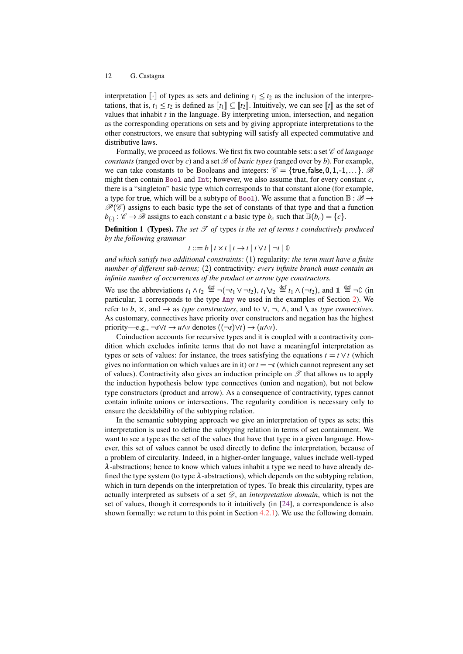interpretation  $\llbracket \cdot \rrbracket$  of types as sets and defining  $t_1 \le t_2$  as the inclusion of the interpretations, that is,  $t_1 \le t_2$  is defined as  $\llbracket t_1 \rrbracket \subseteq \llbracket t_2 \rrbracket$ . Intuitively, we can see  $\llbracket t \rrbracket$  as the set of values that inhabit *t* in the language. By interpreting union, intersection, and negation as the corresponding operations on sets and by giving appropriate interpretations to the other constructors, we ensure that subtyping will satisfy all expected commutative and distributive laws.

Formally, we proceed as follows. We first fix two countable sets: a set  $\mathscr C$  of *language constants* (ranged over by *c*) and a set  $\mathcal{B}$  of *basic types* (ranged over by *b*). For example, we can take constants to be Booleans and integers:  $\mathcal{C} = \{true, false, 0, 1, -1, ...\}$ .  $\mathcal{B}$ might then contain Bool and Int; however, we also assume that, for every constant *c*, there is a "singleton" basic type which corresponds to that constant alone (for example, a type for true, which will be a subtype of Boo1). We assume that a function  $\mathbb{B} : \mathscr{B} \to$  $\mathcal{P}(\mathscr{C})$  assigns to each basic type the set of constants of that type and that a function  $b_{\left(\cdot\right)}$ :  $\mathscr{C} \to \mathscr{B}$  assigns to each constant *c* a basic type  $b_c$  such that  $\mathbb{B}(b_c) = \{c\}$ .

<span id="page-11-1"></span>**Definition 1 (Types).** The set  $\mathscr T$  of types is the set of terms t coinductively produced *by the following grammar*

$$
t ::= b \mid t \times t \mid t \to t \mid t \vee t \mid \neg t \mid \emptyset
$$

*and which satisfy two additional constraints:* (1) regularity*: the term must have a finite number of different sub-terms;* (2) contractivity*: every infinite branch must contain an infinite number of occurrences of the product or arrow type constructors.*

We use the abbreviations  $t_1 \wedge t_2 \stackrel{\text{def}}{=} \neg(\neg t_1 \vee \neg t_2), t_1 \vee t_2 \stackrel{\text{def}}{=} t_1 \wedge (\neg t_2), \text{ and } 1 \stackrel{\text{def}}{=} \neg 0 \text{ (in } \mathbb{C})$ particular, **1** corresponds to the type Any we used in the examples of Section [2\)](#page-3-0). We refer to *b*,  $\times$ , and  $\rightarrow$  as *type constructors*, and to  $\vee$ ,  $\neg$ ,  $\wedge$ , and  $\wedge$  as *type connectives*. As customary, connectives have priority over constructors and negation has the highest priority—e.g.,  $\neg s \lor t \rightarrow u \land v$  denotes  $((\neg s) \lor t) \rightarrow (u \land v)$ .

Coinduction accounts for recursive types and it is coupled with a contractivity condition which excludes infinite terms that do not have a meaningful interpretation as types or sets of values: for instance, the trees satisfying the equations  $t = t \vee t$  (which gives no information on which values are in it) or  $t = \neg t$  (which cannot represent any set of values). Contractivity also gives an induction principle on  $\mathscr T$  that allows us to apply the induction hypothesis below type connectives (union and negation), but not below type constructors (product and arrow). As a consequence of contractivity, types cannot contain infinite unions or intersections. The regularity condition is necessary only to ensure the decidability of the subtyping relation.

<span id="page-11-0"></span>In the semantic subtyping approach we give an interpretation of types as sets; this interpretation is used to define the subtyping relation in terms of set containment. We want to see a type as the set of the values that have that type in a given language. However, this set of values cannot be used directly to define the interpretation, because of a problem of circularity. Indeed, in a higher-order language, values include well-typed λ-abstractions; hence to know which values inhabit a type we need to have already defined the type system (to type  $\lambda$ -abstractions), which depends on the subtyping relation, which in turn depends on the interpretation of types. To break this circularity, types are actually interpreted as subsets of a set  $\mathscr{D}$ , an *interpretation domain*, which is not the set of values, though it corresponds to it intuitively (in [\[24\]](#page-56-8), a correspondence is also shown formally: we return to this point in Section  $4.2.1$ ). We use the following domain.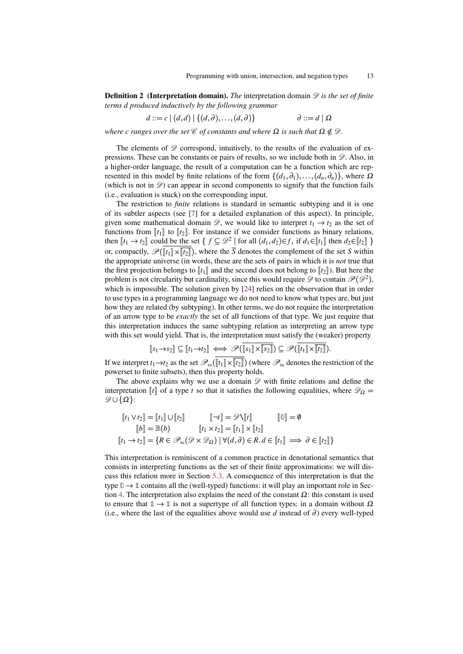**Definition 2** (Interpretation domain). *The* interpretation domain  $\mathscr{D}$  *is the set of finite terms d produced inductively by the following grammar*

$$
d ::= c \mid (d,d) \mid \{(d,\partial), \ldots, (d,\partial)\}\qquad \qquad \partial ::= d \mid \Omega
$$

*where c ranges over the set* C *of constants and where*  $\Omega$  *is such that*  $\Omega \notin \mathcal{D}$ *.* 

The elements of  $\mathscr D$  correspond, intuitively, to the results of the evaluation of expressions. These can be constants or pairs of results, so we include both in  $\mathscr{D}$ . Also, in a higher-order language, the result of a computation can be a function which are represented in this model by finite relations of the form  $\{(d_1, \partial_1), \ldots, (d_n, \partial_n)\}\)$ , where  $\Omega$ (which is not in  $\mathscr{D}$ ) can appear in second components to signify that the function fails (i.e., evaluation is stuck) on the corresponding input.

The restriction to *finite* relations is standard in semantic subtyping and it is one of its subtler aspects (see [\[7\]](#page-55-4) for a detailed explanation of this aspect). In principle, given some mathematical domain  $\mathscr{D}$ , we would like to interpret  $t_1 \rightarrow t_2$  as the set of functions from  $\llbracket t_1 \rrbracket$  to  $\llbracket t_2 \rrbracket$ . For instance if we consider functions as binary relations, then  $[I_1 \rightarrow t_2]$  could be the set  $\{ f \subseteq \mathcal{D}^2 \mid \text{for all } (d_1, d_2) \in f, \text{ if } d_1 \in [t_1] \text{ then } d_2 \in [t_2] \}$ or, compactly,  $\mathscr{P}(\llbracket t_1 \rrbracket \times \llbracket t_2 \rrbracket)$ , where the  $\overline{S}$  denotes the complement of the set *S* within the appropriate universe (in words, these are the sets of pairs in which it is *not* true that the first projection belongs to  $\llbracket t_1 \rrbracket$  and the second does not belong to  $\llbracket t_2 \rrbracket$ ). But here the problem is not circularity but cardinality, since this would require  $\mathscr{D}$  to contain  $\mathscr{P}(\mathscr{D}^2),$ which is impossible. The solution given by [\[24\]](#page-56-8) relies on the observation that in order to use types in a programming language we do not need to know what types are, but just how they are related (by subtyping). In other terms, we do not require the interpretation of an arrow type to be *exactly* the set of all functions of that type. We just require that this interpretation induces the same subtyping relation as interpreting an arrow type with this set would yield. That is, the interpretation must satisfy the (weaker) property

$$
[\![s_1\!\!\rightarrow\!\! s_2]\!] \subseteq [\![t_1\!\!\rightarrow\!\! t_2]\!] \iff \mathscr{P}(\overline{[\![s_1]\!] \times \overline{[\![s_2]\!]}}) \subseteq \mathscr{P}(\overline{[\![t_1]\!] \times \overline{[\![t_2]\!]}}).
$$

If we interpret  $t_1 \rightarrow t_2$  as the set  $\mathscr{P}_{\text{fin}}(\llbracket t_1 \rrbracket \times \overline{\llbracket t_2 \rrbracket})$  (where  $\mathscr{P}_{\text{fin}}$  denotes the restriction of the powerset to finite subsets), then this property holds.

The above explains why we use a domain  $\mathscr D$  with finite relations and define the interpretation  $\llbracket t \rrbracket$  of a type *t* so that it satisfies the following equalities, where  $\mathscr{D}_{\Omega}$  =  $\mathscr{D} \cup$ {Ω}:

$$
\begin{aligned}\n[\![t_1 \vee t_2]\!] &= [\![t_1]\!] \cup [\![t_2]\!] & [\![\neg t]\!] &= \mathscr{D} \setminus [\![t]\!] & [\![0]\!] &= \emptyset \\
[\![b]\!] &= \mathbb{B}(b) & [\![t_1 \times t_2]\!] &= [\![t_1]\!] \times [\![t_2]\!] \\
[\![t_1 \to t_2]\!] &= \{R \in \mathscr{P}_{\text{fin}}(\mathscr{D} \times \mathscr{D}_{\Omega}) \mid \forall (d, \partial) \in R. d \in [\![t_1]\!] \implies \partial \in [\![t_2]\!] \}\n\end{aligned}
$$

This interpretation is reminiscent of a common practice in denotational semantics that consists in interpreting functions as the set of their finite approximations: we will discuss this relation more in Section [5.3.](#page-52-0) A consequence of this interpretation is that the type  $\mathbb{0} \to \mathbb{1}$  contains all the (well-typed) functions: it will play an important role in Sec-tion [4.](#page-15-0) The interpretation also explains the need of the constant  $\Omega$ : this constant is used to ensure that  $1 \rightarrow 1$  is not a supertype of all function types: in a domain without  $\Omega$ (i.e., where the last of the equalities above would use  $d$  instead of  $\partial$ ) every well-typed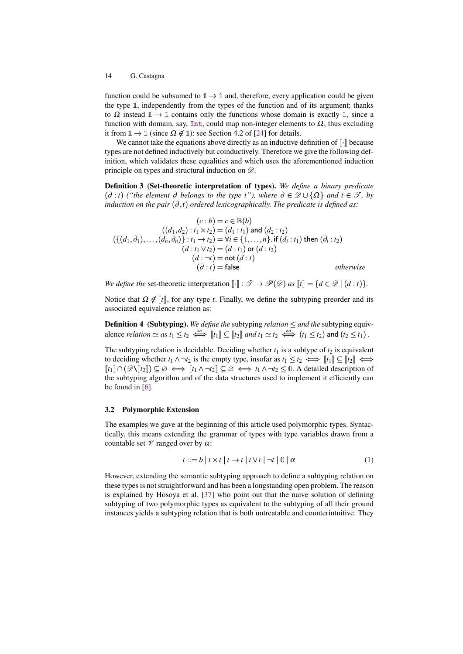function could be subsumed to  $1 \rightarrow 1$  and, therefore, every application could be given the type **1**, independently from the types of the function and of its argument; thanks to  $\Omega$  instead  $\mathbb{1} \to \mathbb{1}$  contains only the functions whose domain is exactly  $\mathbb{1}$ , since a function with domain, say, Int, could map non-integer elements to  $\Omega$ , thus excluding it from  $\mathbb{1} \rightarrow \mathbb{1}$  (since  $\Omega \notin \mathbb{1}$ ): see Section 4.2 of [\[24\]](#page-56-8) for details.

We cannot take the equations above directly as an inductive definition of  $\lbrack \cdot \rbrack$  because types are not defined inductively but coinductively. Therefore we give the following definition, which validates these equalities and which uses the aforementioned induction principle on types and structural induction on  $\mathscr{D}$ .

<span id="page-13-0"></span>Definition 3 (Set-theoretic interpretation of types). *We define a binary predicate*  $(\partial : t)$  *("the element*  $\partial$  *belongs to the type t"), where*  $\partial \in \mathcal{D} \cup {\Omega}$  *and*  $t \in \mathcal{T}$ *, by induction on the pair*  $(\partial, t)$  *ordered lexicographically. The predicate is defined as:* 

$$
(c:b) = c \in \mathbb{B}(b)
$$
  
\n
$$
((d_1,d_2):t_1 \times t_2) = (d_1:t_1) \text{ and } (d_2:t_2)
$$
  
\n
$$
(\{(d_1,\partial_1),\ldots,(d_n,\partial_n)\}:t_1 \to t_2) = \forall i \in \{1,\ldots,n\}.\text{ if } (d_i:t_1) \text{ then } (\partial_i:t_2)
$$
  
\n
$$
(d:t_1 \lor t_2) = (d:t_1) \text{ or } (d:t_2)
$$
  
\n
$$
(d:-\tau) = \text{not } (d:t)
$$
  
\n
$$
(\partial:t) = \text{false}
$$
 otherwise

*We define the* set-theoretic interpretation  $\llbracket \cdot \rrbracket$  :  $\mathcal{T} \to \mathcal{P}(\mathcal{D})$  *as*  $\llbracket t \rrbracket = \{ d \in \mathcal{D} \mid (d : t) \}.$ 

Notice that  $\Omega \notin [t]$ , for any type *t*. Finally, we define the subtyping preorder and its associated equivalence relation as:

<span id="page-13-1"></span>**Definition 4 (Subtyping).** We define the subtyping relation ≤ and the subtyping equivalence *relation*  $\simeq$  *as*  $t_1 \leq t_2 \iff [t_1] \subseteq [t_2]$  *and*  $t_1 \simeq t_2 \iff (t_1 \leq t_2)$  and  $(t_2 \leq t_1)$ .

The subtyping relation is decidable. Deciding whether  $t_1$  is a subtype of  $t_2$  is equivalent to deciding whether  $t_1 \wedge \neg t_2$  is the empty type, insofar as  $t_1 \leq t_2 \iff ||t_1|| \subseteq ||t_2|| \iff$  $\llbracket t_1 \rrbracket \cap (\mathscr{D}\setminus \llbracket t_2 \rrbracket) \subseteq \varnothing \iff \llbracket t_1 \wedge \neg t_2 \rrbracket \subseteq \varnothing \iff t_1 \wedge \neg t_2 \leq \varnothing$ . A detailed description of the subtyping algorithm and of the data structures used to implement it efficiently can be found in [\[6\]](#page-55-5).

#### <span id="page-13-2"></span>3.2 Polymorphic Extension

The examples we gave at the beginning of this article used polymorphic types. Syntactically, this means extending the grammar of types with type variables drawn from a countable set  $\mathcal V$  ranged over by  $\alpha$ :

<span id="page-13-3"></span>
$$
t ::= b | t \times t | t \rightarrow t | t \vee t | \neg t | 0 | \alpha
$$
 (1)

However, extending the semantic subtyping approach to define a subtyping relation on these types is not straightforward and has been a longstanding open problem. The reason is explained by Hosoya et al. [\[37\]](#page-57-8) who point out that the naive solution of defining subtyping of two polymorphic types as equivalent to the subtyping of all their ground instances yields a subtyping relation that is both untreatable and counterintuitive. They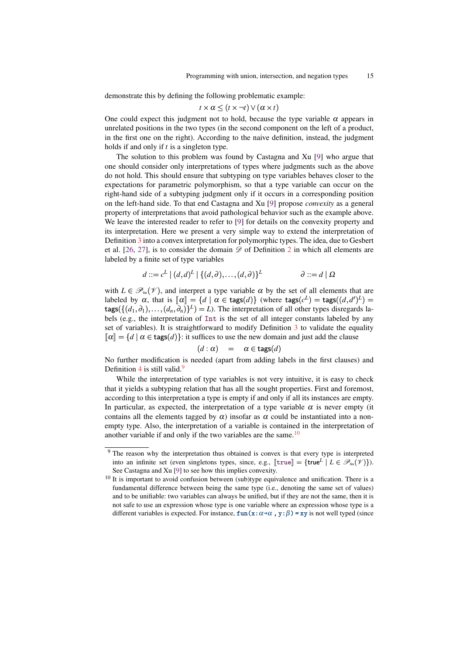demonstrate this by defining the following problematic example:

$$
t \times \alpha \le (t \times \neg t) \vee (\alpha \times t)
$$

One could expect this judgment not to hold, because the type variable  $\alpha$  appears in unrelated positions in the two types (in the second component on the left of a product, in the first one on the right). According to the naive definition, instead, the judgment holds if and only if *t* is a singleton type.

The solution to this problem was found by Castagna and Xu [\[9\]](#page-55-6) who argue that one should consider only interpretations of types where judgments such as the above do not hold. This should ensure that subtyping on type variables behaves closer to the expectations for parametric polymorphism, so that a type variable can occur on the right-hand side of a subtyping judgment only if it occurs in a corresponding position on the left-hand side. To that end Castagna and Xu [\[9\]](#page-55-6) propose *convexity* as a general property of interpretations that avoid pathological behavior such as the example above. We leave the interested reader to refer to [\[9\]](#page-55-6) for details on the convexity property and its interpretation. Here we present a very simple way to extend the interpretation of Definition [3](#page-13-0) into a convex interpretation for polymorphic types. The idea, due to Gesbert et al. [\[26,](#page-56-9) [27\]](#page-56-10), is to consider the domain  $\mathscr D$  of Definition [2](#page-11-0) in which all elements are labeled by a finite set of type variables

$$
d ::= cL | (d,d)L | \{ (d,\partial),..., (d,\partial) \}L \qquad \qquad \partial ::= d | \Omega
$$

with  $L \in \mathscr{P}_{\text{fin}}(\mathscr{V})$ , and interpret a type variable  $\alpha$  by the set of all elements that are labeled by  $\alpha$ , that is  $[\![\alpha]\!] = \{d \mid \alpha \in \text{tags}(d)\}$  (where  $\text{tags}(c^L) = \text{tags}((d, d')^L) = \text{Loss}(f(d, \lambda))$  (*d*,  $\lambda$ ))  $L$ ) = *L*). The interpretation of all other types disregards la  $\text{tags}(\{(d_1, \partial_1), \ldots, (d_n, \partial_n)\}^L) = L$ ). The interpretation of all other types disregards labels (e.g., the interpretation of Int is the set of all integer constants labeled by any set of variables). It is straightforward to modify Definition [3](#page-13-0) to validate the equality  $\llbracket \alpha \rrbracket = \{d \mid \alpha \in \text{tags}(d)\}$ : it suffices to use the new domain and just add the clause

$$
(d : \alpha) = \alpha \in \mathsf{tags}(d)
$$

No further modification is needed (apart from adding labels in the first clauses) and Definition [4](#page-13-1) is still valid. $9$ 

While the interpretation of type variables is not very intuitive, it is easy to check that it yields a subtyping relation that has all the sought properties. First and foremost, according to this interpretation a type is empty if and only if all its instances are empty. In particular, as expected, the interpretation of a type variable  $\alpha$  is never empty (it contains all the elements tagged by  $\alpha$ ) insofar as  $\alpha$  could be instantiated into a nonempty type. Also, the interpretation of a variable is contained in the interpretation of another variable if and only if the two variables are the same. $10$ 

<span id="page-14-0"></span><sup>&</sup>lt;sup>9</sup> The reason why the interpretation thus obtained is convex is that every type is interpreted into an infinite set (even singletons types, since, e.g.,  $[\text{true}] = {\text{true}^L \mid L \in \mathcal{P}_{fin}(\mathcal{V})}$ ).<br>See Cestagre and X<sub>1</sub> [0] to see how this implies convexity. See Castagna and Xu [\[9\]](#page-55-6) to see how this implies convexity.

<span id="page-14-1"></span><sup>&</sup>lt;sup>10</sup> It is important to avoid confusion between (sub)type equivalence and unification. There is a fundamental difference between being the same type (i.e., denoting the same set of values) and to be unifiable: two variables can always be unified, but if they are not the same, then it is not safe to use an expression whose type is one variable where an expression whose type is a different variables is expected. For instance,  $fun(x: \alpha \rightarrow \alpha, y: \beta) = xy$  is not well typed (since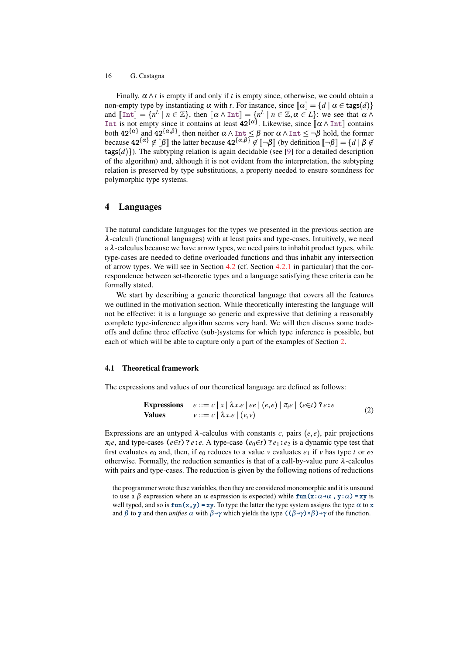Finally,  $\alpha \wedge t$  is empty if and only if t is empty since, otherwise, we could obtain a non-empty type by instantiating  $\alpha$  with *t*. For instance, since  $\llbracket \alpha \rrbracket = \{d \mid \alpha \in \text{tags}(d)\}\$ and  $[\![\text{Int}]\!] = \{n^L \mid n \in \mathbb{Z}\},\}$  then  $[\![\alpha \wedge \text{Int}]\!] = \{n^L \mid n \in \mathbb{Z}, \alpha \in L\}$ : we see that  $\alpha \wedge$ <br>The is not empty since it contains at least  $\{2\}^{\{\alpha\}}$ . Likewise, since  $[\![\alpha \wedge \text{Int}]\!]$  contains Int is not empty since it contains at least  $42^{\{\alpha\}}$ . Likewise, since  $\[\alpha \wedge \text{Int}\]$  contains Int is not empty since it contains at least  $42^{\{\alpha\}}$ . Likewise, since  $[\![\alpha \wedge \text{Int}]\!]$  contains both  $42^{\{\alpha\}}$  and  $42^{\{\alpha,\beta\}}$ , then neither  $\alpha \wedge \text{Int} \leq \beta$  nor  $\alpha \wedge \text{Int} \leq \neg \beta$  hold, the former because  $42^{\{\alpha\}} \notin [\beta]$  the latter because  $42^{\{\alpha,\beta\}} \notin [\neg \beta]$  (by definition  $[\neg \beta] = \{d \mid \beta \notin [\alpha, \alpha] \}$ ). The subtuning relation is again decideble (see [0] for a detailed description  $\text{tags}(d)$ ). The subtyping relation is again decidable (see [\[9\]](#page-55-6) for a detailed description of the algorithm) and, although it is not evident from the interpretation, the subtyping relation is preserved by type substitutions, a property needed to ensure soundness for polymorphic type systems.

# <span id="page-15-0"></span>4 Languages

The natural candidate languages for the types we presented in the previous section are  $\lambda$ -calculi (functional languages) with at least pairs and type-cases. Intuitively, we need  $a \lambda$ -calculus because we have arrow types, we need pairs to inhabit product types, while type-cases are needed to define overloaded functions and thus inhabit any intersection of arrow types. We will see in Section [4.2](#page-22-1) (cf. Section [4.2.1](#page-22-0) in particular) that the correspondence between set-theoretic types and a language satisfying these criteria can be formally stated.

We start by describing a generic theoretical language that covers all the features we outlined in the motivation section. While theoretically interesting the language will not be effective: it is a language so generic and expressive that defining a reasonably complete type-inference algorithm seems very hard. We will then discuss some tradeoffs and define three effective (sub-)systems for which type inference is possible, but each of which will be able to capture only a part of the examples of Section [2.](#page-3-0)

#### <span id="page-15-1"></span>4.1 Theoretical framework

The expressions and values of our theoretical language are defined as follows:

<span id="page-15-2"></span>Expressions

\n
$$
e ::= c |x| \lambda x.e |ee| (e,e) | \pi_i e | (e \in t) ? e : e
$$
\nValues

\n
$$
v ::= c | \lambda x.e | (v, v)
$$
\n(2)

Expressions are an untyped  $\lambda$ -calculus with constants *c*, pairs (*e*, *e*), pair projections  $\pi_i e$ , and type-cases ( $e \in t$ ) ? *e*: *e*. A type-case ( $e_0 \in t$ ) ?  $e_1 : e_2$  is a dynamic type test that first evaluates  $e_0$  and, then, if  $e_0$  reduces to a value *v* evaluates  $e_1$  if *v* has type *t* or  $e_2$ otherwise. Formally, the reduction semantics is that of a call-by-value pure  $\lambda$ -calculus with pairs and type-cases. The reduction is given by the following notions of reductions

the programmer wrote these variables, then they are considered monomorphic and it is unsound to use a  $\beta$  expression where an  $\alpha$  expression is expected) while  $\text{fun}(x:\alpha \rightarrow \alpha , y:\alpha) = xy$  is well typed, and so is  $fun(x,y) = xy$ . To type the latter the type system assigns the type  $\alpha$  to x and  $\beta$  to y and then *unifies*  $\alpha$  with  $\beta \rightarrow \gamma$  which yields the type  $(\beta \rightarrow \gamma) \times \beta$ )  $\rightarrow \gamma$  of the function.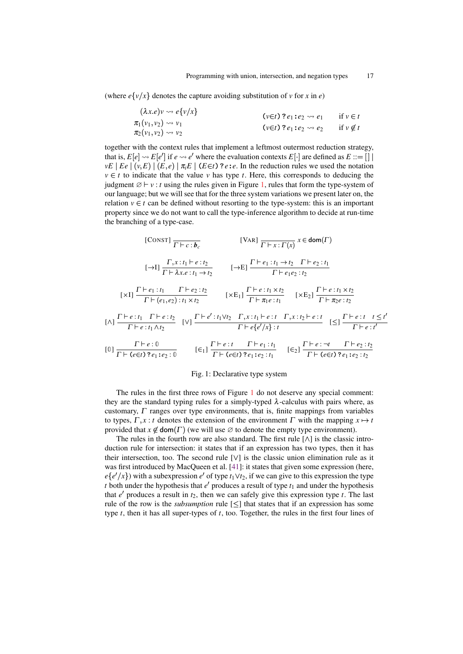(where  $e\{v/x\}$  denotes the capture avoiding substitution of *v* for *x* in *e*)

| $(\lambda x.e)v \rightsquigarrow e\{v/x\}$ | $(v \in t)$ ? $e_1$ : $e_2 \rightsquigarrow e_1$ | if $v \in t$    |
|--------------------------------------------|--------------------------------------------------|-----------------|
| $\pi_1(v_1,v_2) \rightsquigarrow v_1$      | (vEt)? $e_1$ : $e_2 \rightsquigarrow e_2$        | if $v \notin t$ |
| $\pi_2(v_1,v_2) \rightsquigarrow v_2$      |                                                  |                 |

together with the context rules that implement a leftmost outermost reduction strategy, that is,  $E[e] \rightsquigarrow E[e']$  if  $e \rightsquigarrow e'$  where the evaluation contexts  $E[\cdot]$  are defined as  $E ::= \prod_{i=1}^{n}$  $vE | Ee | (v,E) | (E,e) | \pi_i E | (E \in t)$ ? *e*: *e*. In the reduction rules we used the notation  $v \in t$  to indicate that the value *v* has type *t*. Here, this corresponds to deducing the judgment  $\emptyset \vdash v : t$  using the rules given in Figure [1,](#page-16-0) rules that form the type-system of our language; but we will see that for the three system variations we present later on, the relation  $v \in t$  can be defined without resorting to the type-system: this is an important property since we do not want to call the type-inference algorithm to decide at run-time the branching of a type-case.

<span id="page-16-0"></span>[ConsT] 
$$
\frac{\Gamma}{\Gamma} + c : b_c
$$
 [VAR]  $\frac{\Gamma}{\Gamma} + x : \Gamma(x) \times \epsilon$  dom( $\Gamma$ )  
\n[ $\rightarrow$  I]  $\frac{\Gamma, x : t_1 \vdash e : t_2}{\Gamma + \lambda x.e : t_1 \rightarrow t_2}$  [ $\rightarrow$  E]  $\frac{\Gamma + e_1 : t_1 \rightarrow t_2 \quad \Gamma + e_2 : t_1}{\Gamma + e_1 e_2 : t_2}$   
\n[ $\times$  I]  $\frac{\Gamma + e_1 : t_1 \quad \Gamma + e_2 : t_2}{\Gamma + (e_1, e_2) : t_1 \times t_2}$  [ $\times$  E<sub>1</sub>]  $\frac{\Gamma + e : t_1 \times t_2}{\Gamma + \pi_1 e : t_1}$  [ $\times$  E<sub>2</sub>]  $\frac{\Gamma + e : t_1 \times t_2}{\Gamma + \pi_2 e : t_2}$   
\n[ $\land$ ]  $\frac{\Gamma + e : t_1 \quad \Gamma + e : t_2}{\Gamma + e : t_1 \land t_2}$  [ $\lor$ ]  $\frac{\Gamma + e' : t_1 \lor t_2 \quad \Gamma, x : t_1 \vdash e : t \quad \Gamma, x : t_2 \vdash e : t}{\Gamma + e \{e'/x\} : t}$  [ $\leq$ ]  $\frac{\Gamma + e : t \quad t \leq t'}{\Gamma + e : t'}$   
\n[0]  $\frac{\Gamma + e : 0}{\Gamma + (e \in t) ? e_1 : e_2 : 0}$  [ $\in$ 1]  $\frac{\Gamma + e : t \quad \Gamma + e_1 : t_1}{\Gamma + (e \in t) ? e_1 : e_2 : t_1}$  [ $\in$ 2]  $\frac{\Gamma + e : \neg t \quad \Gamma + e_2 : t_2}{\Gamma + (e \in t) ? e_1 : e_2 : t_2}$ 

#### Fig. 1: Declarative type system

The rules in the first three rows of Figure [1](#page-16-0) do not deserve any special comment: they are the standard typing rules for a simply-typed  $\lambda$ -calculus with pairs where, as customary,  $\Gamma$  ranges over type environments, that is, finite mappings from variables to types,  $\Gamma, x : t$  denotes the extension of the environment  $\Gamma$  with the mapping  $x \mapsto t$ provided that  $x \notin \text{dom}(\Gamma)$  (we will use  $\emptyset$  to denote the empty type environment).

The rules in the fourth row are also standard. The first rule [∧] is the classic introduction rule for intersection: it states that if an expression has two types, then it has their intersection, too. The second rule  $[\vee]$  is the classic union elimination rule as it was first introduced by MacQueen et al. [\[41\]](#page-57-9): it states that given some expression (here,  $e\{e'/x\}$ ) with a subexpression  $e'$  of type  $t_1 \vee t_2$ , if we can give to this expression the type  $t$  both under the hypothesis that  $e'$  produces a result of type  $t_1$  and under the hypothesis that  $e'$  produces a result in  $t_2$ , then we can safely give this expression type  $t$ . The last rule of the row is the *subsumption* rule  $[\leq]$  that states that if an expression has some type *t*, then it has all super-types of *t*, too. Together, the rules in the first four lines of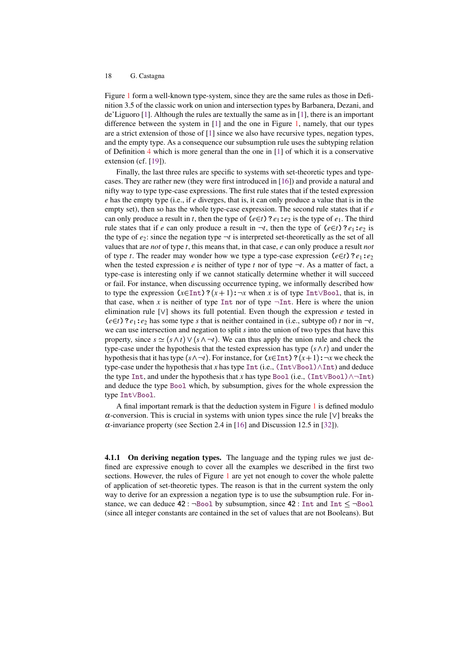Figure [1](#page-16-0) form a well-known type-system, since they are the same rules as those in Definition 3.5 of the classic work on union and intersection types by Barbanera, Dezani, and de'Liguoro [\[1\]](#page-54-1). Although the rules are textually the same as in [\[1\]](#page-54-1), there is an important difference between the system in [\[1\]](#page-54-1) and the one in Figure [1,](#page-16-0) namely, that our types are a strict extension of those of [\[1\]](#page-54-1) since we also have recursive types, negation types, and the empty type. As a consequence our subsumption rule uses the subtyping relation of Definition [4](#page-13-1) which is more general than the one in [\[1\]](#page-54-1) of which it is a conservative extension (cf. [\[19\]](#page-56-11)).

Finally, the last three rules are specific to systems with set-theoretic types and typecases. They are rather new (they were first introduced in [\[16\]](#page-55-1)) and provide a natural and nifty way to type type-case expressions. The first rule states that if the tested expression *e* has the empty type (i.e., if *e* diverges, that is, it can only produce a value that is in the empty set), then so has the whole type-case expression. The second rule states that if *e* can only produce a result in *t*, then the type of ( $e \in t$ ) ?  $e_1 : e_2$  is the type of  $e_1$ . The third rule states that if *e* can only produce a result in  $\neg t$ , then the type of  $(e \in t)$ ?*e*<sub>1</sub>: *e*<sub>2</sub> is the type of  $e_2$ : since the negation type  $\neg t$  is interpreted set-theoretically as the set of all values that are *not* of type *t*, this means that, in that case, *e* can only produce a result *not* of type *t*. The reader may wonder how we type a type-case expression ( $e \in t$ )? $e_1 : e_2$ when the tested expression  $e$  is neither of type  $t$  nor of type  $\neg t$ . As a matter of fact, a type-case is interesting only if we cannot statically determine whether it will succeed or fail. For instance, when discussing occurrence typing, we informally described how to type the expression  $(x\in Int)$ ? $(x+1): \neg x$  when *x* is of type Int∨Bool, that is, in that case, when *x* is neither of type  $Int$  nor of type  $\neg Int$ . Here is where the union elimination rule [∨] shows its full potential. Even though the expression *e* tested in  $(e \in t)$  ?  $e_1 : e_2$  has some type *s* that is neither contained in (i.e., subtype of) *t* nor in  $\neg t$ , we can use intersection and negation to split *s* into the union of two types that have this property, since  $s \simeq (s \wedge t) \vee (s \wedge \neg t)$ . We can thus apply the union rule and check the type-case under the hypothesis that the tested expression has type  $(s \wedge t)$  and under the hypothesis that it has type  $(s \land \neg t)$ . For instance, for  $(x \in Int)$ ? $(x+1): \neg x$  we check the type-case under the hypothesis that *x* has type Int (i.e., (Int∨Bool)∧Int) and deduce the type Int, and under the hypothesis that *x* has type Bool (i.e., (Int∨Bool)∧¬Int) and deduce the type Bool which, by subsumption, gives for the whole expression the type Int∨Bool.

A final important remark is that the deduction system in Figure [1](#page-16-0) is defined modulo  $\alpha$ -conversion. This is crucial in systems with union types since the rule [ $\vee$ ] breaks the  $\alpha$ -invariance property (see Section 2.4 in [\[16\]](#page-55-1) and Discussion 12.5 in [\[32\]](#page-56-12)).

<span id="page-17-0"></span>4.1.1 On deriving negation types. The language and the typing rules we just defined are expressive enough to cover all the examples we described in the first two sections. However, the rules of Figure [1](#page-16-0) are yet not enough to cover the whole palette of application of set-theoretic types. The reason is that in the current system the only way to derive for an expression a negation type is to use the subsumption rule. For instance, we can deduce  $42 : \neg$ Bool by subsumption, since  $42 : \text{Int}$  and  $\text{Int} \leq \neg$ Bool (since all integer constants are contained in the set of values that are not Booleans). But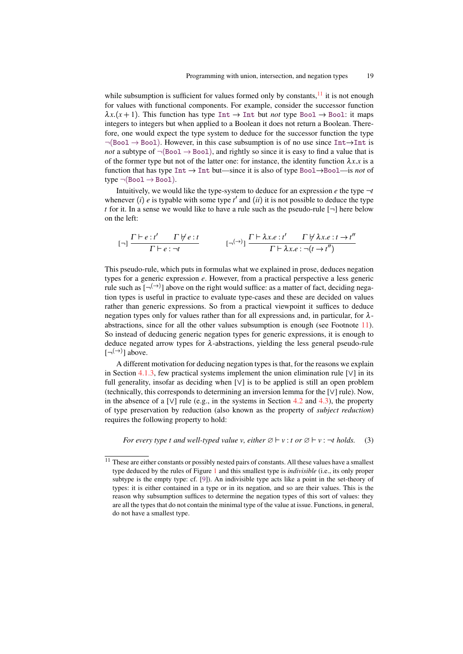while subsumption is sufficient for values formed only by constants,  $\frac{1}{1}$  it is not enough for values with functional components. For example, consider the successor function  $\lambda x.(x+1)$ . This function has type Int  $\rightarrow$  Int but *not* type Bool  $\rightarrow$  Bool: it maps integers to integers but when applied to a Boolean it does not return a Boolean. Therefore, one would expect the type system to deduce for the successor function the type  $\neg$ (Bool  $\rightarrow$  Bool). However, in this case subsumption is of no use since Int $\rightarrow$ Int is *not* a subtype of  $\neg$ (Boo1  $\rightarrow$  Boo1), and rightly so since it is easy to find a value that is of the former type but not of the latter one: for instance, the identity function  $\lambda x.x$  is a function that has type Int → Int but—since it is also of type Bool→Bool—is *not* of type  $\neg$ (Boo1  $\rightarrow$  Boo1).

Intuitively, we would like the type-system to deduce for an expression  $e$  the type  $\neg t$ whenever  $(i)$  *e* is typable with some type  $t'$  and  $(ii)$  it is not possible to deduce the type *t* for it. In a sense we would like to have a rule such as the pseudo-rule  $\neg$  here below on the left:

$$
[\neg] \frac{\Gamma \vdash e : t' \qquad \Gamma \not\vdash e : t}{\Gamma \vdash e : \neg t} \qquad \qquad [\neg(\neg) \,] \frac{\Gamma \vdash \lambda x.e : t' \qquad \Gamma \not\vdash \lambda x.e : t \rightarrow t''}{\Gamma \vdash \lambda x.e : \neg (t \rightarrow t'')}
$$

This pseudo-rule, which puts in formulas what we explained in prose, deduces negation types for a generic expression *e*. However, from a practical perspective a less generic rule such as  $\lbrack \neg^{(+)}\rbrack$  above on the right would suffice: as a matter of fact, deciding negation types is useful in practice to evaluate type-cases and these are decided on values rather than generic expressions. So from a practical viewpoint it suffices to deduce negation types only for values rather than for all expressions and, in particular, for  $\lambda$ abstractions, since for all the other values subsumption is enough (see Footnote [11\)](#page-18-0). So instead of deducing generic negation types for generic expressions, it is enough to deduce negated arrow types for  $\lambda$ -abstractions, yielding the less general pseudo-rule  $[\neg^{(\rightarrow)}]$  above.

A different motivation for deducing negation types is that, for the reasons we explain in Section [4.1.3,](#page-21-0) few practical systems implement the union elimination rule  $[\vee]$  in its full generality, insofar as deciding when [∨] is to be applied is still an open problem (technically, this corresponds to determining an inversion lemma for the [∨] rule). Now, in the absence of a [∨] rule (e.g., in the systems in Section [4.2](#page-22-1) and [4.3\)](#page-30-0), the property of type preservation by reduction (also known as the property of *subject reduction*) requires the following property to hold:

<span id="page-18-1"></span>*For every type t and well-typed value v, either*  $\emptyset \vdash v$  : *t or*  $\emptyset \vdash v$  :  $\neg t$  *holds.* (3)

<span id="page-18-0"></span> $11$  These are either constants or possibly nested pairs of constants. All these values have a smallest type deduced by the rules of Figure [1](#page-16-0) and this smallest type is *indivisible* (i.e., its only proper subtype is the empty type: cf. [\[9\]](#page-55-6)). An indivisible type acts like a point in the set-theory of types: it is either contained in a type or in its negation, and so are their values. This is the reason why subsumption suffices to determine the negation types of this sort of values: they are all the types that do not contain the minimal type of the value at issue. Functions, in general, do not have a smallest type.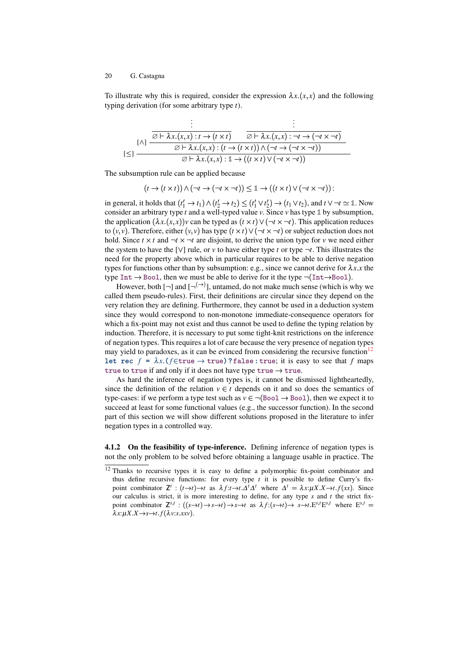To illustrate why this is required, consider the expression  $\lambda x.(x, x)$  and the following typing derivation (for some arbitrary type *t*).

| ĪΛ1 | $\varnothing \vdash \lambda x.(x,x): t \rightarrow (t \times t)$ | $\varnothing \vdash \lambda x.(x,x) : \neg t \rightarrow (\neg t \times \neg t)$                                      |
|-----|------------------------------------------------------------------|-----------------------------------------------------------------------------------------------------------------------|
|     |                                                                  | $\varnothing \vdash \lambda x.(x,x) : (t \rightarrow (t \times t)) \land (\neg t \rightarrow (\neg t \times \neg t))$ |
|     |                                                                  | $\varnothing \vdash \lambda x.(x,x) : \mathbb{1} \rightarrow ((t \times t) \vee (\neg t \times \neg t))$              |

The subsumption rule can be applied because

(*t* → (*t* ×*t*))∧(¬*t* → (¬*t* × ¬*t*)) ≤ **1** → ((*t* ×*t*)∨(¬*t* × ¬*t*)):

in general, it holds that  $(t'_1 \to t_1) \land (t'_2 \to t_2) \le (t'_1 \lor t'_2) \to (t_1 \lor t_2)$ , and  $t \lor \neg t \simeq \mathbb{1}$ . Now consider an arbitrary type  $t$  and a well-typed value  $v$ . Since  $v$  has type  $\mathbb{1}$  by subsumption, the application  $(\lambda x.(x, x))v$  can be typed as  $(t \times t) \vee (\neg t \times \neg t)$ . This application reduces to  $(v, v)$ . Therefore, either  $(v, v)$  has type  $(t \times t) \vee (\neg t \times \neg t)$  or subject reduction does not hold. Since  $t \times t$  and  $\neg t \times \neg t$  are disjoint, to derive the union type for *v* we need either the system to have the [∨] rule, or *v* to have either type *t* or type ¬*t*. This illustrates the need for the property above which in particular requires to be able to derive negation types for functions other than by subsumption: e.g., since we cannot derive for  $\lambda x.x$  the type Int  $\rightarrow$  Bool, then we must be able to derive for it the type  $\neg$  (Int $\neg$ Bool).

However, both  $[\neg]$  and  $[\neg^{(\rightarrow)}]$ , untamed, do not make much sense (which is why we called them pseudo-rules). First, their definitions are circular since they depend on the very relation they are defining. Furthermore, they cannot be used in a deduction system since they would correspond to non-monotone immediate-consequence operators for which a fix-point may not exist and thus cannot be used to define the typing relation by induction. Therefore, it is necessary to put some tight-knit restrictions on the inference of negation types. This requires a lot of care because the very presence of negation types may yield to paradoxes, as it can be evinced from considering the recursive function<sup>[12](#page-19-0)</sup> let rec  $f = \lambda x$ .( $f \in \text{true} \rightarrow \text{true}$ )?false: true; it is easy to see that  $f$  maps true to true if and only if it does not have type true  $\rightarrow$  true.

As hard the inference of negation types is, it cannot be dismissed lightheartedly, since the definition of the relation  $v \in t$  depends on it and so does the semantics of type-cases: if we perform a type test such as  $v \in \neg(\text{Bool} \rightarrow \text{Bool})$ , then we expect it to succeed at least for some functional values (e.g., the successor function). In the second part of this section we will show different solutions proposed in the literature to infer negation types in a controlled way.

<span id="page-19-1"></span>4.1.2 On the feasibility of type-inference. Defining inference of negation types is not the only problem to be solved before obtaining a language usable in practice. The

<span id="page-19-0"></span><sup>&</sup>lt;sup>12</sup> Thanks to recursive types it is easy to define a polymorphic fix-point combinator and thus define recursive functions: for every type  $t$  it is possible to define Curry's fixpoint combinator  $\mathbb{Z}^t$  :  $(t \rightarrow t) \rightarrow t$  as  $\lambda f : t \rightarrow t \cdot \Delta^t \Delta^t$  where  $\Delta^t = \lambda x : \mu X . X \rightarrow t \cdot f(xx)$ . Since our calculus is strict, it is more interesting to define, for any type *s* and *t* the strict fixpoint combinator  $\mathbb{Z}^{s,t} : ((s \to t) \to s \to t) \to s \to t$  as  $\lambda f:(s \to t) \to s \to t \to s^s t \to s^t$  where  $E^{s,t} =$  $λx$ *:* $µX$ *.X* $→$ *s* $→$ *t.f*( $λv$ *:s.xxv*).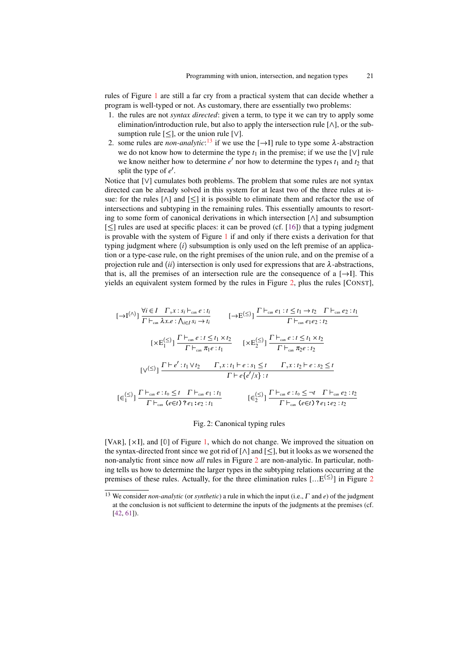rules of Figure [1](#page-16-0) are still a far cry from a practical system that can decide whether a program is well-typed or not. As customary, there are essentially two problems:

- 1. the rules are not *syntax directed*: given a term, to type it we can try to apply some elimination/introduction rule, but also to apply the intersection rule  $[\wedge]$ , or the subsumption rule  $\lceil \leq \rceil$ , or the union rule  $\lceil \vee \rceil$ .
- 2. some rules are *non-analytic*:<sup>[13](#page-20-0)</sup> if we use the  $[\rightarrow I]$  rule to type some  $\lambda$ -abstraction we do not know how to determine the type  $t_1$  in the premise; if we use the [ $\vee$ ] rule we know neither how to determine  $e'$  nor how to determine the types  $t_1$  and  $t_2$  that split the type of  $e'$ .

Notice that [∨] cumulates both problems. The problem that some rules are not syntax directed can be already solved in this system for at least two of the three rules at issue: for the rules [∧] and [≤] it is possible to eliminate them and refactor the use of intersections and subtyping in the remaining rules. This essentially amounts to resorting to some form of canonical derivations in which intersection [∧] and subsumption [<] rules are used at specific places: it can be proved (cf. [\[16\]](#page-55-1)) that a typing judgment is provable with the system of Figure [1](#page-16-0) if and only if there exists a derivation for that typing judgment where (*i*) subsumption is only used on the left premise of an application or a type-case rule, on the right premises of the union rule, and on the premise of a projection rule and  $(ii)$  intersection is only used for expressions that are  $\lambda$ -abstractions, that is, all the premises of an intersection rule are the consequence of a  $[\rightarrow I]$ . This yields an equivalent system formed by the rules in Figure [2,](#page-20-1) plus the rules [CONST],

<span id="page-20-1"></span>
$$
[\rightarrow I^{(\wedge)}] \frac{\forall i \in I \quad \Gamma, x : s_i \vdash_{\text{can}} e : t_i}{\Gamma \vdash_{\text{can}} \lambda x.e : \bigwedge_{i \in I} s_i \rightarrow t_i} \qquad [\rightarrow E^{(\leq)}] \frac{\Gamma \vdash_{\text{can}} e_1 : t \leq t_1 \rightarrow t_2 \quad \Gamma \vdash_{\text{can}} e_2 : t_1}{\Gamma \vdash_{\text{can}} e_1 e_2 : t_2}
$$
\n
$$
[\times E_1^{(\leq)}] \frac{\Gamma \vdash_{\text{can}} e : t \leq t_1 \times t_2}{\Gamma \vdash_{\text{can}} \pi_1 e : t_1} \qquad [\times E_2^{(\leq)}] \frac{\Gamma \vdash_{\text{can}} e : t \leq t_1 \times t_2}{\Gamma \vdash_{\text{can}} \pi_2 e : t_2}
$$
\n
$$
[\vee(\leq)] \frac{\Gamma \vdash e' : t_1 \vee t_2 \qquad \Gamma, x : t_1 \vdash e : s_1 \leq t \qquad \Gamma, x : t_2 \vdash e : s_2 \leq t}{\Gamma \vdash e \{e'/x\} : t} \qquad \qquad \Gamma \vdash_{\text{can}} e : t_2 \leq t_2
$$
\n
$$
[\varepsilon_1^{(\leq)}] \frac{\Gamma \vdash_{\text{can}} e : t_0 \leq t \quad \Gamma \vdash_{\text{can}} e_1 : t_1}{\Gamma \vdash_{\text{can}} (e \in t) ? e_1 : e_2 : t_1} \qquad [\varepsilon_2^{(\leq)}] \frac{\Gamma \vdash_{\text{can}} e : t_0 \leq \neg t \quad \Gamma \vdash_{\text{can}} e_2 : t_2}{\Gamma \vdash_{\text{can}} (e \in t) ? e_1 : e_2 : t_2}
$$

#### Fig. 2: Canonical typing rules

[VAR], [×I], and [**0**] of Figure [1,](#page-16-0) which do not change. We improved the situation on the syntax-directed front since we got rid of  $[\wedge]$  and  $[\leq]$ , but it looks as we worsened the non-analytic front since now *all* rules in Figure [2](#page-20-1) are non-analytic. In particular, nothing tells us how to determine the larger types in the subtyping relations occurring at the premises of these rules. Actually, for the three elimination rules [... $E^{(\le)}$ ] in Figure [2](#page-20-1)

<span id="page-20-0"></span><sup>13</sup> We consider *non-analytic* (or *synthetic*) a rule in which the input (i.e., Γ and *e*) of the judgment at the conclusion is not sufficient to determine the inputs of the judgments at the premises (cf. [\[42,](#page-57-10) [61\]](#page-58-2)).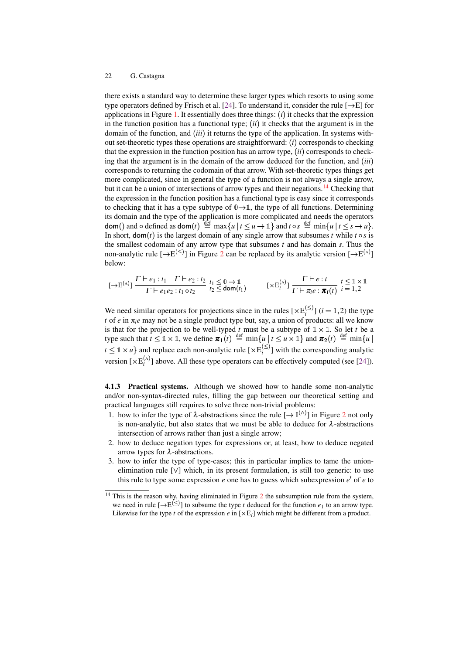there exists a standard way to determine these larger types which resorts to using some type operators defined by Frisch et al. [\[24\]](#page-56-8). To understand it, consider the rule  $[\rightarrow E]$  for applications in Figure [1.](#page-16-0) It essentially does three things: (*i*) it checks that the expression in the function position has a functional type;  $(ii)$  it checks that the argument is in the domain of the function, and (*iii*) it returns the type of the application. In systems without set-theoretic types these operations are straightforward: (*i*) corresponds to checking that the expression in the function position has an arrow type, (*ii*) corresponds to checking that the argument is in the domain of the arrow deduced for the function, and (*iii*) corresponds to returning the codomain of that arrow. With set-theoretic types things get more complicated, since in general the type of a function is not always a single arrow, but it can be a union of intersections of arrow types and their negations.<sup>[14](#page-21-1)</sup> Checking that the expression in the function position has a functional type is easy since it corresponds to checking that it has a type subtype of  $\mathbb{O}\rightarrow\mathbb{1}$ , the type of all functions. Determining its domain and the type of the application is more complicated and needs the operators  $\text{dom}()$  and  $\circ$  defined as  $\text{dom}(t) \stackrel{\text{def}}{=} \max\{u \mid t \leq u \to \mathbb{1}\}\$  and  $t \circ s \stackrel{\text{def}}{=} \min\{u \mid t \leq s \to u\}.$ In short,  $\text{dom}(t)$  is the largest domain of any single arrow that subsumes *t* while  $t \circ s$  is the smallest codomain of any arrow type that subsumes *t* and has domain *s*. Thus the non-analytic rule  $[\rightarrow]E^{(\le)}]$  in Figure [2](#page-20-1) can be replaced by its analytic version  $[\rightarrow]E^{(A)}]$ below:

$$
[\rightarrow E^{(\mathcal{A})}] \frac{\Gamma \vdash e_1 : t_1 \quad \Gamma \vdash e_2 : t_2 \quad t_1 \leq 0 \rightarrow \mathbb{1}}{\Gamma \vdash e_1 e_2 : t_1 \circ t_2} \quad t_2 \leq \text{dom}(t_1) \qquad [\times E_i^{(\mathcal{A})}] \frac{\Gamma \vdash e : t}{\Gamma \vdash \pi_i e : \pi_i(t)} \quad i \leq \mathbb{1} \times \mathbb{1}
$$

We need similar operators for projections since in the rules  $[\times E_i^{(\le)}]$  $\binom{[s]}{i}$  (*i* = 1,2) the type *t* of *e* in  $\pi_i e$  may not be a single product type but, say, a union of products: all we know is that for the projection to be well-typed *t* must be a subtype of  $1 \times 1$ . So let *t* be a type such that  $t \leq \mathbb{1} \times \mathbb{1}$ , we define  $\pi_1(t) \stackrel{\text{def}}{=} \min\{u \mid t \leq u \times \mathbb{1}\}\$ and  $\pi_2(t) \stackrel{\text{def}}{=} \min\{u \mid t \leq u \times \mathbb{1}\}\$  $t \leq \mathbb{1} \times u$ } and replace each non-analytic rule  $[\times E_i^{(\le)}]$  $\binom{S}{i}$  with the corresponding analytic version  $[\times E_i^{(A)}]$  $i<sup>A</sup>$ ] above. All these type operators can be effectively computed (see [\[24\]](#page-56-8)).

<span id="page-21-0"></span>4.1.3 Practical systems. Although we showed how to handle some non-analytic and/or non-syntax-directed rules, filling the gap between our theoretical setting and practical languages still requires to solve three non-trivial problems:

- 1. how to infer the type of  $\lambda$ -abstractions since the rule  $[\rightarrow I^{(\wedge)}]$  in Figure [2](#page-20-1) not only is non-analytic, but also states that we must be able to deduce for  $\lambda$ -abstractions intersection of arrows rather than just a single arrow;
- 2. how to deduce negation types for expressions or, at least, how to deduce negated arrow types for λ-abstractions.
- 3. how to infer the type of type-cases; this in particular implies to tame the unionelimination rule [∨] which, in its present formulation, is still too generic: to use this rule to type some expression *e* one has to guess which subexpression *e'* of *e* to

<span id="page-21-1"></span> $14$  This is the reason why, having eliminated in Figure [2](#page-20-1) the subsumption rule from the system, we need in rule  $[\rightarrow E^{(\leq)}]$  to subsume the type *t* deduced for the function  $e_1$  to an arrow type. Likewise for the type  $t$  of the expression  $e$  in  $[\times E_i]$  which might be different from a product.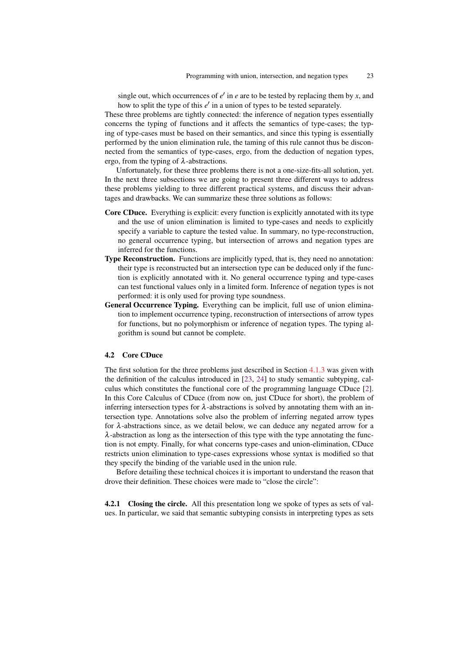single out, which occurrences of  $e'$  in  $e$  are to be tested by replacing them by  $x$ , and how to split the type of this  $e'$  in a union of types to be tested separately.

These three problems are tightly connected: the inference of negation types essentially concerns the typing of functions and it affects the semantics of type-cases; the typing of type-cases must be based on their semantics, and since this typing is essentially performed by the union elimination rule, the taming of this rule cannot thus be disconnected from the semantics of type-cases, ergo, from the deduction of negation types, ergo, from the typing of  $\lambda$ -abstractions.

Unfortunately, for these three problems there is not a one-size-fits-all solution, yet. In the next three subsections we are going to present three different ways to address these problems yielding to three different practical systems, and discuss their advantages and drawbacks. We can summarize these three solutions as follows:

- Core CDuce. Everything is explicit: every function is explicitly annotated with its type and the use of union elimination is limited to type-cases and needs to explicitly specify a variable to capture the tested value. In summary, no type-reconstruction, no general occurrence typing, but intersection of arrows and negation types are inferred for the functions.
- Type Reconstruction. Functions are implicitly typed, that is, they need no annotation: their type is reconstructed but an intersection type can be deduced only if the function is explicitly annotated with it. No general occurrence typing and type-cases can test functional values only in a limited form. Inference of negation types is not performed: it is only used for proving type soundness.
- General Occurrence Typing. Everything can be implicit, full use of union elimination to implement occurrence typing, reconstruction of intersections of arrow types for functions, but no polymorphism or inference of negation types. The typing algorithm is sound but cannot be complete.

# <span id="page-22-1"></span>4.2 Core CDuce

The first solution for the three problems just described in Section [4.1.3](#page-21-0) was given with the definition of the calculus introduced in [\[23,](#page-56-7) [24\]](#page-56-8) to study semantic subtyping, calculus which constitutes the functional core of the programming language CDuce [\[2\]](#page-54-2). In this Core Calculus of CDuce (from now on, just CDuce for short), the problem of inferring intersection types for  $\lambda$ -abstractions is solved by annotating them with an intersection type. Annotations solve also the problem of inferring negated arrow types for  $\lambda$ -abstractions since, as we detail below, we can deduce any negated arrow for a  $\lambda$ -abstraction as long as the intersection of this type with the type annotating the function is not empty. Finally, for what concerns type-cases and union-elimination, CDuce restricts union elimination to type-cases expressions whose syntax is modified so that they specify the binding of the variable used in the union rule.

Before detailing these technical choices it is important to understand the reason that drove their definition. These choices were made to "close the circle":

<span id="page-22-0"></span>4.2.1 Closing the circle. All this presentation long we spoke of types as sets of values. In particular, we said that semantic subtyping consists in interpreting types as sets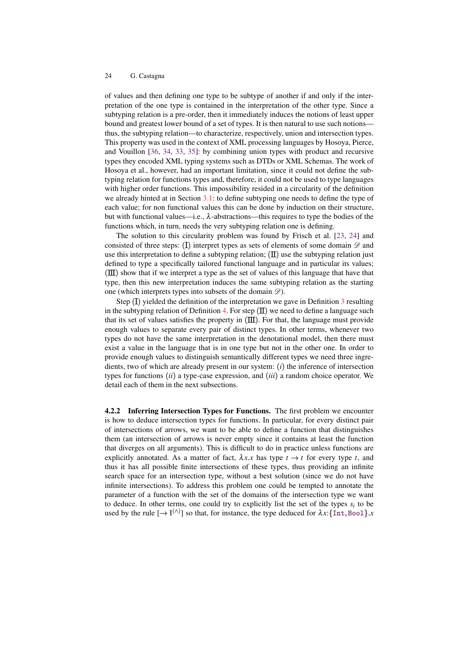of values and then defining one type to be subtype of another if and only if the interpretation of the one type is contained in the interpretation of the other type. Since a subtyping relation is a pre-order, then it immediately induces the notions of least upper bound and greatest lower bound of a set of types. It is then natural to use such notions thus, the subtyping relation—to characterize, respectively, union and intersection types. This property was used in the context of XML processing languages by Hosoya, Pierce, and Vouillon [\[36,](#page-57-11) [34,](#page-57-12) [33,](#page-56-13) [35\]](#page-57-13): by combining union types with product and recursive types they encoded XML typing systems such as DTDs or XML Schemas. The work of Hosoya et al., however, had an important limitation, since it could not define the subtyping relation for functions types and, therefore, it could not be used to type languages with higher order functions. This impossibility resided in a circularity of the definition we already hinted at in Section [3.1:](#page-10-0) to define subtyping one needs to define the type of each value; for non functional values this can be done by induction on their structure, but with functional values—i.e.,  $\lambda$ -abstractions—this requires to type the bodies of the functions which, in turn, needs the very subtyping relation one is defining.

The solution to this circularity problem was found by Frisch et al. [\[23,](#page-56-7) [24\]](#page-56-8) and consisted of three steps: (I) interpret types as sets of elements of some domain  $\mathscr D$  and use this interpretation to define a subtyping relation;  $(\Pi)$  use the subtyping relation just defined to type a specifically tailored functional language and in particular its values;  $(III)$  show that if we interpret a type as the set of values of this language that have that type, then this new interpretation induces the same subtyping relation as the starting one (which interprets types into subsets of the domain  $\mathscr{D}$ ).

Step (I) yielded the definition of the interpretation we gave in Definition [3](#page-13-0) resulting in the subtyping relation of Definition [4.](#page-13-1) For step  $(II)$  we need to define a language such that its set of values satisfies the property in  $(III)$ . For that, the language must provide enough values to separate every pair of distinct types. In other terms, whenever two types do not have the same interpretation in the denotational model, then there must exist a value in the language that is in one type but not in the other one. In order to provide enough values to distinguish semantically different types we need three ingredients, two of which are already present in our system: (*i*) the inference of intersection types for functions (*ii*) a type-case expression, and (*iii*) a random choice operator. We detail each of them in the next subsections.

<span id="page-23-0"></span>4.2.2 Inferring Intersection Types for Functions. The first problem we encounter is how to deduce intersection types for functions. In particular, for every distinct pair of intersections of arrows, we want to be able to define a function that distinguishes them (an intersection of arrows is never empty since it contains at least the function that diverges on all arguments). This is difficult to do in practice unless functions are explicitly annotated. As a matter of fact,  $\lambda x.x$  has type  $t \rightarrow t$  for every type t, and thus it has all possible finite intersections of these types, thus providing an infinite search space for an intersection type, without a best solution (since we do not have infinite intersections). To address this problem one could be tempted to annotate the parameter of a function with the set of the domains of the intersection type we want to deduce. In other terms, one could try to explicitly list the set of the types  $s_i$  to be used by the rule  $[\rightarrow I^{(\wedge)}]$  so that, for instance, the type deduced for  $\lambda x$ : {Int,Bool}.*x*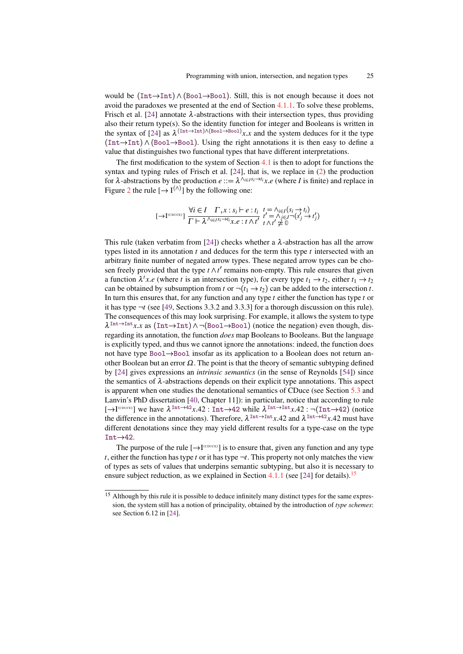would be (Int→Int) ∧ (Bool→Bool). Still, this is not enough because it does not avoid the paradoxes we presented at the end of Section [4.1.1.](#page-17-0) To solve these problems, Frisch et al. [\[24\]](#page-56-8) annotate  $\lambda$ -abstractions with their intersection types, thus providing also their return type(s). So the identity function for integer and Booleans is written in the syntax of [\[24\]](#page-56-8) as  $\lambda^{(\text{Int}\to\text{Int})\wedge(\text{Bool}\to\text{Bool})}x.x$  and the system deduces for it the type (Int→Int) ∧ (Bool→Bool). Using the right annotations it is then easy to define a value that distinguishes two functional types that have different interpretations.

The first modification to the system of Section [4.1](#page-15-1) is then to adopt for functions the syntax and typing rules of Frisch et al.  $[24]$ , that is, we replace in  $(2)$  the production for  $\lambda$ -abstractions by the production  $e ::= \lambda^{\wedge_{i \in I} s_i \to t_i} x.e$  (where *I* is finite) and replace in Figure [2](#page-20-1) the rule  $[\rightarrow I^{(\wedge)}]$  by the following one:

$$
[\rightarrow I^{(\text{cover})}] \frac{\forall i \in I \quad \Gamma, x : s_i \vdash e : t_i \quad t = \land_{i \in I} (s_i \rightarrow t_i)}{\Gamma \vdash \lambda^{\land_{i \in I} s_i \rightarrow t_i} x.e. \quad t \land t'} \frac{t' = \land_{j \in J} \neg (s'_j \rightarrow t'_j)}{t \land t' \not\supseteq \emptyset}
$$

This rule (taken verbatim from [\[24\]](#page-56-8)) checks whether a  $\lambda$ -abstraction has all the arrow types listed in its annotation *t* and deduces for the term this type *t* intersected with an arbitrary finite number of negated arrow types. These negated arrow types can be chosen freely provided that the type  $t \wedge t'$  remains non-empty. This rule ensures that given a function  $\lambda^t x.e$  (where *t* is an intersection type), for every type  $t_1 \to t_2$ , either  $t_1 \to t_2$ can be obtained by subsumption from *t* or  $\neg(t_1 \rightarrow t_2)$  can be added to the intersection *t*. In turn this ensures that, for any function and any type *t* either the function has type *t* or it has type ¬*t* (see [\[49,](#page-57-14) Sections 3.3.2 and 3.3.3] for a thorough discussion on this rule). The consequences of this may look surprising. For example, it allows the system to type λ Int→Int*x.x* as (Int→Int)∧ ¬(Bool→Bool) (notice the negation) even though, disregarding its annotation, the function *does* map Booleans to Booleans. But the language is explicitly typed, and thus we cannot ignore the annotations: indeed, the function does not have type Bool→Bool insofar as its application to a Boolean does not return another Boolean but an error  $\Omega$ . The point is that the theory of semantic subtyping defined by [\[24\]](#page-56-8) gives expressions an *intrinsic semantics* (in the sense of Reynolds [\[54\]](#page-57-15)) since the semantics of  $\lambda$ -abstractions depends on their explicit type annotations. This aspect is apparent when one studies the denotational semantics of CDuce (see Section [5.3](#page-52-0) and Lanvin's PhD dissertation [\[40,](#page-57-16) Chapter 11]): in particular, notice that according to rule  $[\rightarrow]^{(\text{cubic})}$  we have  $\lambda^{\text{Int}\rightarrow42}x.42$ : Int $\rightarrow$ 42 while  $\lambda^{\text{Int}\rightarrow\text{Int}}x.42$ :  $\neg(\text{Int}\rightarrow42)$  (notice the difference in the annotations). Therefore,  $\lambda^{\text{Int}\to\text{Int}}x.42$  and  $\lambda^{\text{Int}\to42}x.42$  must have different denotations since they may yield different results for a type-case on the type Int $\rightarrow$ 42.

The purpose of the rule  $[\rightarrow]$ <sup>[(CDUCE)</sup>] is to ensure that, given any function and any type *t*, either the function has type *t* or it has type  $\neg t$ . This property not only matches the view of types as sets of values that underpins semantic subtyping, but also it is necessary to ensure subject reduction, as we explained in Section [4.1.1](#page-17-0) (see [\[24\]](#page-56-8) for details).<sup>[15](#page-24-0)</sup>

<span id="page-24-0"></span><sup>&</sup>lt;sup>15</sup> Although by this rule it is possible to deduce infinitely many distinct types for the same expression, the system still has a notion of principality, obtained by the introduction of *type schemes*: see Section 6.12 in [\[24\]](#page-56-8).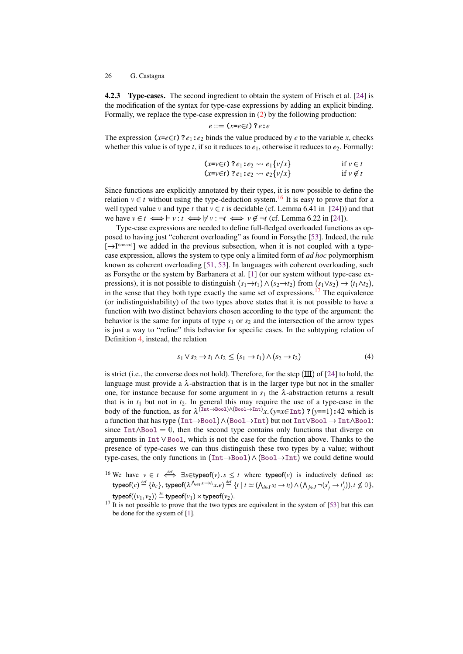<span id="page-25-2"></span>4.2.3 Type-cases. The second ingredient to obtain the system of Frisch et al. [\[24\]](#page-56-8) is the modification of the syntax for type-case expressions by adding an explicit binding. Formally, we replace the type-case expression in [\(2\)](#page-15-2) by the following production:

$$
e ::= (x = e \in t) ? e : e
$$

The expression  $(x=e^{\epsilon}t)$  ?  $e_1$ :  $e_2$  binds the value produced by *e* to the variable *x*, checks whether this value is of type *t*, if so it reduces to  $e_1$ , otherwise it reduces to  $e_2$ . Formally:

$$
(x=v \in t) ? e_1 : e_2 \leadsto e_1 \{v/x\} \qquad \text{if } v \in t
$$
  

$$
(x=v \in t) ? e_1 : e_2 \leadsto e_2 \{v/x\} \qquad \text{if } v \notin t
$$

Since functions are explicitly annotated by their types, it is now possible to define the relation  $v \in t$  without using the type-deduction system.<sup>[16](#page-25-0)</sup> It is easy to prove that for a well typed value *v* and type *t* that  $v \in t$  is decidable (cf. Lemma 6.41 in [\[24\]](#page-56-8))) and that we have  $v \in t \iff v : t \iff \forall v : \neg t \iff v \notin \neg t$  (cf. Lemma 6.22 in [\[24\]](#page-56-8)).

Type-case expressions are needed to define full-fledged overloaded functions as opposed to having just "coherent overloading" as found in Forsythe [\[53\]](#page-57-17). Indeed, the rule  $[\rightarrow]$ <sup>[(CDUCE)</sup>] we added in the previous subsection, when it is not coupled with a typecase expression, allows the system to type only a limited form of *ad hoc* polymorphism known as coherent overloading [\[51,](#page-57-18) [53\]](#page-57-17). In languages with coherent overloading, such as Forsythe or the system by Barbanera et al. [\[1\]](#page-54-1) (or our system without type-case expressions), it is not possible to distinguish  $(s_1 \rightarrow t_1) \land (s_2 \rightarrow t_2)$  from  $(s_1 \lor s_2) \rightarrow (t_1 \land t_2)$ , in the sense that they both type exactly the same set of expressions.<sup>[17](#page-25-1)</sup> The equivalence (or indistinguishability) of the two types above states that it is not possible to have a function with two distinct behaviors chosen according to the type of the argument: the behavior is the same for inputs of type  $s_1$  or  $s_2$  and the intersection of the arrow types is just a way to "refine" this behavior for specific cases. In the subtyping relation of Definition [4,](#page-13-1) instead, the relation

<span id="page-25-3"></span>
$$
s_1 \vee s_2 \to t_1 \wedge t_2 \le (s_1 \to t_1) \wedge (s_2 \to t_2) \tag{4}
$$

is strict (i.e., the converse does not hold). Therefore, for the step  $(III)$  of [\[24\]](#page-56-8) to hold, the language must provide a  $\lambda$ -abstraction that is in the larger type but not in the smaller one, for instance because for some argument in  $s_1$  the  $\lambda$ -abstraction returns a result that is in  $t_1$  but not in  $t_2$ . In general this may require the use of a type-case in the body of the function, as for  $\lambda^{(\text{Int}\rightarrow\text{Bool})\wedge(\text{Bool}\rightarrow\text{Int})}x$ . (*y*=*x*∈Int) ? (*y*==1):42 which is a function that has type (Int→Bool)∧(Bool→Int) but not Int∨Bool → Int∧Bool: since  $Int \triangle Bool = 0$ , then the second type contains only functions that diverge on arguments in Int∨Bool, which is not the case for the function above. Thanks to the presence of type-cases we can thus distinguish these two types by a value; without type-cases, the only functions in (Int→Bool)∧(Bool→Int) we could define would

<span id="page-25-0"></span><sup>&</sup>lt;sup>16</sup> We have  $v \in t$   $\iff$  ∃*s*∈typeof(*v*)*.s* ≤ *t* where typeof(*v*) is inductively defined as:  $\mathsf{typeof}(c) \stackrel{\rm def}{=} \{b_c\},\mathsf{typeof}(\lambda\wedge_{i\in I}s_i\rightarrow t_i x.e) \stackrel{\rm def}{=} \{t\mid t\simeq (\bigwedge_{i\in I}s_i\rightarrow t_i)\wedge (\bigwedge_{j\in J}\neg(s'_j\rightarrow t'_j)), t\not\leq \mathbb 0\},$  $\tt typeof((v_1, v_2)) \stackrel{\text{def}}{=} \t\tt typeof(v_1) \times \t\tt typeof(v_2).$ 

<span id="page-25-1"></span> $17$  It is not possible to prove that the two types are equivalent in the system of [\[53\]](#page-57-17) but this can be done for the system of [\[1\]](#page-54-1).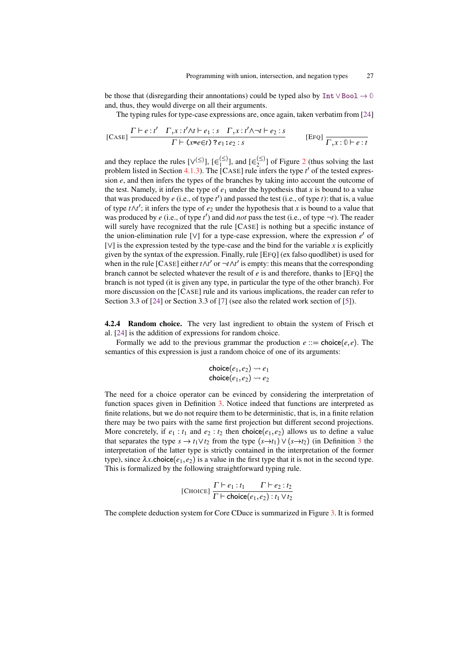be those that (disregarding their annontations) could be typed also by Int∨Bool → **0** and, thus, they would diverge on all their arguments.

The typing rules for type-case expressions are, once again, taken verbatim from [\[24\]](#page-56-8)

[CASE] 
$$
\frac{\Gamma \vdash e : t' \quad \Gamma, x : t' \land t \vdash e_1 : s \quad \Gamma, x : t' \land \neg t \vdash e_2 : s}{\Gamma \vdash (x = e \in t) ? e_1 : e_2 : s}
$$
 [EFQ] 
$$
\frac{\Gamma \vdash e : t' \land \neg t \vdash e_1 : s \vdash e_2 : s}{\Gamma, x : 0 \vdash e : t' \vdash e_2 : s}
$$

and they replace the rules  $[\vee^{(\le)}]$ ,  $[\in_{1}^{(\le)}]$  $\binom{\leq}{1}$ , and  $\lfloor \in \binom{\leq}{2}$  $\binom{[2]}{2}$  $\binom{[2]}{2}$  $\binom{[2]}{2}$  of Figure 2 (thus solving the last problem listed in Section [4.1.3\)](#page-21-0). The  $[CASE]$  rule infers the type  $t'$  of the tested expression *e*, and then infers the types of the branches by taking into account the outcome of the test. Namely, it infers the type of  $e_1$  under the hypothesis that *x* is bound to a value that was produced by *e* (i.e., of type *t* 0 ) and passed the test (i.e., of type *t*): that is, a value of type  $t \wedge t'$ ; it infers the type of  $e_2$  under the hypothesis that *x* is bound to a value that was produced by *e* (i.e., of type *t*<sup>'</sup>) and did *not* pass the test (i.e., of type  $\neg t$ ). The reader will surely have recognized that the rule [CASE] is nothing but a specific instance of the union-elimination rule [V] for a type-case expression, where the expression *e'* of [∨] is the expression tested by the type-case and the bind for the variable *x* is explicitly given by the syntax of the expression. Finally, rule [EFQ] (ex falso quodlibet) is used for when in the rule [CASE] either  $t \wedge t'$  or  $\neg t \wedge t'$  is empty: this means that the corresponding branch cannot be selected whatever the result of *e* is and therefore, thanks to [EFQ] the branch is not typed (it is given any type, in particular the type of the other branch). For more discussion on the [CASE] rule and its various implications, the reader can refer to Section 3.3 of [\[24\]](#page-56-8) or Section 3.3 of [\[7\]](#page-55-4) (see also the related work section of [\[5\]](#page-55-0)).

<span id="page-26-0"></span>4.2.4 Random choice. The very last ingredient to obtain the system of Frisch et al. [\[24\]](#page-56-8) is the addition of expressions for random choice.

Formally we add to the previous grammar the production  $e ::= choice(e, e)$ . The semantics of this expression is just a random choice of one of its arguments:

$$
\begin{array}{l} \mathsf{choice}(e_1, e_2) \rightsquigarrow e_1 \\ \mathsf{choice}(e_1, e_2) \rightsquigarrow e_2 \end{array}
$$

The need for a choice operator can be evinced by considering the interpretation of function spaces given in Definition [3.](#page-13-0) Notice indeed that functions are interpreted as finite relations, but we do not require them to be deterministic, that is, in a finite relation there may be two pairs with the same first projection but different second projections. More concretely, if  $e_1 : t_1$  and  $e_2 : t_2$  then **choice**( $e_1, e_2$ ) allows us to define a value that separates the type  $s \to t_1 \vee t_2$  from the type  $(s \to t_1) \vee (s \to t_2)$  (in Definition [3](#page-13-0) the interpretation of the latter type is strictly contained in the interpretation of the former type), since  $\lambda x$ .choice( $e_1, e_2$ ) is a value in the first type that it is not in the second type. This is formalized by the following straightforward typing rule.

[
$$
[\text{CHOICE}] \frac{\Gamma \vdash e_1 : t_1 \quad \Gamma \vdash e_2 : t_2}{\Gamma \vdash \text{choice}(e_1, e_2) : t_1 \vee t_2}
$$

The complete deduction system for Core CDuce is summarized in Figure [3.](#page-27-0) It is formed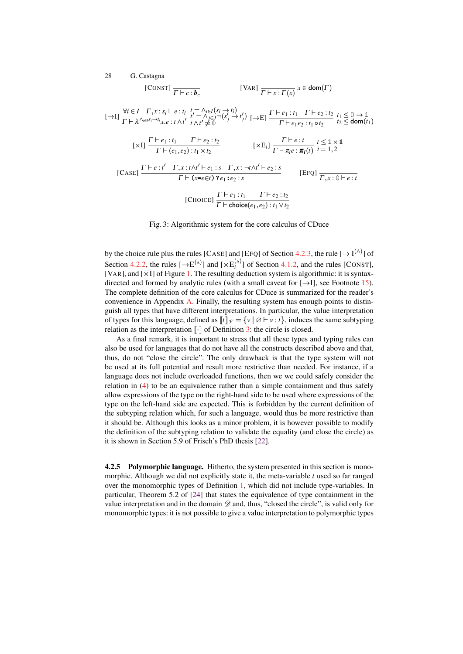<span id="page-27-0"></span>28 G. Castagna  
\n[CONST] 
$$
\frac{\overline{r} + c : b_c}{\Gamma + c : b_c}
$$
 [VAR]  $\frac{\overline{r} + x : \Gamma(x)}{\Gamma + x : \Gamma(x)} x \in dom(\Gamma)$   
\n[ $\rightarrow$ I]  $\frac{\forall i \in I \Gamma, x : s_i \vdash e : t_i}{\Gamma + \lambda^{\wedge i \in I s_i \rightarrow t_i} x.e : t \wedge t'} \frac{t^i = \wedge_{j \in J} \neg (s'_j \rightarrow t'_j)}{t \wedge t' \not\equiv 0} \frac{\Gamma + e_1 : t_1 \Gamma + e_2 : t_2}{\Gamma + e_1 e_2 : t_1 \circ t_2} \frac{t_1 \leq 0 \rightarrow 1}{t_2 \leq dom(t_1)}$   
\n[ $\times$ I]  $\frac{\Gamma + e_1 : t_1 \Gamma + e_2 : t_2}{\Gamma + (e_1, e_2) : t_1 \times t_2}$  [ $\times$ E<sub>i</sub>]  $\frac{\Gamma + e : t}{\Gamma + \pi_i e : \pi_i(t)}$   $i = 1, 2$   
\n[CASE]  $\frac{\Gamma + e : t' \Gamma, x : t \wedge t' \vdash e_1 : s \Gamma, x : \neg t \wedge t' \vdash e_2 : s}{\Gamma + (x = e \in t) ? e_1 : e_2 : s}$  [EFQ]  $\frac{\Gamma + e_1 : t_1 \Gamma + e_2 : t_2}{\Gamma, x : 0 \vdash e : t}$   
\n[CHOICE]  $\frac{\Gamma + e_1 : t_1 \Gamma + e_2 : t_2}{\Gamma + choice(e_1, e_2) : t_1 \vee t_2}$ 

Fig. 3: Algorithmic system for the core calculus of CDuce

by the choice rule plus the rules [CASE] and [EFQ] of Section [4.2.3,](#page-25-2) the rule  $[\rightarrow I^{(\wedge)}]$  of Section [4.2.2,](#page-23-0) the rules  $[\rightarrow E^{(A)}]$  and  $[\times E_i^{(A)}]$  $\binom{A}{i}$  of Section [4.1.2,](#page-19-1) and the rules [CONST], [VAR], and  $[\times I]$  of Figure [1.](#page-16-0) The resulting deduction system is algorithmic: it is syntaxdirected and formed by analytic rules (with a small caveat for  $[\rightarrow I]$ , see Footnote [15\)](#page-24-0). The complete definition of the core calculus for CDuce is summarized for the reader's convenience in Appendix [A.](#page-59-0) Finally, the resulting system has enough points to distinguish all types that have different interpretations. In particular, the value interpretation of types for this language, defined as  $[t]_{\mathcal{V}} = \{v \mid \emptyset \vdash v : t\}$ , induces the same subtyping relation as the interpretation  $\lbrack \cdot \rbrack$  of Definition [3:](#page-13-0) the circle is closed.

As a final remark, it is important to stress that all these types and typing rules can also be used for languages that do not have all the constructs described above and that, thus, do not "close the circle". The only drawback is that the type system will not be used at its full potential and result more restrictive than needed. For instance, if a language does not include overloaded functions, then we we could safely consider the relation in [\(4\)](#page-25-3) to be an equivalence rather than a simple containment and thus safely allow expressions of the type on the right-hand side to be used where expressions of the type on the left-hand side are expected. This is forbidden by the current definition of the subtyping relation which, for such a language, would thus be more restrictive than it should be. Although this looks as a minor problem, it is however possible to modify the definition of the subtyping relation to validate the equality (and close the circle) as it is shown in Section 5.9 of Frisch's PhD thesis [\[22\]](#page-56-14).

<span id="page-27-1"></span>4.2.5 Polymorphic language. Hitherto, the system presented in this section is monomorphic. Although we did not explicitly state it, the meta-variable *t* used so far ranged over the monomorphic types of Definition [1,](#page-11-1) which did not include type-variables. In particular, Theorem 5.2 of [\[24\]](#page-56-8) that states the equivalence of type containment in the value interpretation and in the domain  $\mathscr D$  and, thus, "closed the circle", is valid only for monomorphic types: it is not possible to give a value interpretation to polymorphic types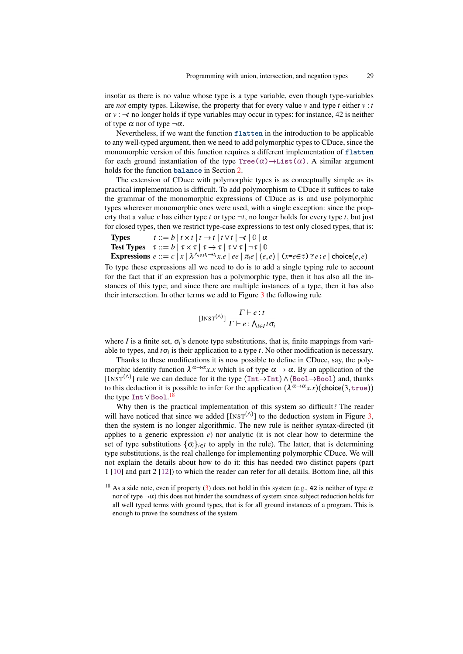insofar as there is no value whose type is a type variable, even though type-variables are *not* empty types. Likewise, the property that for every value *v* and type *t* either *v* : *t* or  $v : \neg t$  no longer holds if type variables may occur in types: for instance, 42 is neither of type  $\alpha$  nor of type  $\neg \alpha$ .

Nevertheless, if we want the function flatten in the introduction to be applicable to any well-typed argument, then we need to add polymorphic types to CDuce, since the monomorphic version of this function requires a different implementation of flatten for each ground instantiation of the type  $Tree(\alpha) \rightarrow List(\alpha)$ . A similar argument holds for the function balance in Section [2.](#page-3-0)

The extension of CDuce with polymorphic types is as conceptually simple as its practical implementation is difficult. To add polymorphism to CDuce it suffices to take the grammar of the monomorphic expressions of CDuce as is and use polymorphic types wherever monomorphic ones were used, with a single exception: since the property that a value *v* has either type *t* or type  $\neg t$ , no longer holds for every type *t*, but just for closed types, then we restrict type-case expressions to test only closed types, that is:

```
Types t := b | t \times t | t \rightarrow t | t \vee t | \neg t | \emptyset | \alphaTest Types \tau ::= b | \tau \times \tau | \tau \rightarrow \tau | \tau \vee \tau | \neg \tau | \emptysetExpressions e ::= c | x | \lambda^{\wedge_{i \in I} t_i \to t_i} x.e | ee | \pi_i e | (e, e) | (x = e \in \tau) ? e : e | choice(e, e)
```
To type these expressions all we need to do is to add a single typing rule to account for the fact that if an expression has a polymorphic type, then it has also all the instances of this type; and since there are multiple instances of a type, then it has also their intersection. In other terms we add to Figure [3](#page-27-0) the following rule

$$
[\text{InST}^{(\wedge)}] \frac{\Gamma \vdash e : t}{\Gamma \vdash e : \bigwedge_{i \in I} t \sigma_i}
$$

where *I* is a finite set,  $\sigma_i$ 's denote type substitutions, that is, finite mappings from variable to types, and  $t\sigma_i$  is their application to a type  $t$ . No other modification is necessary.

Thanks to these modifications it is now possible to define in CDuce, say, the polymorphic identity function  $\lambda^{\alpha \to \alpha} x.x$  which is of type  $\alpha \to \alpha$ . By an application of the [INST<sup>( $\land$ )</sup>] rule we can deduce for it the type  $(Int \rightarrow Int) \land (Bool \rightarrow Bool)$  and, thanks to this deduction it is possible to infer for the application  $(\lambda^{\alpha \to \alpha} x.x)$ (choice(3, true)) the type Int∨Boo1.<sup>[18](#page-28-0)</sup>

Why then is the practical implementation of this system so difficult? The reader will have noticed that since we added  $[Instr^{(\wedge)}]$  to the deduction system in Figure [3,](#page-27-0) then the system is no longer algorithmic. The new rule is neither syntax-directed (it applies to a generic expression *e*) nor analytic (it is not clear how to determine the set of type substitutions  $\{\sigma_i\}_{i \in I}$  to apply in the rule). The latter, that is determining type substitutions, is the real challenge for implementing polymorphic CDuce. We will not explain the details about how to do it: this has needed two distinct papers (part 1 [\[10\]](#page-55-7) and part 2 [\[12\]](#page-55-8)) to which the reader can refer for all details. Bottom line, all this

<span id="page-28-0"></span><sup>&</sup>lt;sup>18</sup> As a side note, even if property [\(3\)](#page-18-1) does not hold in this system (e.g., **42** is neither of type  $\alpha$ nor of type  $\neg \alpha$ ) this does not hinder the soundness of system since subject reduction holds for all well typed terms with ground types, that is for all ground instances of a program. This is enough to prove the soundness of the system.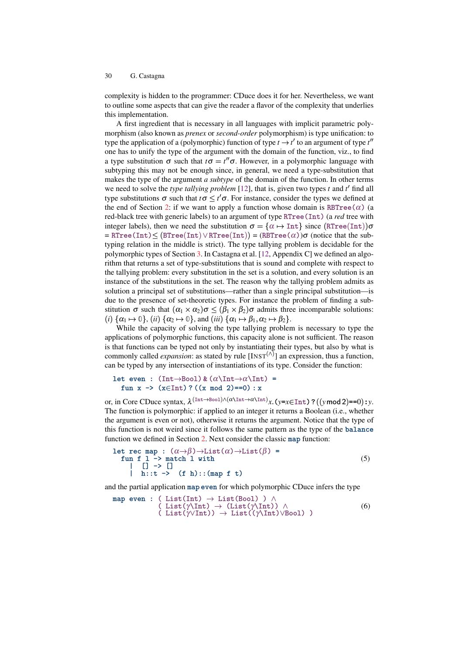complexity is hidden to the programmer: CDuce does it for her. Nevertheless, we want to outline some aspects that can give the reader a flavor of the complexity that underlies this implementation.

A first ingredient that is necessary in all languages with implicit parametric polymorphism (also known as *prenex* or *second-order* polymorphism) is type unification: to type the application of a (polymorphic) function of type  $t \rightarrow t'$  to an argument of type  $t''$ one has to unify the type of the argument with the domain of the function, viz., to find a type substitution  $\sigma$  such that  $t\sigma = t''\sigma$ . However, in a polymorphic language with subtyping this may not be enough since, in general, we need a type-substitution that makes the type of the argument *a subtype* of the domain of the function. In other terms we need to solve the *type tallying problem* [\[12\]](#page-55-8), that is, given two types *t* and *t'* find all type substitutions  $\sigma$  such that  $t\sigma \leq t'\sigma$ . For instance, consider the types we defined at the end of Section [2:](#page-3-0) if we want to apply a function whose domain is RBTree( $\alpha$ ) (a red-black tree with generic labels) to an argument of type RTree(Int) (a *red* tree with integer labels), then we need the substitution  $\sigma = {\alpha \mapsto \text{Int}}$  since  $(\text{RTree}(\text{Int}))\sigma$  $=$  RTree(Int) $\leq$ (BTree(Int) $\vee$ RTree(Int)) = (RBTree( $\alpha$ )) $\sigma$  (notice that the subtyping relation in the middle is strict). The type tallying problem is decidable for the polymorphic types of Section [3.](#page-9-0) In Castagna et al. [\[12,](#page-55-8) Appendix C] we defined an algorithm that returns a set of type-substitutions that is sound and complete with respect to the tallying problem: every substitution in the set is a solution, and every solution is an instance of the substitutions in the set. The reason why the tallying problem admits as solution a principal set of substitutions—rather than a single principal substitution—is due to the presence of set-theoretic types. For instance the problem of finding a substitution  $\sigma$  such that  $(\alpha_1 \times \alpha_2)\sigma \leq (\beta_1 \times \beta_2)\sigma$  admits three incomparable solutions: (*i*)  $\{\alpha_1 \mapsto \emptyset\}$ , (*ii*)  $\{\alpha_2 \mapsto \emptyset\}$ , and (*iii*)  $\{\alpha_1 \mapsto \beta_1, \alpha_2 \mapsto \beta_2\}$ .

While the capacity of solving the type tallying problem is necessary to type the applications of polymorphic functions, this capacity alone is not sufficient. The reason is that functions can be typed not only by instantiating their types, but also by what is commonly called *expansion*: as stated by rule [INST(∧) ] an expression, thus a function, can be typed by any intersection of instantiations of its type. Consider the function:

```
let even : (Int \rightarrow Bool) & (\alpha \int Int \rightarrow \alpha \int Int) =fun x \rightarrow (x \in Int) ? ((x mod 2)==0) : x
```
or, in Core CDuce syntax,  $\lambda^{(\text{Int}\rightarrow\text{Bool})\wedge(\alpha\setminus\text{Int}\rightarrow\alpha\setminus\text{Int})}\chi$ *.* ( $y=x\in\text{Int}$ ) ? ((*y* mod 2)==0): *y*. The function is polymorphic: if applied to an integer it returns a Boolean (i.e., whether the argument is even or not), otherwise it returns the argument. Notice that the type of this function is not weird since it follows the same pattern as the type of the balance function we defined in Section [2.](#page-3-0) Next consider the classic map function:

<span id="page-29-1"></span>let rec map : 
$$
(\alpha \rightarrow \beta) \rightarrow List(\alpha) \rightarrow List(\beta)
$$
 =  
\nfun f 1 -> match 1 with  
\n| [] -> []  
\n| h::t -> (f h)::(map f t) (f h) : (map f t)

and the partial application map even for which polymorphic CDuce infers the type

<span id="page-29-0"></span>
$$
\begin{array}{ll}\n\text{map even}: & (\text{ List}(\text{Int}) \to \text{List}(\text{Bool}) ) \land \\
& (\text{ List}(\gamma\text{Int}) \to (\text{List}(\gamma\text{Int})) \land \\
& (\text{ List}(\gamma\text{Int})) \to \text{List}((\gamma\text{Int}) \lor \text{Bool}) )\n\end{array}\n\tag{6}
$$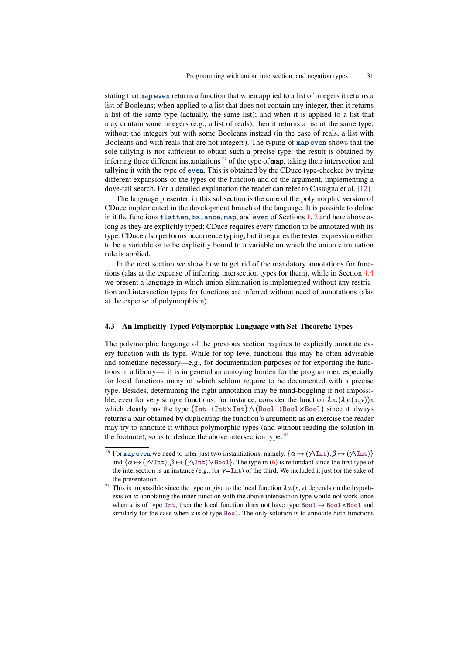stating that map even returns a function that when applied to a list of integers it returns a list of Booleans; when applied to a list that does not contain any integer, then it returns a list of the same type (actually, the same list); and when it is applied to a list that may contain some integers (e.g., a list of reals), then it returns a list of the same type, without the integers but with some Booleans instead (in the case of reals, a list with Booleans and with reals that are not integers). The typing of map even shows that the sole tallying is not sufficient to obtain such a precise type: the result is obtained by inferring three different instantiations<sup>[19](#page-30-1)</sup> of the type of map, taking their intersection and tallying it with the type of even. This is obtained by the CDuce type-checker by trying different expansions of the types of the function and of the argument, implementing a dove-tail search. For a detailed explanation the reader can refer to Castagna et al. [\[12\]](#page-55-8).

The language presented in this subsection is the core of the polymorphic version of CDuce implemented in the development branch of the language. It is possible to define in it the functions flatten, balance, map, and even of Sections [1,](#page-0-0) [2](#page-3-0) and here above as long as they are explicitly typed: CDuce requires every function to be annotated with its type. CDuce also performs occurrence typing, but it requires the tested expression either to be a variable or to be explicitly bound to a variable on which the union elimination rule is applied.

In the next section we show how to get rid of the mandatory annotations for functions (alas at the expense of inferring intersection types for them), while in Section [4.4](#page-40-0) we present a language in which union elimination is implemented without any restriction and intersection types for functions are inferred without need of annotations (alas at the expense of polymorphism).

#### <span id="page-30-0"></span>4.3 An Implicitly-Typed Polymorphic Language with Set-Theoretic Types

The polymorphic language of the previous section requires to explicitly annotate every function with its type. While for top-level functions this may be often advisable and sometime necessary—e.g., for documentation purposes or for exporting the functions in a library—, it is in general an annoying burden for the programmer, especially for local functions many of which seldom require to be documented with a precise type. Besides, determining the right annotation may be mind-boggling if not impossible, even for very simple functions: for instance, consider the function  $\lambda x \cdot (\lambda y \cdot (x, y))x$ which clearly has the type (Int→Int×Int) ∧ (Bool→Bool×Bool) since it always returns a pair obtained by duplicating the function's argument; as an exercise the reader may try to annotate it without polymorphic types (and without reading the solution in the footnote), so as to deduce the above intersection type. $20$ 

<span id="page-30-1"></span><sup>&</sup>lt;sup>19</sup> For map even we need to infer just two instantiations, namely,  $\{\alpha \mapsto (\gamma \text{Int}), \beta \mapsto (\gamma \text{Int})\}$ and  $\{\alpha \mapsto (\gamma \text{Int}), \beta \mapsto (\gamma \text{Int}) \vee \text{Bool}\}.$  The type in [\(6\)](#page-29-0) is redundant since the first type of the intersection is an instance (e.g., for  $\gamma$ =Int) of the third. We included it just for the sake of the presentation.

<span id="page-30-2"></span><sup>&</sup>lt;sup>20</sup> This is impossible since the type to give to the local function  $\lambda y.(x, y)$  depends on the hypothesis on *x*: annotating the inner function with the above intersection type would not work since when *x* is of type Int, then the local function does not have type Bool  $\rightarrow$  Bool×Bool and similarly for the case when  $x$  is of type Bool. The only solution is to annotate both functions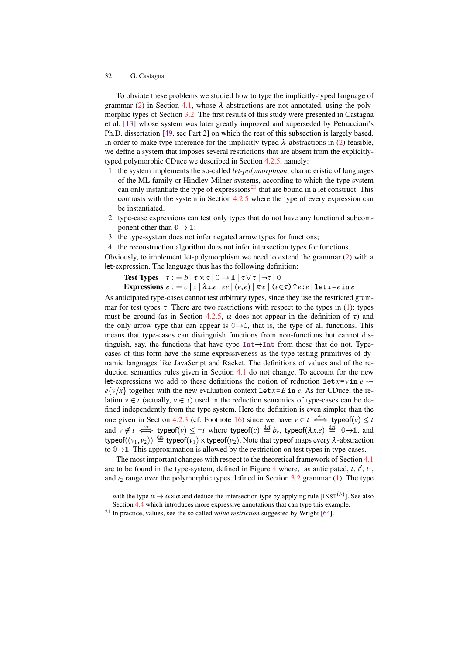To obviate these problems we studied how to type the implicitly-typed language of grammar [\(2\)](#page-15-2) in Section [4.1,](#page-15-1) whose  $\lambda$ -abstractions are not annotated, using the poly-morphic types of Section [3.2.](#page-13-2) The first results of this study were presented in Castagna et al. [\[13\]](#page-55-9) whose system was later greatly improved and superseded by Petrucciani's Ph.D. dissertation [\[49,](#page-57-14) see Part 2] on which the rest of this subsection is largely based. In order to make type-inference for the implicitly-typed  $\lambda$ -abstractions in [\(2\)](#page-15-2) feasible, we define a system that imposes several restrictions that are absent from the explicitlytyped polymorphic CDuce we described in Section [4.2.5,](#page-27-1) namely:

- 1. the system implements the so-called *let-polymorphism*, characteristic of languages of the ML-family or Hindley-Milner systems, according to which the type system can only instantiate the type of expressions<sup>[21](#page-31-0)</sup> that are bound in a let construct. This contrasts with the system in Section [4.2.5](#page-27-1) where the type of every expression can be instantiated.
- 2. type-case expressions can test only types that do not have any functional subcomponent other than  $\mathbb{0} \to \mathbb{1}$ ;
- 3. the type-system does not infer negated arrow types for functions;
- 4. the reconstruction algorithm does not infer intersection types for functions.

Obviously, to implement let-polymorphism we need to extend the grammar [\(2\)](#page-15-2) with a let-expression. The language thus has the following definition:

Test Types  $\tau ::= b | \tau \times \tau | \mathbb{0} \to \mathbb{1} | \tau \vee \tau | \neg \tau | \mathbb{0}$ 

Expressions  $e ::= c | x | \lambda x.e | ee | (e, e) | \pi_i e | (e \in \tau) ? e : e | \text{let } x = e \text{ in } e$ 

As anticipated type-cases cannot test arbitrary types, since they use the restricted grammar for test types  $\tau$ . There are two restrictions with respect to the types in [\(1\)](#page-13-3): types must be ground (as in Section [4.2.5,](#page-27-1)  $\alpha$  does not appear in the definition of  $\tau$ ) and the only arrow type that can appear is  $\mathbb{O}\rightarrow\mathbb{1}$ , that is, the type of all functions. This means that type-cases can distinguish functions from non-functions but cannot distinguish, say, the functions that have type Int→Int from those that do not. Typecases of this form have the same expressiveness as the type-testing primitives of dynamic languages like JavaScript and Racket. The definitions of values and of the reduction semantics rules given in Section [4.1](#page-15-1) do not change. To account for the new let-expressions we add to these definitions the notion of reduction  $\text{let } x = y \text{ in } e \rightarrow$  $e\{v/x\}$  together with the new evaluation context  $\texttt{let} x = E \texttt{in} e$ . As for CDuce, the relation  $v \in t$  (actually,  $v \in \tau$ ) used in the reduction semantics of type-cases can be defined independently from the type system. Here the definition is even simpler than the one given in Section [4.2.3](#page-25-2) (cf. Footnote [16\)](#page-25-0) since we have  $v \in t \iff$  typeof(*v*)  $\leq t$ and  $v \notin t \iff \text{typeof}(v) \leq \neg t$  where  $\text{typeof}(c) \stackrel{\text{def}}{=} b_c$ ,  $\text{typeof}(\lambda x.e) \stackrel{\text{def}}{=} 0 \rightarrow \mathbb{1}$ , and  $\text{typeof}((v_1, v_2)) \stackrel{\text{def}}{=} \text{typeof}(v_1) \times \text{typeof}(v_2)$ . Note that typeof maps every  $\lambda$ -abstraction to **0**→**1**. This approximation is allowed by the restriction on test types in type-cases.

The most important changes with respect to the theoretical framework of Section [4.1](#page-15-1) are to be found in the type-system, defined in Figure [4](#page-32-0) where, as anticipated,  $t$ ,  $t'$ ,  $t_1$ , and  $t_2$  range over the polymorphic types defined in Section  $3.2$  grammar [\(1\)](#page-13-3). The type

with the type  $\alpha \to \alpha \times \alpha$  and deduce the intersection type by applying rule [INST<sup>( $\land$ )</sup>]. See also

<span id="page-31-0"></span>Section [4.4](#page-40-0) which introduces more expressive annotations that can type this example. <sup>21</sup> In practice, values, see the so called *value restriction* suggested by Wright [\[64\]](#page-58-3).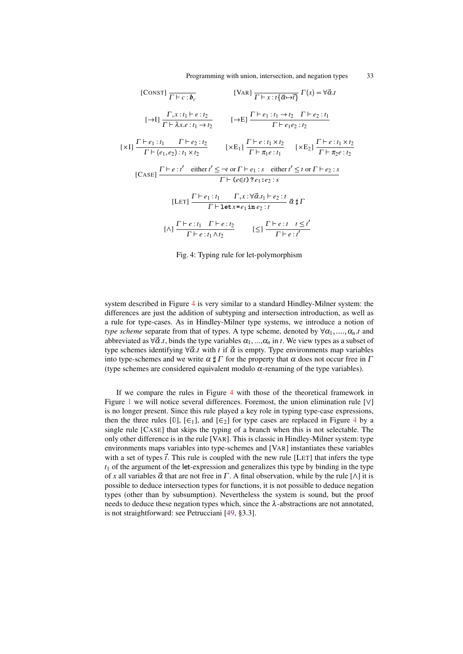Programming with union, intersection, and negation types 33

<span id="page-32-0"></span>[Consr] 
$$
\overline{r} + c : b_c
$$
 [*VAR*]  $\overline{r} + x : t\{\vec{\alpha} \mapsto \vec{t}\}$   $\Gamma(x) = \forall \vec{\alpha} . t$   
\n[ $\rightarrow$  I]  $\frac{\Gamma, x : t_1 \vdash e : t_2}{\Gamma \vdash \lambda x . e : t_1 \rightarrow t_2}$  [ $\rightarrow$  E]  $\frac{\Gamma \vdash e_1 : t_1 \rightarrow t_2 \quad \Gamma \vdash e_2 : t_1}{\Gamma \vdash e_1 e_2 : t_2}$   
\n[ $\times$  I]  $\frac{\Gamma \vdash e_1 : t_1 \quad \Gamma \vdash e_2 : t_2}{\Gamma \vdash (e_1, e_2) : t_1 \times t_2}$  [ $\times$  E<sub>1</sub>]  $\frac{\Gamma \vdash e : t_1 \times t_2}{\Gamma \vdash \pi_1 e : t_1}$  [ $\times$  E<sub>2</sub>]  $\frac{\Gamma \vdash e : t_1 \times t_2}{\Gamma \vdash \pi_2 e : t_2}$   
\n[CASE]  $\frac{\Gamma \vdash e : t' \text{ either } t' \leq \neg t \text{ or } \Gamma \vdash e_1 : s \text{ either } t' \leq t \text{ or } \Gamma \vdash e_2 : s}{\Gamma \vdash (e \in t) ? e_1 : e_2 : s}$   
\n[LET]  $\frac{\Gamma \vdash e : t_1 \quad \Gamma, x : \forall \vec{\alpha} . t_1 \vdash e_2 : t}{\Gamma \vdash \text{let } x = e_1 \text{ in } e_2 : t}$   $\vec{\alpha} \sharp \Gamma$   
\n[ $\wedge$ ]  $\frac{\Gamma \vdash e : t_1 \quad \Gamma \vdash e : t_2}{\Gamma \vdash e : t_1 \land t_2}$  [ $\le$ ]  $\frac{\Gamma \vdash e : t \quad t \leq t'}{\Gamma \vdash e : t'}$ 

Fig. 4: Typing rule for let-polymorphism

system described in Figure [4](#page-32-0) is very similar to a standard Hindley-Milner system: the differences are just the addition of subtyping and intersection introduction, as well as a rule for type-cases. As in Hindley-Milner type systems, we introduce a notion of *type scheme* separate from that of types. A type scheme, denoted by  $\forall \alpha_1, ..., \alpha_n$ *t* and abbreviated as  $\forall \vec{\alpha}.t$ , binds the type variables  $\alpha_1, ..., \alpha_n$  in *t*. We view types as a subset of type schemes identifying  $\forall \vec{\alpha} \cdot t$  with *t* if  $\vec{\alpha}$  is empty. Type environments map variables into type-schemes and we write  $\alpha \sharp \Gamma$  for the property that  $\alpha$  does not occur free in  $\Gamma$ (type schemes are considered equivalent modulo  $\alpha$ -renaming of the type variables).

If we compare the rules in Figure [4](#page-32-0) with those of the theoretical framework in Figure [1](#page-16-0) we will notice several differences. Foremost, the union elimination rule [∨] is no longer present. Since this rule played a key role in typing type-case expressions, then the three rules  $[0], [\epsilon_1],$  and  $[\epsilon_2]$  for type cases are replaced in Figure [4](#page-32-0) by a single rule [CASE] that skips the typing of a branch when this is not selectable. The only other difference is in the rule [VAR]. This is classic in Hindley-Milner system: type environments maps variables into type-schemes and [VAR] instantiates these variables with a set of types  $\vec{t}$ . This rule is coupled with the new rule [LET] that infers the type  $t_1$  of the argument of the let-expression and generalizes this type by binding in the type of *x* all variables  $\vec{\alpha}$  that are not free in  $\Gamma$ . A final observation, while by the rule  $[\wedge]$  it is possible to deduce intersection types for functions, it is not possible to deduce negation types (other than by subsumption). Nevertheless the system is sound, but the proof needs to deduce these negation types which, since the  $\lambda$ -abstractions are not annotated, is not straightforward: see Petrucciani [\[49,](#page-57-14) §3.3].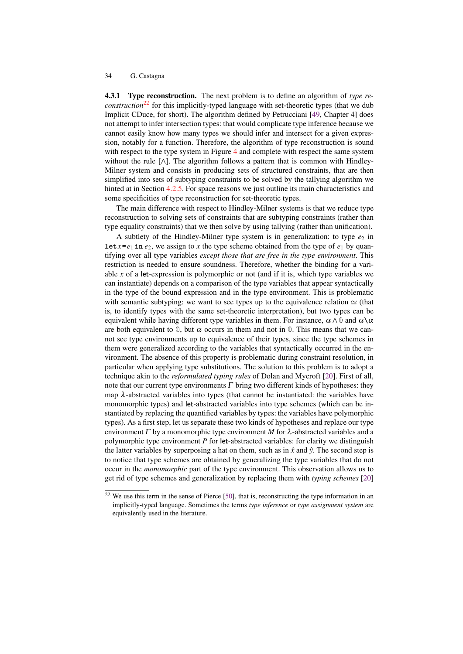<span id="page-33-1"></span>4.3.1 Type reconstruction. The next problem is to define an algorithm of *type reconstruction*[22](#page-33-0) for this implicitly-typed language with set-theoretic types (that we dub Implicit CDuce, for short). The algorithm defined by Petrucciani [\[49,](#page-57-14) Chapter 4] does not attempt to infer intersection types: that would complicate type inference because we cannot easily know how many types we should infer and intersect for a given expression, notably for a function. Therefore, the algorithm of type reconstruction is sound with respect to the type system in Figure [4](#page-32-0) and complete with respect the same system without the rule [∧]. The algorithm follows a pattern that is common with Hindley-Milner system and consists in producing sets of structured constraints, that are then simplified into sets of subtyping constraints to be solved by the tallying algorithm we hinted at in Section [4.2.5.](#page-27-1) For space reasons we just outline its main characteristics and some specificities of type reconstruction for set-theoretic types.

The main difference with respect to Hindley-Milner systems is that we reduce type reconstruction to solving sets of constraints that are subtyping constraints (rather than type equality constraints) that we then solve by using tallying (rather than unification).

A subtlety of the Hindley-Milner type system is in generalization: to type  $e_2$  in **let**  $x = e_1$  in  $e_2$ , we assign to x the type scheme obtained from the type of  $e_1$  by quantifying over all type variables *except those that are free in the type environment*. This restriction is needed to ensure soundness. Therefore, whether the binding for a variable *x* of a let-expression is polymorphic or not (and if it is, which type variables we can instantiate) depends on a comparison of the type variables that appear syntactically in the type of the bound expression and in the type environment. This is problematic with semantic subtyping: we want to see types up to the equivalence relation  $\simeq$  (that is, to identify types with the same set-theoretic interpretation), but two types can be equivalent while having different type variables in them. For instance,  $\alpha \wedge \beta$  and  $\alpha \wedge \alpha$ are both equivalent to  $\mathbb{0}$ , but  $\alpha$  occurs in them and not in  $\mathbb{0}$ . This means that we cannot see type environments up to equivalence of their types, since the type schemes in them were generalized according to the variables that syntactically occurred in the environment. The absence of this property is problematic during constraint resolution, in particular when applying type substitutions. The solution to this problem is to adopt a technique akin to the *reformulated typing rules* of Dolan and Mycroft [\[20\]](#page-56-15). First of all, note that our current type environments  $\Gamma$  bring two different kinds of hypotheses: they map  $\lambda$ -abstracted variables into types (that cannot be instantiated: the variables have monomorphic types) and let-abstracted variables into type schemes (which can be instantiated by replacing the quantified variables by types: the variables have polymorphic types). As a first step, let us separate these two kinds of hypotheses and replace our type environment  $\Gamma$  by a monomorphic type environment *M* for  $\lambda$ -abstracted variables and a polymorphic type environment *P* for let-abstracted variables: for clarity we distinguish the latter variables by superposing a hat on them, such as in  $\hat{x}$  and  $\hat{y}$ . The second step is to notice that type schemes are obtained by generalizing the type variables that do not occur in the *monomorphic* part of the type environment. This observation allows us to get rid of type schemes and generalization by replacing them with *typing schemes* [\[20\]](#page-56-15)

<span id="page-33-0"></span> $22$  We use this term in the sense of Pierce [\[50\]](#page-57-19), that is, reconstructing the type information in an implicitly-typed language. Sometimes the terms *type inference* or *type assignment system* are equivalently used in the literature.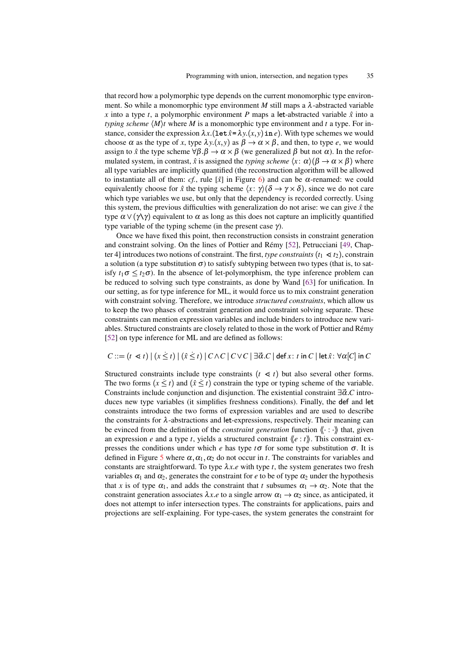that record how a polymorphic type depends on the current monomorphic type environment. So while a monomorphic type environment *M* still maps a  $\lambda$ -abstracted variable *x* into a type *t*, a polymorphic environment *P* maps a let-abstracted variable  $\hat{x}$  into a *typing scheme*  $\langle M \rangle t$  where *M* is a monomorphic type environment and *t* a type. For instance, consider the expression  $\lambda x$ . (let  $\hat{x} = \lambda y$ , (x, y) in e). With type schemes we would choose  $\alpha$  as the type of *x*, type  $\lambda y(x, y)$  as  $\beta \to \alpha \times \beta$ , and then, to type *e*, we would assign to  $\hat{x}$  the type scheme  $\forall \beta \cdot \beta \rightarrow \alpha \times \beta$  (we generalized  $\beta$  but not  $\alpha$ ). In the reformulated system, in contrast,  $\hat{x}$  is assigned the *typing scheme*  $\langle x : \alpha \rangle (\beta \to \alpha \times \beta)$  where all type variables are implicitly quantified (the reconstruction algorithm will be allowed to instantiate all of them: *cf.*, rule  $[\hat{x}]$  in Figure [6\)](#page-35-0) and can be  $\alpha$ -renamed: we could equivalently choose for  $\hat{x}$  the typing scheme  $\langle x : \gamma \rangle (\delta \to \gamma \times \delta)$ , since we do not care which type variables we use, but only that the dependency is recorded correctly. Using this system, the previous difficulties with generalization do not arise: we can give  $\hat{x}$  the type  $\alpha \vee (\gamma \vee \gamma)$  equivalent to  $\alpha$  as long as this does not capture an implicitly quantified type variable of the typing scheme (in the present case γ).

Once we have fixed this point, then reconstruction consists in constraint generation and constraint solving. On the lines of Pottier and Rémy [[52\]](#page-57-20), Petrucciani [\[49,](#page-57-14) Chapter 4] introduces two notions of constraint. The first, *type constraints*  $(t_1 \leq t_2)$ , constraints a solution (a type substitution  $\sigma$ ) to satisfy subtyping between two types (that is, to satisfy  $t_1 \sigma \leq t_2 \sigma$ ). In the absence of let-polymorphism, the type inference problem can be reduced to solving such type constraints, as done by Wand [\[63\]](#page-58-4) for unification. In our setting, as for type inference for ML, it would force us to mix constraint generation with constraint solving. Therefore, we introduce *structured constraints*, which allow us to keep the two phases of constraint generation and constraint solving separate. These constraints can mention expression variables and include binders to introduce new variables. Structured constraints are closely related to those in the work of Pottier and Remy ´ [\[52\]](#page-57-20) on type inference for ML and are defined as follows:

# $C ::= (t \le t) | (x \le t) | (\hat{x} \le t) | C \wedge C | C \vee C | \exists \vec{\alpha} . C | \text{def } x : t \text{ in } C | \text{let } \hat{x} : \forall \alpha [C] \text{ in } C$

Structured constraints include type constraints  $(t \leq t)$  but also several other forms. The two forms  $(x < t)$  and  $(\hat{x} < t)$  constrain the type or typing scheme of the variable. Constraints include conjunction and disjunction. The existential constraint ∃*~*α*.C* introduces new type variables (it simplifies freshness conditions). Finally, the def and let constraints introduce the two forms of expression variables and are used to describe the constraints for  $\lambda$ -abstractions and let-expressions, respectively. Their meaning can be evinced from the definition of the *constraint generation* function  $\langle \langle \cdot \rangle$ :  $\rangle$  that, given an expression *e* and a type *t*, yields a structured constraint  $\langle e : t \rangle$ . This constraint expresses the conditions under which *e* has type *t*σ for some type substitution σ. It is defined in Figure [5](#page-35-1) where  $\alpha$ ,  $\alpha_1$ ,  $\alpha_2$  do not occur in *t*. The constraints for variables and constants are straightforward. To type  $\lambda x.e$  with type *t*, the system generates two fresh variables  $\alpha_1$  and  $\alpha_2$ , generates the constraint for *e* to be of type  $\alpha_2$  under the hypothesis that *x* is of type  $\alpha_1$ , and adds the constraint that *t* subsumes  $\alpha_1 \rightarrow \alpha_2$ . Note that the constraint generation associates  $\lambda x.e$  to a single arrow  $\alpha_1 \rightarrow \alpha_2$  since, as anticipated, it does not attempt to infer intersection types. The constraints for applications, pairs and projections are self-explaining. For type-cases, the system generates the constraint for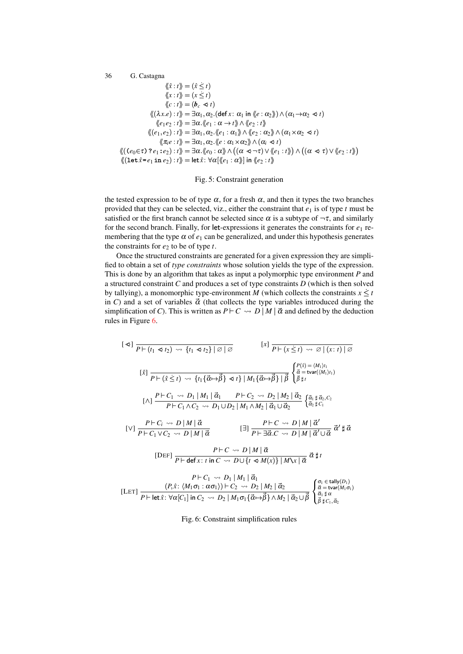<span id="page-35-1"></span>
$$
\langle \hat{x} : t \rangle = (\hat{x} \le t)
$$
  
\n
$$
\langle x : t \rangle = (x \le t)
$$
  
\n
$$
\langle c : t \rangle = (b_c \triangle t)
$$
  
\n
$$
\langle ( \lambda x . e ) : t \rangle = \exists \alpha_1, \alpha_2. (\text{def } x : \alpha_1 \text{ in } \langle e : \alpha_2 \rangle) \wedge (\alpha_1 \rightarrow \alpha_2 \triangle t)
$$
  
\n
$$
\langle (e_1 e_2 : t \rangle) = \exists \alpha_1 \langle e_1 : \alpha \rightarrow t \rangle \wedge \langle e_2 : t \rangle
$$
  
\n
$$
\langle (e_1, e_2) : t \rangle = \exists \alpha_1, \alpha_2. \langle e_1 : \alpha_1 \rangle \wedge \langle e_2 : \alpha_2 \rangle \wedge (\alpha_1 \times \alpha_2 \triangle t)
$$
  
\n
$$
\langle (e_1, e_2) : t \rangle = \exists \alpha_1, \alpha_2. \langle e : \alpha_1 \times \alpha_2 \rangle \wedge (\alpha_i \triangle t)
$$
  
\n
$$
\langle ((e_0 \in \tau) ? e_1 : e_2) : t \rangle = \exists \alpha. \langle e_0 : \alpha \rangle \wedge ((\alpha \triangle \neg \tau) \vee \langle e_1 : t \rangle) \wedge ((\alpha \triangle \tau) \vee \langle e_2 : t \rangle)
$$
  
\n
$$
\langle (1 \text{et } \hat{x} = e_1 \text{ in } e_2) : t \rangle = \text{let } \hat{x} : \forall \alpha [\langle e_1 : \alpha \rangle] \text{ in } \langle e_2 : t \rangle
$$

#### Fig. 5: Constraint generation

the tested expression to be of type  $\alpha$ , for a fresh  $\alpha$ , and then it types the two branches provided that they can be selected, viz., either the constraint that  $e_1$  is of type  $t$  must be satisfied or the first branch cannot be selected since  $\alpha$  is a subtype of  $\neg \tau$ , and similarly for the second branch. Finally, for let-expressions it generates the constraints for  $e_1$  remembering that the type  $\alpha$  of  $e_1$  can be generalized, and under this hypothesis generates the constraints for  $e_2$  to be of type  $t$ .

Once the structured constraints are generated for a given expression they are simplified to obtain a set of *type constraints* whose solution yields the type of the expression. This is done by an algorithm that takes as input a polymorphic type environment *P* and a structured constraint *C* and produces a set of type constraints *D* (which is then solved by tallying), a monomorphic type-environment *M* (which collects the constraints  $x \leq t$ in *C*) and a set of variables  $\vec{\alpha}$  (that collects the type variables introduced during the simplification of *C*). This is written as  $P \vdash C \leadsto D | M | \vec{\alpha}$  and defined by the deduction rules in Figure [6.](#page-35-0)

<span id="page-35-0"></span>[*<*◦] *P* ` (*t*<sup>1</sup> *<*◦ *t*2) {*t*<sup>1</sup> *<*◦ *t*2} | ∅ | ∅ [*x*] *P* ` (*x* ≤˙ *t*) ∅ | (*x* : *t*) | ∅ [ ˆ*x*] *<sup>P</sup>* ` (*x*<sup>ˆ</sup> <sup>≤</sup>˙ *<sup>t</sup>*) {*t*1{*~*α7→*~*β} ◦*<sup>&</sup>lt; <sup>t</sup>*} | *<sup>M</sup>*1{*~*α7→*~*β} | *<sup>~</sup>*<sup>β</sup> ( *P*(*x*ˆ) = h*M*1i*t*<sup>1</sup> *~*α = tvar(h*M*1i*t*1) *~*β *] t* [∧] *P* ` *C*<sup>1</sup> *D*<sup>1</sup> | *M*<sup>1</sup> | *~*α<sup>1</sup> *P* ` *C*<sup>2</sup> *D*<sup>2</sup> | *M*<sup>2</sup> | *~*α<sup>2</sup> *P* ` *C*<sup>1</sup> ∧*C*<sup>2</sup> *D*<sup>1</sup> ∪*D*<sup>2</sup> | *M*<sup>1</sup> ∧ *M*<sup>2</sup> | *~*α<sup>1</sup> ∪*~*α<sup>2</sup> n *~*α<sup>1</sup> *] ~*α2*,C*<sup>2</sup> *~*α<sup>2</sup> *] C*<sup>1</sup> [∨] *P* ` *C<sup>i</sup> D* | *M* | *~*α *P* ` *C*<sup>1</sup> ∨*C*<sup>2</sup> *D* | *M* | *~*α [∃] *P* ` *C D* | *M* | *~*α 0 *P* ` ∃*~*α*.C D* | *M* | *~*α <sup>0</sup> ∪*~*α *~*α 0 *] ~*α [DEF] *P* ` *C D* | *M* | *~*α *P* ` def *x* : *t* in *C D*∪ {*t <*◦ *M*(*x*)} | *M*\*x* | *~*α *~*α *] t* [LET] (*P, x*ˆ: h*M*1σ<sup>1</sup> : ασ1i) ` *C*<sup>2</sup> *D*<sup>2</sup> | *M*<sup>2</sup> | *~*α<sup>2</sup> *P* ` *C*<sup>1</sup> *D*<sup>1</sup> | *M*<sup>1</sup> | *~*α<sup>1</sup> *<sup>P</sup>* ` let *<sup>x</sup>*ˆ: <sup>∀</sup>α[*C*1] in *<sup>C</sup>*<sup>2</sup> *<sup>D</sup>*<sup>2</sup> <sup>|</sup> *<sup>M</sup>*1σ1{*~*α7→*~*β} ∧*M*<sup>2</sup> <sup>|</sup> *<sup>~</sup>*α<sup>2</sup> <sup>∪</sup>*~*<sup>β</sup> σ<sup>1</sup> ∈ tally(*D*1) *~*α = tvar(*M*1σ1) *~*α<sup>1</sup> *]* α *~*β *] C*1*,~*α<sup>2</sup>

Fig. 6: Constraint simplification rules

 $\mathbf{I}$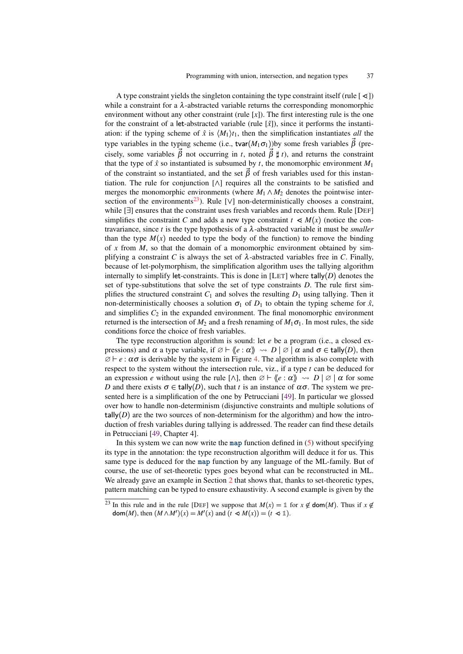A type constraint yields the singleton containing the type constraint itself (rule [*<*◦ ]) while a constraint for a  $\lambda$ -abstracted variable returns the corresponding monomorphic environment without any other constraint (rule  $[x]$ ). The first interesting rule is the one for the constraint of a let-abstracted variable (rule  $[\hat{x}]$ ), since it performs the instantiation: if the typing scheme of  $\hat{x}$  is  $\langle M_1 \rangle t_1$ , then the simplification instantiates *all* the type variables in the typing scheme (i.e., tvar $(M_1 \sigma_1)$ )by some fresh variables  $\vec{\beta}$  (precisely, some variables  $\vec{\beta}$  not occurring in *t*, noted  $\vec{\beta} \sharp t$ , and returns the constraint that the type of  $\hat{x}$  so instantiated is subsumed by *t*, the monomorphic environment  $M_1$ of the constraint so instantiated, and the set  $\vec{\beta}$  of fresh variables used for this instantiation. The rule for conjunction [∧] requires all the constraints to be satisfied and merges the monomorphic environments (where  $M_1 \wedge M_2$  denotes the pointwise inter-section of the environments<sup>[23](#page-36-0)</sup>). Rule [∨] non-deterministically chooses a constraint, while [∃] ensures that the constraint uses fresh variables and records them. Rule [DEF] simplifies the constraint *C* and adds a new type constraint  $t \leq M(x)$  (notice the contravariance, since *t* is the type hypothesis of a λ-abstracted variable it must be *smaller* than the type  $M(x)$  needed to type the body of the function) to remove the binding of *x* from *M*, so that the domain of a monomorphic environment obtained by simplifying a constraint *C* is always the set of  $\lambda$ -abstracted variables free in *C*. Finally, because of let-polymorphism, the simplification algorithm uses the tallying algorithm internally to simplify let-constraints. This is done in [LET] where tally(*D*) denotes the set of type-substitutions that solve the set of type constraints *D*. The rule first simplifies the structured constraint  $C_1$  and solves the resulting  $D_1$  using tallying. Then it non-deterministically chooses a solution  $\sigma_1$  of  $D_1$  to obtain the typing scheme for  $\hat{x}$ , and simplifies  $C_2$  in the expanded environment. The final monomorphic environment returned is the intersection of  $M_2$  and a fresh renaming of  $M_1\sigma_1$ . In most rules, the side conditions force the choice of fresh variables.

The type reconstruction algorithm is sound: let *e* be a program (i.e., a closed expressions) and  $\alpha$  a type variable, if  $\emptyset \vdash \langle e : \alpha \rangle \rangle \rightsquigarrow D \mid \emptyset \mid \alpha$  and  $\sigma \in \mathsf{tally}(D)$ , then  $\varnothing \vdash e : \alpha \sigma$  is derivable by the system in Figure [4.](#page-32-0) The algorithm is also complete with respect to the system without the intersection rule, viz., if a type *t* can be deduced for an expression *e* without using the rule [ $\wedge$ ], then  $\emptyset \vdash \langle \langle e : \alpha \rangle \rangle \leadsto D \mid \emptyset \mid \alpha$  for some *D* and there exists  $\sigma \in \mathsf{t}$  ally(*D*), such that *t* is an instance of  $\alpha \sigma$ . The system we presented here is a simplification of the one by Petrucciani [\[49\]](#page-57-14). In particular we glossed over how to handle non-determinism (disjunctive constraints and multiple solutions of  $tally(D)$  are the two sources of non-determinism for the algorithm) and how the introduction of fresh variables during tallying is addressed. The reader can find these details in Petrucciani [\[49,](#page-57-14) Chapter 4].

In this system we can now write the map function defined in  $(5)$  without specifying its type in the annotation: the type reconstruction algorithm will deduce it for us. This same type is deduced for the map function by any language of the ML-family. But of course, the use of set-theoretic types goes beyond what can be reconstructed in ML. We already gave an example in Section [2](#page-3-0) that shows that, thanks to set-theoretic types, pattern matching can be typed to ensure exhaustivity. A second example is given by the

<span id="page-36-0"></span><sup>&</sup>lt;sup>23</sup> In this rule and in the rule [DEF] we suppose that  $M(x) = 1$  for  $x \notin \text{dom}(M)$ . Thus if  $x \notin$ dom(*M*), then  $(M \wedge M')(x) = M'(x)$  and  $(t \preccurlyeq M(x)) = (t \preccurlyeq 1)$ .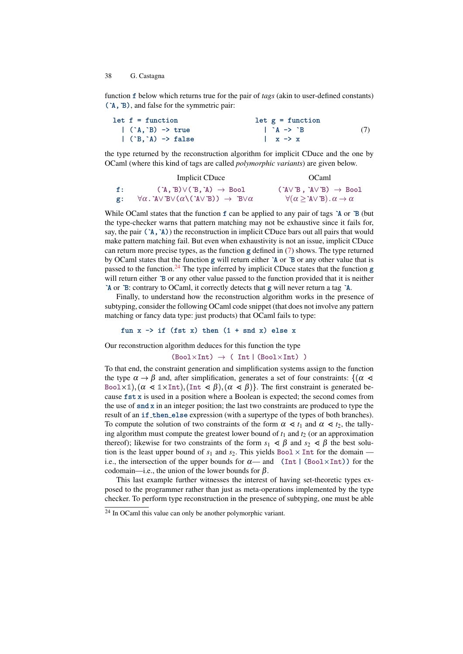function f below which returns true for the pair of *tags* (akin to user-defined constants) (`A,`B), and false for the symmetric pair:

<span id="page-37-0"></span>

| $let f = function$                    | $let g = function$                                                           |     |
|---------------------------------------|------------------------------------------------------------------------------|-----|
| $(\hat{A}, \hat{B}) \rightarrow true$ | $\uparrow$ $\uparrow$ $\uparrow$ $\uparrow$ $\uparrow$ $\uparrow$ $\uparrow$ | (7) |
| $\vert$ ( $B, A$ ) -> false           | $\vert$ x -> x                                                               |     |

the type returned by the reconstruction algorithm for implicit CDuce and the one by OCaml (where this kind of tags are called *polymorphic variants*) are given below.

|        | Implicit CDuce                                                                               | OCaml                                                             |
|--------|----------------------------------------------------------------------------------------------|-------------------------------------------------------------------|
| $-f$ : | $(A, B) \vee (B, A) \rightarrow B$ ool                                                       | $(YAVB, YVB) \rightarrow Bool$                                    |
| g:     | $\forall \alpha$ . AV BV $(\alpha \setminus (\neg \text{AV B})) \rightarrow \text{BV}\alpha$ | $\forall (\alpha \geq A \vee B) \ldotp \alpha \rightarrow \alpha$ |

While OCaml states that the function f can be applied to any pair of tags  $A$  or  $B$  (but the type-checker warns that pattern matching may not be exhaustive since it fails for, say, the pair  $(\hat{A}, \hat{A})$  the reconstruction in implicit CDuce bars out all pairs that would make pattern matching fail. But even when exhaustivity is not an issue, implicit CDuce can return more precise types, as the function g defined in [\(7\)](#page-37-0) shows. The type returned by OCaml states that the function g will return either `A or `B or any other value that is passed to the function.<sup>[24](#page-37-1)</sup> The type inferred by implicit CDuce states that the function g will return either `B or any other value passed to the function provided that it is neither `A or `B: contrary to OCaml, it correctly detects that g will never return a tag `A.

Finally, to understand how the reconstruction algorithm works in the presence of subtyping, consider the following OCaml code snippet (that does not involve any pattern matching or fancy data type: just products) that OCaml fails to type:

fun  $x \rightarrow if$  (fst  $x$ ) then  $(1 + \text{snd } x)$  else x

Our reconstruction algorithm deduces for this function the type

 $(Bool\times Int) \rightarrow (Int | (Bool\times Int) )$ 

To that end, the constraint generation and simplification systems assign to the function the type  $\alpha \to \beta$  and, after simplification, generates a set of four constraints: { $(\alpha \le \alpha)$ } Bool $\times$ 1)*,*( $\alpha \leq 1 \times$ Int)*,*(Int  $\leq \beta$ )*,*( $\alpha \leq \beta$ )}. The first constraint is generated because fst x is used in a position where a Boolean is expected; the second comes from the use of snd x in an integer position; the last two constraints are produced to type the result of an if\_then\_else expression (with a supertype of the types of both branches). To compute the solution of two constraints of the form  $\alpha \ll t_1$  and  $\alpha \ll t_2$ , the tallying algorithm must compute the greatest lower bound of  $t_1$  and  $t_2$  (or an approximation thereof); likewise for two constraints of the form  $s_1 \leq \beta$  and  $s_2 \leq \beta$  the best solution is the least upper bound of  $s_1$  and  $s_2$ . This yields Bool  $\times$  Int for the domain i.e., the intersection of the upper bounds for  $\alpha$ — and (Int | (Bool×Int)) for the codomain—i.e., the union of the lower bounds for  $\beta$ .

This last example further witnesses the interest of having set-theoretic types exposed to the programmer rather than just as meta-operations implemented by the type checker. To perform type reconstruction in the presence of subtyping, one must be able

<span id="page-37-1"></span><sup>24</sup> In OCaml this value can only be another polymorphic variant.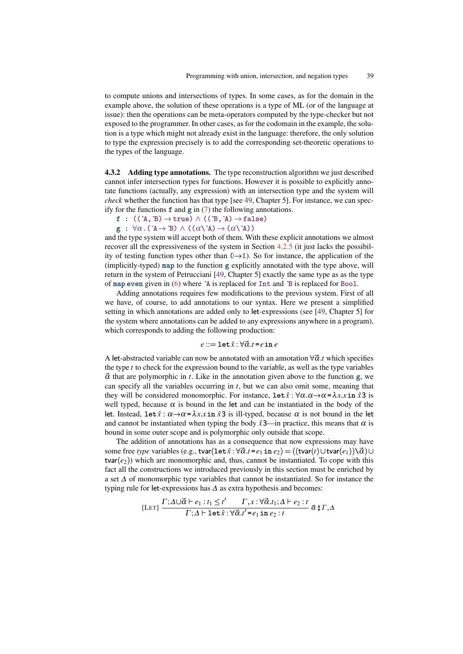to compute unions and intersections of types. In some cases, as for the domain in the example above, the solution of these operations is a type of ML (or of the language at issue): then the operations can be meta-operators computed by the type-checker but not exposed to the programmer. In other cases, as for the codomain in the example, the solution is a type which might not already exist in the language: therefore, the only solution to type the expression precisely is to add the corresponding set-theoretic operations to the types of the language.

<span id="page-38-0"></span>4.3.2 Adding type annotations. The type reconstruction algorithm we just described cannot infer intersection types for functions. However it is possible to explicitly annotate functions (actually, any expression) with an intersection type and the system will *check* whether the function has that type [see [49,](#page-57-14) Chapter 5]. For instance, we can specify for the functions  $f$  and  $g$  in [\(7\)](#page-37-0) the following annotations.

```
f : ((\A, \Bbb{B}) \rightarrow true) \wedge ((\B, \A) \rightarrow false)
```
 $g : \forall \alpha \, (\hat{A} \rightarrow B) \land ((\alpha \hat{A}) \rightarrow (\alpha \hat{A}))$ 

and the type system will accept both of them. With these explicit annotations we almost recover all the expressiveness of the system in Section [4.2.5](#page-27-1) (it just lacks the possibility of testing function types other than **0**→**1**). So for instance, the application of the (implicitly-typed) map to the function g explicitly annotated with the type above, will return in the system of Petrucciani [\[49,](#page-57-14) Chapter 5] exactly the same type as as the type of map even given in  $(6)$  where  $\lambda$  is replaced for Int and  $\lambda$  B is replaced for Bool.

Adding annotations requires few modifications to the previous system. First of all we have, of course, to add annotations to our syntax. Here we present a simplified setting in which annotations are added only to let-expressions (see [\[49,](#page-57-14) Chapter 5] for the system where annotations can be added to any expressions anywhere in a program), which corresponds to adding the following production:

#### $e ::= \texttt{let} \hat{x} : \forall \vec{\alpha}. t = e \texttt{in} \ e$

A let-abstracted variable can now be annotated with an annotation  $\forall \vec{\alpha} \cdot t$  which specifies the type *t* to check for the expression bound to the variable, as well as the type variables  $\vec{\alpha}$  that are polymorphic in *t*. Like in the annotation given above to the function g, we can specify all the variables occurring in *t*, but we can also omit some, meaning that they will be considered monomorphic. For instance,  $\text{let } \hat{x} : \forall \alpha . \alpha \rightarrow \alpha = \lambda x.x \text{ in } \hat{x}3$  is well typed, because  $\alpha$  is bound in the let and can be instantiated in the body of the let. Instead,  $\text{let } \hat{x}$ :  $\alpha \rightarrow \alpha = \lambda x.x$  in  $\hat{x}$ 3 is ill-typed, because  $\alpha$  is not bound in the let and cannot be instantiated when typing the body  $\hat{x}3$ —in practice, this means that  $\alpha$  is bound in some outer scope and is polymorphic only outside that scope.

The addition of annotations has as a consequence that now expressions may have some free *type* variables (e.g., tvar(let $\hat{x}$ : ∀ $\vec{\alpha}$ .*t* =  $e_1$  in  $e_2$ ) = ((tvar(*t*)∪tvar( $e_1$ )) $\langle \vec{\alpha} \rangle$ ∪  $\text{tvar}(e_2)$ ) which are monomorphic and, thus, cannot be instantiated. To cope with this fact all the constructions we introduced previously in this section must be enriched by a set ∆ of monomorphic type variables that cannot be instantiated. So for instance the typing rule for let-expressions has  $\Delta$  as extra hypothesis and becomes:

[LET] 
$$
\frac{\Gamma;\Delta\cup\vec{\alpha}\vdash e_1:t_1\leq t'}{\Gamma;\Delta\vdash\mathbf{let}\hat{x}:\forall\vec{\alpha}.t'_1=e_1\mathbf{in}\,e_2:t}\vec{\alpha}\,\sharp\Gamma,\Delta
$$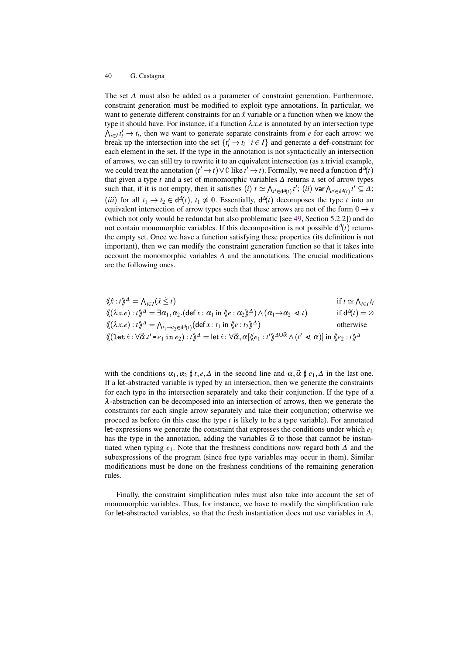The set  $\Delta$  must also be added as a parameter of constraint generation. Furthermore, constraint generation must be modified to exploit type annotations. In particular, we want to generate different constraints for an  $\hat{x}$  variable or a function when we know the type it should have. For instance, if a function  $\lambda x.e$  is annotated by an intersection type  $\bigwedge_{i \in I} t_i' \to t_i$ , then we want to generate separate constraints from *e* for each arrow: we break up the intersection into the set  $\{t'_{i} \rightarrow t_{i} \mid i \in I\}$  and generate a def-constraint for each element in the set. If the type in the annotation is not syntactically an intersection of arrows, we can still try to rewrite it to an equivalent intersection (as a trivial example, we could treat the annotation  $(t' \rightarrow t) \vee \mathbb{O}$  like  $t' \rightarrow t$ ). Formally, we need a function  $d^{\Delta}(t)$ that given a type *t* and a set of monomorphic variables ∆ returns a set of arrow types such that, if it is not empty, then it satisfies (*i*)  $t \approx \bigwedge_{t' \in d} \bigwedge_{t'} j'$ ; (*ii*) var  $\bigwedge_{t' \in d} \biguplus_{t'} j' \subseteq \Delta$ ; (*iii*) for all  $t_1 \to t_2 \in d^{\Delta}(t)$ ,  $t_1 \neq \emptyset$ . Essentially,  $d^{\Delta}(t)$  decomposes the type *t* into an equivalent intersection of arrow types such that these arrows are not of the form  $0 \rightarrow s$ (which not only would be redundat but also problematic [see [49,](#page-57-14) Section 5.2.2]) and do not contain monomorphic variables. If this decomposition is not possible  $d^2(t)$  returns the empty set. Once we have a function satisfying these properties (its definition is not important), then we can modify the constraint generation function so that it takes into account the monomorphic variables  $\Delta$  and the annotations. The crucial modifications are the following ones.

$$
\langle\!\langle \hat{x} : t \rangle\!\rangle^{\Delta} = \bigwedge_{i \in I} (\hat{x} \le t) \qquad \text{if } t \simeq \bigwedge_{i \in I} t_i
$$
\n
$$
\langle\!\langle \lambda x . e \rangle : t \rangle\!\rangle^{\Delta} = \exists \alpha_1, \alpha_2. (\text{def } x : \alpha_1 \text{ in } \langle\!\langle e : \alpha_2 \rangle\!\rangle^{\Delta}) \wedge (\alpha_1 \rightarrow \alpha_2 \prec t) \qquad \text{if } d^{\Delta}(t) = \varnothing
$$
\n
$$
\langle\!\langle \lambda x . e \rangle : t \rangle\!\rangle^{\Delta} = \bigwedge_{t_1 \rightarrow t_2 \in d^{\Delta}(t)} (\text{def } x : t_1 \text{ in } \langle\!\langle e : t_2 \rangle\!\rangle^{\Delta}) \qquad \text{otherwise}
$$
\n
$$
\langle\!\langle \text{let } \hat{x} : \forall \vec{\alpha}, t' = e_1 \text{ in } e_2 \rangle : t \rangle\!\rangle^{\Delta} = \text{let } \hat{x} : \forall \vec{\alpha}, \alpha [\langle\!\langle e_1 : t' \rangle\!\rangle^{\Delta \cup \vec{\alpha}} \wedge (t' \prec \alpha)] \text{ in } \langle\!\langle e_2 : t \rangle\!\rangle^{\Delta}
$$

with the conditions  $\alpha_1, \alpha_2 \sharp t, e, \Delta$  in the second line and  $\alpha, \vec{\alpha} \sharp e_1, \Delta$  in the last one. If a let-abstracted variable is typed by an intersection, then we generate the constraints for each type in the intersection separately and take their conjunction. If the type of a λ-abstraction can be decomposed into an intersection of arrows, then we generate the constraints for each single arrow separately and take their conjunction; otherwise we proceed as before (in this case the type *t* is likely to be a type variable). For annotated let-expressions we generate the constraint that expresses the conditions under which *e*<sup>1</sup> has the type in the annotation, adding the variables  $\vec{\alpha}$  to those that cannot be instantiated when typing  $e_1$ . Note that the freshness conditions now regard both  $\Delta$  and the subexpressions of the program (since free type variables may occur in them). Similar modifications must be done on the freshness conditions of the remaining generation rules.

Finally, the constraint simplification rules must also take into account the set of monomorphic variables. Thus, for instance, we have to modify the simplification rule for let-abstracted variables, so that the fresh instantiation does not use variables in  $\Delta$ ,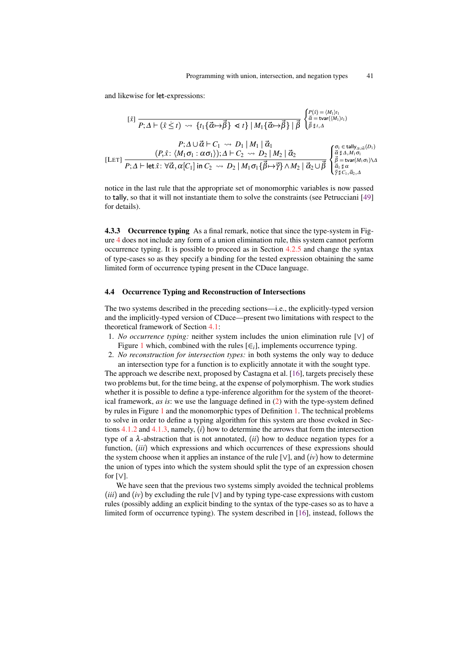and likewise for let-expressions:

$$
\begin{aligned}\n\text{[}\hat{x}\text{]} \overline{P;\Delta\vdash (\hat{x}\leq t)\leadsto \{t_1\{\vec{\alpha}\mapsto\vec{\beta}\}\}\vartriangleleft t\} \mid M_1\{\vec{\alpha}\mapsto\vec{\beta}\}\mid \vec{\beta} \end{aligned}\n\begin{aligned}\n\begin{aligned}\n\begin{aligned}\n\begin{aligned}\nP(\hat{x}) &= \langle M_1\rangle t_1 \\
\vec{\alpha} &= \text{tvar}(\langle M_1\rangle t_1)\n\end{aligned} \\
P;\Delta\vdash (\hat{x}\leq t) &\leadsto \{t_1\{\vec{\alpha}\mapsto\vec{\beta}\}\}\vartriangleleft t\} \mid M_1\{\vec{\alpha}\mapsto\vec{\beta}\}\mid \vec{\beta} \end{aligned}\n\end{aligned}\n\end{aligned}
$$
\n
$$
\begin{aligned}\n\text{[LET] } \frac{(P,\hat{x}\colon \langle M_1\sigma_1:\alpha\sigma_1\rangle); \Delta\vdash C_2 \leadsto D_2 \mid M_2 \mid \vec{\alpha}_2}{P;\Delta\vdash \text{let}\hat{x}\colon \forall \vec{\alpha}, \alpha[C_1] \text{ in } C_2 \leadsto D_2 \mid M_1\sigma_1\{\vec{\beta}\mapsto\vec{\gamma}\}\wedge M_2 \mid \vec{\alpha}_2\cup\vec{\beta} \end{aligned}\n\begin{aligned}\n\begin{aligned}\n\begin{aligned}\n\frac{\sigma_1\in \text{tally}_{\Delta\cup\vec{\alpha}}(D_1)}{\vec{\beta} &= \text{tvar}(\langle M_1\rangle t_1)} \\
\frac{\sigma_1\in \text{tally}_{\Delta\cup\vec{\alpha}}(D_1)}{\vec{\beta} &= \text{tvar}(M_1\sigma_1)\wedge \Delta t_1}\n\end{aligned}\n\end{aligned}
$$

notice in the last rule that the appropriate set of monomorphic variables is now passed to tally, so that it will not instantiate them to solve the constraints (see Petrucciani [\[49\]](#page-57-14) for details).

4.3.3 Occurrence typing As a final remark, notice that since the type-system in Figure [4](#page-32-0) does not include any form of a union elimination rule, this system cannot perform occurrence typing. It is possible to proceed as in Section [4.2.5](#page-27-1) and change the syntax of type-cases so as they specify a binding for the tested expression obtaining the same limited form of occurrence typing present in the CDuce language.

## <span id="page-40-0"></span>4.4 Occurrence Typing and Reconstruction of Intersections

The two systems described in the preceding sections—i.e., the explicitly-typed version and the implicitly-typed version of CDuce—present two limitations with respect to the theoretical framework of Section [4.1:](#page-15-1)

- 1. *No occurrence typing:* neither system includes the union elimination rule [∨] of Figure [1](#page-16-0) which, combined with the rules  $[\epsilon_i]$ , implements occurrence typing.
- 2. *No reconstruction for intersection types:* in both systems the only way to deduce an intersection type for a function is to explicitly annotate it with the sought type.

The approach we describe next, proposed by Castagna et al. [\[16\]](#page-55-1), targets precisely these two problems but, for the time being, at the expense of polymorphism. The work studies whether it is possible to define a type-inference algorithm for the system of the theoretical framework, *as is*: we use the language defined in [\(2\)](#page-15-2) with the type-system defined by rules in Figure [1](#page-16-0) and the monomorphic types of Definition [1.](#page-11-1) The technical problems to solve in order to define a typing algorithm for this system are those evoked in Sections [4.1.2](#page-19-1) and [4.1.3,](#page-21-0) namely, (*i*) how to determine the arrows that form the intersection type of a  $\lambda$ -abstraction that is not annotated,  $(ii)$  how to deduce negation types for a function, (*iii*) which expressions and which occurrences of these expressions should the system choose when it applies an instance of the rule  $[\vee]$ , and  $(iv)$  how to determine the union of types into which the system should split the type of an expression chosen for [∨].

We have seen that the previous two systems simply avoided the technical problems (*iii*) and (*iv*) by excluding the rule [∨] and by typing type-case expressions with custom rules (possibly adding an explicit binding to the syntax of the type-cases so as to have a limited form of occurrence typing). The system described in [\[16\]](#page-55-1), instead, follows the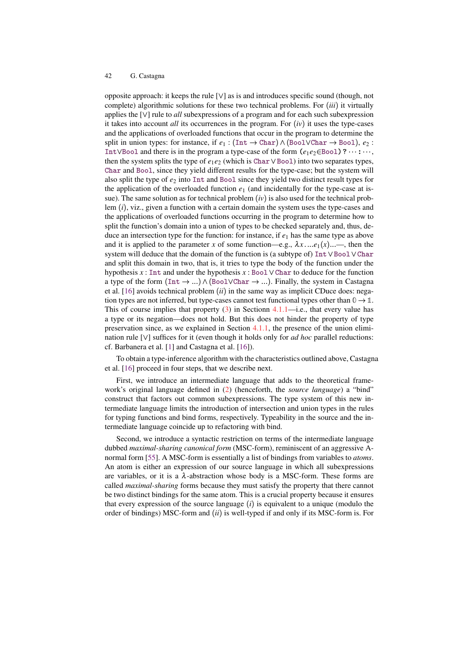opposite approach: it keeps the rule [∨] as is and introduces specific sound (though, not complete) algorithmic solutions for these two technical problems. For (*iii*) it virtually applies the [∨] rule to *all* subexpressions of a program and for each such subexpression it takes into account *all* its occurrences in the program. For  $(iv)$  it uses the type-cases and the applications of overloaded functions that occur in the program to determine the split in union types: for instance, if  $e_1$  : (Int  $\rightarrow$  Char)  $\land$  (Bool∨Char  $\rightarrow$  Bool),  $e_2$  : Int∨Bool and there is in the program a type-case of the form (*e*1*e*2∈Bool) ? ··· : ···, then the system splits the type of  $e_1e_2$  (which is Char  $\vee$  Bool) into two separates types, Char and Bool, since they yield different results for the type-case; but the system will also split the type of *e*<sup>2</sup> into Int and Bool since they yield two distinct result types for the application of the overloaded function  $e_1$  (and incidentally for the type-case at issue). The same solution as for technical problem (*iv*) is also used for the technical problem (*i*), viz., given a function with a certain domain the system uses the type-cases and the applications of overloaded functions occurring in the program to determine how to split the function's domain into a union of types to be checked separately and, thus, deduce an intersection type for the function: for instance, if  $e_1$  has the same type as above and it is applied to the parameter *x* of some function—e.g.,  $\lambda x$ .... $e_1(x)$ ...—, then the system will deduce that the domain of the function is (a subtype of) Int∨Bool∨Char and split this domain in two, that is, it tries to type the body of the function under the hypothesis *x* : Int and under the hypothesis *x* : Bool∨Char to deduce for the function a type of the form  $(\text{Int} \rightarrow ...) \land (\text{Bool} \vee \text{Char} \rightarrow ...)$ . Finally, the system in Castagna et al. [\[16\]](#page-55-1) avoids technical problem (*ii*) in the same way as implicit CDuce does: negation types are not inferred, but type-cases cannot test functional types other than  $0 \rightarrow 1$ . This of course implies that property  $(3)$  in Sectionn [4.1.1—](#page-17-0)i.e., that every value has a type or its negation—does not hold. But this does not hinder the property of type preservation since, as we explained in Section [4.1.1,](#page-17-0) the presence of the union elimination rule [∨] suffices for it (even though it holds only for *ad hoc* parallel reductions: cf. Barbanera et al. [\[1\]](#page-54-1) and Castagna et al. [\[16\]](#page-55-1)).

To obtain a type-inference algorithm with the characteristics outlined above, Castagna et al. [\[16\]](#page-55-1) proceed in four steps, that we describe next.

First, we introduce an intermediate language that adds to the theoretical framework's original language defined in [\(2\)](#page-15-2) (henceforth, the *source language*) a "bind" construct that factors out common subexpressions. The type system of this new intermediate language limits the introduction of intersection and union types in the rules for typing functions and bind forms, respectively. Typeability in the source and the intermediate language coincide up to refactoring with bind.

Second, we introduce a syntactic restriction on terms of the intermediate language dubbed *maximal-sharing canonical form* (MSC-form), reminiscent of an aggressive Anormal form [\[55\]](#page-58-5). A MSC-form is essentially a list of bindings from variables to *atoms*. An atom is either an expression of our source language in which all subexpressions are variables, or it is a  $\lambda$ -abstraction whose body is a MSC-form. These forms are called *maximal-sharing* forms because they must satisfy the property that there cannot be two distinct bindings for the same atom. This is a crucial property because it ensures that every expression of the source language (*i*) is equivalent to a unique (modulo the order of bindings) MSC-form and (*ii*) is well-typed if and only if its MSC-form is. For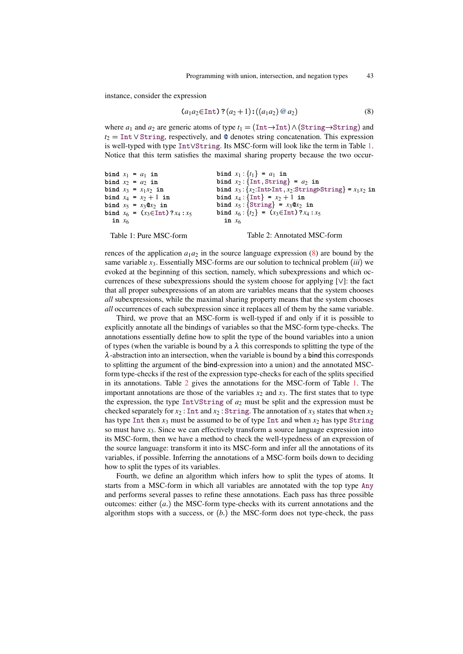instance, consider the expression

<span id="page-42-1"></span>
$$
(a_1a_2 \in \text{Int}) ? (a_2 + 1) : ((a_1a_2) @ a_2)
$$
 (8)

where  $a_1$  and  $a_2$  are generic atoms of type  $t_1 = (Int \rightarrow Int) \wedge (String \rightarrow String)$  and *t*<sup>2</sup> = Int ∨ String, respectively, and @ denotes string concatenation. This expression is well-typed with type Int∨String. Its MSC-form will look like the term in Table [1.](#page-42-0) Notice that this term satisfies the maximal sharing property because the two occur-

```
bind x_1 = a_1 in
bind x_2 = a_2 in
bind x_3 = x_1 x_2 in
bind x_4 = x_2 + 1 in
bind x_5 = x_3 \mathbf{Q} x_2 in
bind x_6 = (x_3 \in Int) ? x_4 : x_5in x_6bind x_1 : {t_1} = a_1 in
                                          bind x_2 : {Int, String} = a_2 in
                                          bind x_3: {x_2:Int\trianglerightInt, x_2:String\trianglerightString} = x_1x_2 in
                                          bind x_4: {Int} = x_2 + 1 in
                                          bind x_5 : {String} = x_3@x_2 in
                                          bind x_6 : {t_2} = (x_3 \in Int)?x_4 : x_5in x_6
```
Table 1: Pure MSC-form

#### Table 2: Annotated MSC-form

rences of the application  $a_1a_2$  in the source language expression [\(8\)](#page-42-1) are bound by the same variable *x*3. Essentially MSC-forms are our solution to technical problem (*iii*) we evoked at the beginning of this section, namely, which subexpressions and which occurrences of these subexpressions should the system choose for applying [∨]: the fact that all proper subexpressions of an atom are variables means that the system chooses *all* subexpressions, while the maximal sharing property means that the system chooses *all* occurrences of each subexpression since it replaces all of them by the same variable.

Third, we prove that an MSC-form is well-typed if and only if it is possible to explicitly annotate all the bindings of variables so that the MSC-form type-checks. The annotations essentially define how to split the type of the bound variables into a union of types (when the variable is bound by a  $\lambda$  this corresponds to splitting the type of the  $\lambda$ -abstraction into an intersection, when the variable is bound by a bind this corresponds to splitting the argument of the bind-expression into a union) and the annotated MSCform type-checks if the rest of the expression type-checks for each of the splits specified in its annotations. Table [2](#page-42-0) gives the annotations for the MSC-form of Table [1.](#page-42-0) The important annotations are those of the variables  $x_2$  and  $x_3$ . The first states that to type the expression, the type Int∨String of *a*<sup>2</sup> must be split and the expression must be checked separately for  $x_2$ : Int and  $x_2$ : String. The annotation of  $x_3$  states that when  $x_2$ has type Int then  $x_3$  must be assumed to be of type Int and when  $x_2$  has type String so must have  $x_3$ . Since we can effectively transform a source language expression into its MSC-form, then we have a method to check the well-typedness of an expression of the source language: transform it into its MSC-form and infer all the annotations of its variables, if possible. Inferring the annotations of a MSC-form boils down to deciding how to split the types of its variables.

Fourth, we define an algorithm which infers how to split the types of atoms. It starts from a MSC-form in which all variables are annotated with the top type Any and performs several passes to refine these annotations. Each pass has three possible outcomes: either (*a.*) the MSC-form type-checks with its current annotations and the algorithm stops with a success, or (*b.*) the MSC-form does not type-check, the pass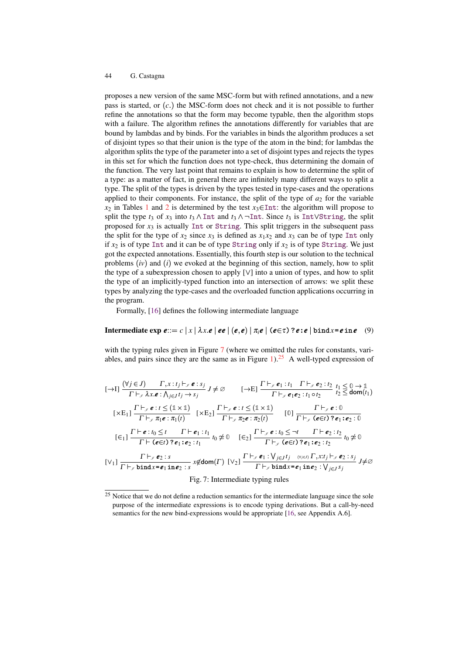proposes a new version of the same MSC-form but with refined annotations, and a new pass is started, or (*c.*) the MSC-form does not check and it is not possible to further refine the annotations so that the form may become typable, then the algorithm stops with a failure. The algorithm refines the annotations differently for variables that are bound by lambdas and by binds. For the variables in binds the algorithm produces a set of disjoint types so that their union is the type of the atom in the bind; for lambdas the algorithm splits the type of the parameter into a set of disjoint types and rejects the types in this set for which the function does not type-check, thus determining the domain of the function. The very last point that remains to explain is how to determine the split of a type: as a matter of fact, in general there are infinitely many different ways to split a type. The split of the types is driven by the types tested in type-cases and the operations applied to their components. For instance, the split of the type of  $a_2$  for the variable  $x_2$  $x_2$  in Tables [1](#page-42-0) and 2 is determined by the test  $x_3 \in Int$ : the algorithm will propose to split the type  $t_3$  of  $x_3$  into  $t_3 \wedge \text{Int}$  and  $t_3 \wedge \text{Int}$ . Since  $t_3$  is Int∨String, the split proposed for  $x_3$  is actually Int or String. This split triggers in the subsequent pass the split for the type of  $x_2$  since  $x_3$  is defined as  $x_1x_2$  and  $x_3$  can be of type Int only if  $x_2$  is of type Int and it can be of type String only if  $x_2$  is of type String. We just got the expected annotations. Essentially, this fourth step is our solution to the technical problems (*iv*) and (*i*) we evoked at the beginning of this section, namely, how to split the type of a subexpression chosen to apply  $[\vee]$  into a union of types, and how to split the type of an implicitly-typed function into an intersection of arrows: we split these types by analyzing the type-cases and the overloaded function applications occurring in the program.

Formally, [\[16\]](#page-55-1) defines the following intermediate language

# Intermediate  $\exp e:= c |x| \lambda x.e |ee|(e,e) |\pi_i e|(e\in\tau) ? e:e |bindx = eine (9)$

with the typing rules given in Figure [7](#page-43-0) (where we omitted the rules for constants, variables, and pairs since they are the same as in Figure  $1$ ).<sup>[25](#page-43-1)</sup> A well-typed expression of

<span id="page-43-0"></span>
$$
[\rightarrow I] \frac{(\forall j \in J) \qquad \Gamma, x : t_j \vdash_{\mathscr{I}} e : s_j}{\Gamma \vdash_{\mathscr{I}} \lambda x.e : \Lambda_{j \in J} t_j \rightarrow s_j} J \neq \emptyset \qquad [\rightarrow E] \frac{\Gamma \vdash_{\mathscr{I}} e_1 : t_1 \quad \Gamma \vdash_{\mathscr{I}} e_2 : t_2}{\Gamma \vdash_{\mathscr{I}} e_1 e_2 : t_1 \circ t_2} t_2 \leq d \text{om}(t_1)
$$
\n
$$
[\times E_1] \frac{\Gamma \vdash_{\mathscr{I}} e : t \leq (\mathbb{1} \times \mathbb{1})}{\Gamma \vdash_{\mathscr{I}} \pi_1 e : \pi_1(t)} [\times E_2] \frac{\Gamma \vdash_{\mathscr{I}} e : t \leq (\mathbb{1} \times \mathbb{1})}{\Gamma \vdash_{\mathscr{I}} \pi_2 e : \pi_2(t)} [\emptyset] \frac{\Gamma \vdash_{\mathscr{I}} e : \emptyset}{\Gamma \vdash_{\mathscr{I}} (e \in t) ? e_1 : e_2 : 0}
$$
\n
$$
[\in_1] \frac{\Gamma \vdash e : t_0 \leq t \qquad \Gamma \vdash e_1 : t_1}{\Gamma \vdash (e \in t) ? e_1 : e_2 : t_1} t_0 \neq \emptyset \qquad [\in_2] \frac{\Gamma \vdash_{\mathscr{I}} e : t_0 \leq \neg t \qquad \Gamma \vdash e_2 : t_2}{\Gamma \vdash_{\mathscr{I}} (e \in t) ? e_1 : e_2 : t_2} t_0 \neq \emptyset}
$$
\n
$$
[\vee_1] \frac{\Gamma \vdash_{\mathscr{I}} e_2 : s}{\Gamma \vdash_{\mathscr{I}} \text{bind} x = e_1 \text{ in } e_2 : s} x \notin \text{dom}(\Gamma) [\vee_2] \frac{\Gamma \vdash_{\mathscr{I}} e_1 : \vee_{j \in J} t_j \quad (\vee_{j \in J} \Gamma, x : t_j \vdash_{\mathscr{I}} e_2 : s_j}{\Gamma \vdash_{\mathscr{I}} \text{bind} x = e_1 \text{ in } e_2 : \vee_{j \in J} s_j} J \neq \emptyset
$$

#### Fig. 7: Intermediate typing rules

<span id="page-43-1"></span><sup>&</sup>lt;sup>25</sup> Notice that we do not define a reduction semantics for the intermediate language since the sole purpose of the intermediate expressions is to encode typing derivations. But a call-by-need semantics for the new bind-expressions would be appropriate [\[16,](#page-55-1) see Appendix A.6].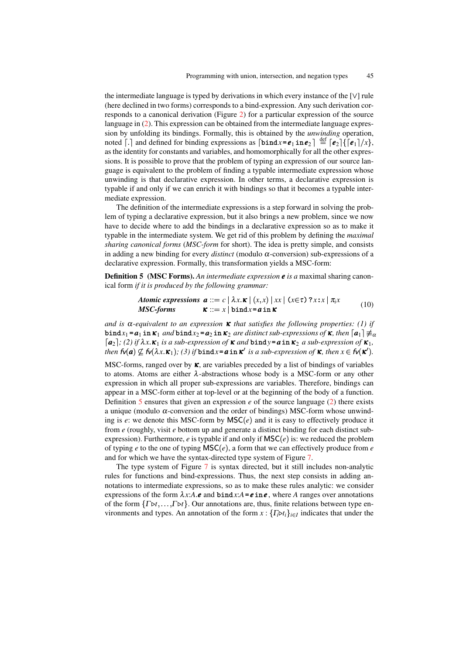the intermediate language is typed by derivations in which every instance of the [∨] rule (here declined in two forms) corresponds to a bind-expression. Any such derivation corresponds to a canonical derivation (Figure [2\)](#page-20-1) for a particular expression of the source language in [\(2\)](#page-15-2). This expression can be obtained from the intermediate language expression by unfolding its bindings. Formally, this is obtained by the *unwinding* operation, noted  $\lceil . \rceil$  and defined for binding expressions as  $\lceil \text{bind} \, x = e_1 \, \text{in} \, e_2 \rceil \, \lceil \frac{\text{def}}{e_2} \rceil \{ \lceil e_1 \rceil / x \},\$ as the identity for constants and variables, and homomorphically for all the other expressions. It is possible to prove that the problem of typing an expression of our source language is equivalent to the problem of finding a typable intermediate expression whose unwinding is that declarative expression. In other terms, a declarative expression is typable if and only if we can enrich it with bindings so that it becomes a typable intermediate expression.

The definition of the intermediate expressions is a step forward in solving the problem of typing a declarative expression, but it also brings a new problem, since we now have to decide where to add the bindings in a declarative expression so as to make it typable in the intermediate system. We get rid of this problem by defining the *maximal sharing canonical forms* (*MSC-form* for short). The idea is pretty simple, and consists in adding a new binding for every *distinct* (modulo  $\alpha$ -conversion) sub-expressions of a declarative expression. Formally, this transformation yields a MSC-form:

Definition 5 (MSC Forms). *An intermediate expression e is a* maximal sharing canonical form *if it is produced by the following grammar:*

<span id="page-44-0"></span>*Atomic expressions* 
$$
\boldsymbol{a} ::= c | \lambda x. \boldsymbol{\kappa} | (x, x) | xx | (x \in \tau) ? x : x | \pi_i x
$$
  
*MSC-forms*  $\boldsymbol{\kappa} ::= x | \text{bind} x = \boldsymbol{a} \text{ in } \boldsymbol{\kappa}$  (10)

*and is*  $\alpha$ -equivalent to an expression **k** that satisfies the following properties: (1) if  $\text{bind} x_1 = a_1$  in  $\kappa_1$  *and*  $\text{bind} x_2 = a_2$  in  $\kappa_2$  *are distinct sub-expressions of*  $\kappa$ *, then*  $[a_1] \neq \alpha$  $[a_2]$ ; (2) if  $\lambda x$ . $\kappa_1$  *is a sub-expression of*  $\kappa$  *and* bind  $y = a$  in  $\kappa_2$  *a sub-expression of*  $\kappa_1$ , *then*  $f\nu(a) \nsubseteq f\nu(\lambda x.\kappa_1)$ ; (3) if  $bindx = a$  in  $\kappa'$  is a sub-expression of  $\kappa$ , then  $x \in f\nu(\kappa')$ .

MSC-forms, ranged over by  $\kappa$ , are variables preceded by a list of bindings of variables to atoms. Atoms are either λ-abstractions whose body is a MSC-form or any other expression in which all proper sub-expressions are variables. Therefore, bindings can appear in a MSC-form either at top-level or at the beginning of the body of a function. Definition [5](#page-44-0) ensures that given an expression *e* of the source language [\(2\)](#page-15-2) there exists a unique (modulo  $\alpha$ -conversion and the order of bindings) MSC-form whose unwinding is  $e$ : we denote this MSC-form by  $\mathsf{MSC}(e)$  and it is easy to effectively produce it from *e* (roughly, visit *e* bottom up and generate a distinct binding for each distinct subexpression). Furthermore,  $e$  is typable if and only if  $\mathsf{MSC}(e)$  is: we reduced the problem of typing *e* to the one of typing MSC(*e*), a form that we can effectively produce from *e* and for which we have the syntax-directed type system of Figure [7.](#page-43-0)

The type system of Figure [7](#page-43-0) is syntax directed, but it still includes non-analytic rules for functions and bind-expressions. Thus, the next step consists in adding annotations to intermediate expressions, so as to make these rules analytic: we consider expressions of the form  $\lambda x:A.e$  and  $\text{bind } x:A = e \text{ in } e$ , where *A* ranges over annotations of the form {Γ *.t,...,*Γ *.t*}. Our annotations are, thus, finite relations between type environments and types. An annotation of the form  $x: \{ \Gamma_i \triangleright t_i \}_{i \in I}$  indicates that under the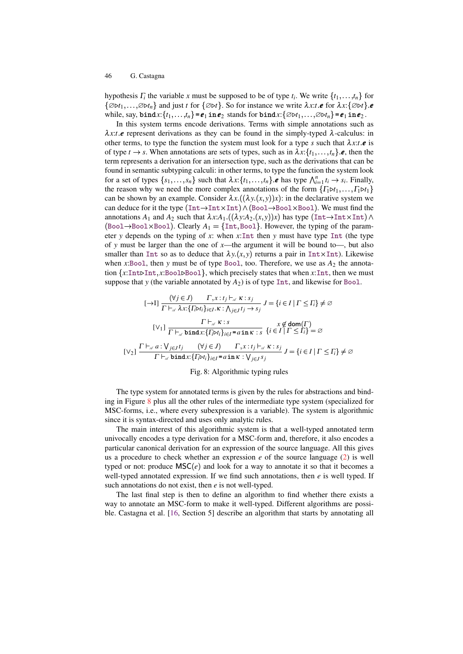hypothesis  $\Gamma$ <sup>*i*</sup> the variable *x* must be supposed to be of type  $t$ <sup>*i*</sup>. We write  $\{t_1, \ldots, t_n\}$  for  $\{\emptyset \cup \{t_1, \ldots, \emptyset \cup \{t_n\}}\}$  and just *t* for  $\{\emptyset \cup t\}$ . So for instance we write  $\lambda x : t \cdot e$  for  $\lambda x : \{\emptyset \cup t\} \cdot e$ while, say,  $\text{bind } x$ : { $t_1, \ldots, t_n$ } =  $e_1$  in  $e_2$  stands for  $\text{bind } x$ : { $\emptyset \triangleright t_1, \ldots, \emptyset \triangleright t_n$ } =  $e_1$  in  $e_2$ .

In this system terms encode derivations. Terms with simple annotations such as  $\lambda x$ :*t*.*e* represent derivations as they can be found in the simply-typed  $\lambda$ -calculus: in other terms, to type the function the system must look for a type *s* such that  $\lambda x$ :*t.e* is of type  $t \to s$ . When annotations are sets of types, such as in  $\lambda x$ :  $\{t_1, \ldots, t_n\}$ .  $e$ , then the term represents a derivation for an intersection type, such as the derivations that can be found in semantic subtyping calculi: in other terms, to type the function the system look for a set of types  $\{s_1, \ldots, s_n\}$  such that  $\lambda x$ : $\{t_1, \ldots, t_n\}$ . *e* has type  $\bigwedge_{i=1}^n t_i \to s_i$ . Finally, the reason why we need the more complex annotations of the form  $\{\Gamma_1 \triangleright t_1, \ldots, \Gamma_l \triangleright t_1\}$ can be shown by an example. Consider  $\lambda x$ .  $((\lambda y)(x)(x))x$ : in the declarative system we can deduce for it the type (Int→Int×Int)∧(Bool→Bool×Bool). We must find the annotations *A*<sub>1</sub> and *A*<sub>2</sub> such that  $\lambda x:A_1$ .( $(\lambda y:A_2,(x,y))x$ ) has type (Int→Int×Int)∧  $(Bool \rightarrow Bool \times Bool)$ . Clearly  $A_1 = \{Int, Bool\}$ . However, the typing of the parameter *y* depends on the typing of *x*: when *x*:Int then *y* must have type Int (the type of *y* must be larger than the one of *x*—the argument it will be bound to—, but also smaller than Int so as to deduce that  $\lambda y(x, y)$  returns a pair in Int $\times$ Int). Likewise when *x*:Bool, then *y* must be of type Bool, too. Therefore, we use as  $A_2$  the annotation  $\{x:\text{Int}\triangleright\text{Int}, x:\text{Bool}\triangleright\text{Bool}\}$ , which precisely states that when *x*:Int, then we must suppose that *y* (the variable annotated by  $A_2$ ) is of type Int, and likewise for Bool.

<span id="page-45-0"></span>
$$
[\neg \text{I}] \frac{(\forall j \in J) \qquad \Gamma, x : t_j \vdash_{\mathcal{A}} \kappa : s_j}{\Gamma \vdash_{\mathcal{A}} \lambda x : \{I_i \triangleright t_i\}_{i \in I} \cdot \kappa : \bigwedge_{j \in J} t_j \to s_j} J = \{i \in I \mid \Gamma \leq I_i\} \neq \emptyset
$$
\n
$$
[\vee_1] \frac{\Gamma \vdash_{\mathcal{A}} \kappa : s}{\Gamma \vdash_{\mathcal{A}} \text{ bind } x : \{I_i \triangleright t_i\}_{i \in I} = a \text{ in } \kappa : s} \{i \in I \mid \Gamma \leq I_i\} = \emptyset
$$
\n
$$
[\vee_2] \frac{\Gamma \vdash_{\mathcal{A}} a : \bigvee_{j \in J} t_j \qquad (\forall j \in J) \qquad \Gamma, x : t_j \vdash_{\mathcal{A}} \kappa : s_j}{\Gamma \vdash_{\mathcal{A}} \text{ bind } x : \{I_i \triangleright t_i\}_{i \in I} = a \text{ in } \kappa : \bigvee_{j \in J} s_j} J = \{i \in I \mid \Gamma \leq I_i\} \neq \emptyset
$$

#### Fig. 8: Algorithmic typing rules

The type system for annotated terms is given by the rules for abstractions and binding in Figure [8](#page-45-0) plus all the other rules of the intermediate type system (specialized for MSC-forms, i.e., where every subexpression is a variable). The system is algorithmic since it is syntax-directed and uses only analytic rules.

The main interest of this algorithmic system is that a well-typed annotated term univocally encodes a type derivation for a MSC-form and, therefore, it also encodes a particular canonical derivation for an expression of the source language. All this gives us a procedure to check whether an expression  $e$  of the source language  $(2)$  is well typed or not: produce  $\mathsf{MSC}(e)$  and look for a way to annotate it so that it becomes a well-typed annotated expression. If we find such annotations, then *e* is well typed. If such annotations do not exist, then *e* is not well-typed.

The last final step is then to define an algorithm to find whether there exists a way to annotate an MSC-form to make it well-typed. Different algorithms are possible. Castagna et al. [\[16,](#page-55-1) Section 5] describe an algorithm that starts by annotating all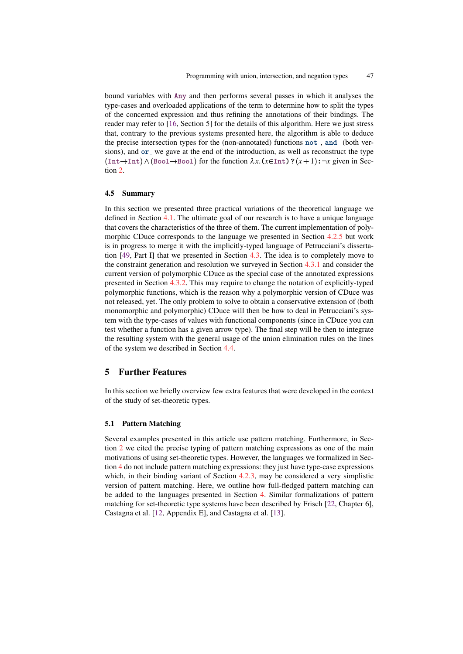bound variables with Any and then performs several passes in which it analyses the type-cases and overloaded applications of the term to determine how to split the types of the concerned expression and thus refining the annotations of their bindings. The reader may refer to [\[16,](#page-55-1) Section 5] for the details of this algorithm. Here we just stress that, contrary to the previous systems presented here, the algorithm is able to deduce the precise intersection types for the (non-annotated) functions  $not$ , and (both versions), and  $or_$  we gave at the end of the introduction, as well as reconstruct the type  $(\text{Int}\rightarrow\text{Int})\wedge(\text{Bool}\rightarrow\text{Bool})$  for the function  $\lambda x$ *.*( $x\in\text{Int}$ )?( $x+1$ ):¬*x* given in Section [2.](#page-3-0)

## 4.5 Summary

In this section we presented three practical variations of the theoretical language we defined in Section [4.1.](#page-15-1) The ultimate goal of our research is to have a unique language that covers the characteristics of the three of them. The current implementation of polymorphic CDuce corresponds to the language we presented in Section [4.2.5](#page-27-1) but work is in progress to merge it with the implicitly-typed language of Petrucciani's dissertation [\[49,](#page-57-14) Part I] that we presented in Section [4.3.](#page-30-0) The idea is to completely move to the constraint generation and resolution we surveyed in Section [4.3.1](#page-33-1) and consider the current version of polymorphic CDuce as the special case of the annotated expressions presented in Section [4.3.2.](#page-38-0) This may require to change the notation of explicitly-typed polymorphic functions, which is the reason why a polymorphic version of CDuce was not released, yet. The only problem to solve to obtain a conservative extension of (both monomorphic and polymorphic) CDuce will then be how to deal in Petrucciani's system with the type-cases of values with functional components (since in CDuce you can test whether a function has a given arrow type). The final step will be then to integrate the resulting system with the general usage of the union elimination rules on the lines of the system we described in Section [4.4.](#page-40-0)

# 5 Further Features

In this section we briefly overview few extra features that were developed in the context of the study of set-theoretic types.

## <span id="page-46-0"></span>5.1 Pattern Matching

Several examples presented in this article use pattern matching. Furthermore, in Section [2](#page-3-0) we cited the precise typing of pattern matching expressions as one of the main motivations of using set-theoretic types. However, the languages we formalized in Section [4](#page-15-0) do not include pattern matching expressions: they just have type-case expressions which, in their binding variant of Section [4.2.3,](#page-25-2) may be considered a very simplistic version of pattern matching. Here, we outline how full-fledged pattern matching can be added to the languages presented in Section [4.](#page-15-0) Similar formalizations of pattern matching for set-theoretic type systems have been described by Frisch [\[22,](#page-56-14) Chapter 6], Castagna et al. [\[12,](#page-55-8) Appendix E], and Castagna et al. [\[13\]](#page-55-9).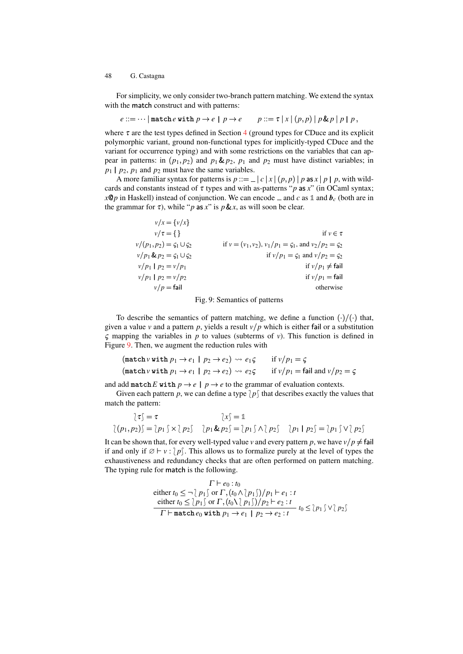For simplicity, we only consider two-branch pattern matching. We extend the syntax with the match construct and with patterns:

 $e$  ::= ··· | match *e* with  $p \rightarrow e$  |  $p \rightarrow e$   $p$  ::=  $\tau |x| (p, p) | p \& p | p | p$ ,

where  $\tau$  are the test types defined in Section [4](#page-15-0) (ground types for CDuce and its explicit polymorphic variant, ground non-functional types for implicitly-typed CDuce and the variant for occurrence typing) and with some restrictions on the variables that can appear in patterns: in  $(p_1, p_2)$  and  $p_1 \& p_2$ ,  $p_1$  and  $p_2$  must have distinct variables; in  $p_1$  |  $p_2$ ,  $p_1$  and  $p_2$  must have the same variables.

A more familiar syntax for patterns is  $p ::= \perp |c|x|(p, p) | p \text{ as } x | p | p$ , with wildcards and constants instead of  $\tau$  types and with as-patterns "*p* as *x*" (in OCaml syntax;  $x \mathbb{Q} p$  in Haskell) instead of conjunction. We can encode  $\equiv$  and *c* as 1 and *b<sub>c</sub>* (both are in the grammar for  $\tau$ ), while "*p* as *x*" is  $p \& x$ , as will soon be clear.

<span id="page-47-0"></span>

|                                                                  | $v/x = \{v/x\}$                       |
|------------------------------------------------------------------|---------------------------------------|
| if $v \in \tau$                                                  | $v/\tau = \{\}\$                      |
| if $v = (v_1, v_2), v_1/p_1 = \zeta_1$ , and $v_2/p_2 = \zeta_2$ | $v/(p_1, p_2) = \zeta_1 \cup \zeta_2$ |
| if $v/p_1 = \zeta_1$ and $v/p_2 = \zeta_2$                       | $v/p_1 \& p_2 = \zeta_1 \cup \zeta_2$ |
| if $v/p_1 \neq \text{fail}$                                      | $v/p_1   p_2 = v/p_1$                 |
| if $v/p_1 = \text{fail}$                                         | $v/p_1   p_2 = v/p_2$                 |
| otherwise                                                        | $v/p = \text{fail}$                   |

#### Fig. 9: Semantics of patterns

To describe the semantics of pattern matching, we define a function  $(\cdot)/(\cdot)$  that, given a value  $\nu$  and a pattern  $p$ , yields a result  $\nu/p$  which is either fail or a substitution ς mapping the variables in *p* to values (subterms of *v*). This function is defined in Figure [9.](#page-47-0) Then, we augment the reduction rules with

$$
(\text{match } v \text{ with } p_1 \to e_1 \mid p_2 \to e_2) \rightsquigarrow e_1 \varsigma \quad \text{if } v/p_1 = \varsigma
$$
\n
$$
(\text{match } v \text{ with } p_1 \to e_1 \mid p_2 \to e_2) \rightsquigarrow e_2 \varsigma \quad \text{if } v/p_1 = \text{fail and } v/p_2 = \varsigma
$$

and add match *E* with  $p \rightarrow e \mid p \rightarrow e$  to the grammar of evaluation contexts.

Given each pattern *p*, we can define a type  $\frac{1}{p}$  that describes exactly the values that match the pattern:

$$
\begin{aligned}\n\{ \tau \} &= \tau & \{ x \} = \mathbb{1} \\
\{ (p_1, p_2) \} &= \{ p_1 \} \times \{ p_2 \} & \{ p_1 \& p_2 \} = \{ p_1 \} \wedge \{ p_2 \} & \{ p_1 \mid p_2 \} = \{ p_1 \} \vee \{ p_2 \}\n\end{aligned}
$$

It can be shown that, for every well-typed value *v* and every pattern *p*, we have  $v/p \neq \text{fail}$ if and only if  $\emptyset \vdash v : \mathcal{p}$ . This allows us to formalize purely at the level of types the exhaustiveness and redundancy checks that are often performed on pattern matching. The typing rule for match is the following.

$$
\Gamma \vdash e_0 : t_0
$$
\n
$$
\text{either } t_0 \leq \neg \{p_1\} \text{ or } \Gamma, (t_0 \land \{p_1\})/p_1 \vdash e_1 : t
$$
\n
$$
\text{either } t_0 \leq \{p_1\} \text{ or } \Gamma, (t_0 \land \{p_1\})/p_2 \vdash e_2 : t
$$
\n
$$
\Gamma \vdash \text{match } e_0 \text{ with } p_1 \to e_1 \mid p_2 \to e_2 : t
$$
\n
$$
t_0 \leq \{p_1\} \lor \{p_2\}
$$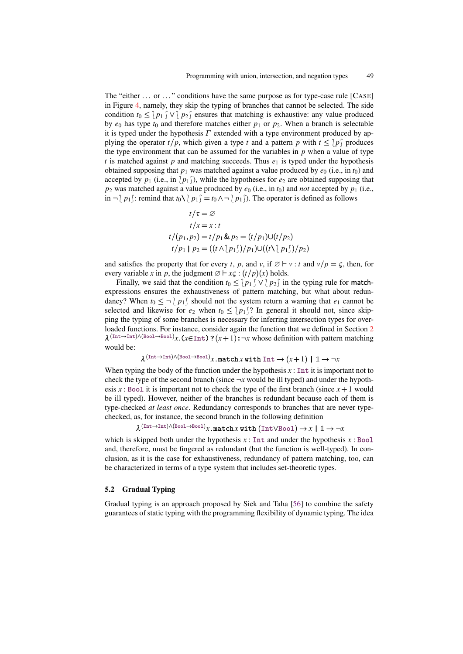The "either ... or ..." conditions have the same purpose as for type-case rule [CASE] in Figure [4,](#page-32-0) namely, they skip the typing of branches that cannot be selected. The side condition  $t_0 \leq \langle p_1 \rangle \vee \langle p_2 \rangle$  ensures that matching is exhaustive: any value produced by  $e_0$  has type  $t_0$  and therefore matches either  $p_1$  or  $p_2$ . When a branch is selectable it is typed under the hypothesis  $\Gamma$  extended with a type environment produced by applying the operator  $t/p$ , which given a type *t* and a pattern *p* with  $t \leq \lfloor p \rfloor$  produces the type environment that can be assumed for the variables in  $p$  when a value of type *t* is matched against *p* and matching succeeds. Thus  $e_1$  is typed under the hypothesis obtained supposing that  $p_1$  was matched against a value produced by  $e_0$  (i.e., in  $t_0$ ) and accepted by  $p_1$  (i.e., in  $\langle p_1 \rangle$ ), while the hypotheses for  $e_2$  are obtained supposing that  $p_2$  was matched against a value produced by  $e_0$  (i.e., in  $t_0$ ) and *not* accepted by  $p_1$  (i.e., in  $\neg \partial p_1$ : remind that  $t_0 \setminus \partial p_1 = t_0 \land \neg \partial p_1$ . The operator is defined as follows

$$
t/\tau = \varnothing
$$
  
\n
$$
t/x = x : t
$$
  
\n
$$
t/(p_1, p_2) = t/p_1 \& p_2 = (t/p_1) \cup (t/p_2)
$$
  
\n
$$
t/p_1 | p_2 = ((t \wedge p_1))/p_1) \cup ((t \wedge p_1))/p_2)
$$

and satisfies the property that for every *t*, *p*, and *v*, if  $\emptyset \vdash v : t$  and  $v/p = \varsigma$ , then, for every variable *x* in *p*, the judgment  $\emptyset \vdash x \varsigma : (t/p)(x)$  holds.

Finally, we said that the condition  $t_0 \leq \hat{p}_1 \hat{y} \vee \hat{p}_2 \hat{y}$  in the typing rule for matchexpressions ensures the exhaustiveness of pattern matching, but what about redundancy? When  $t_0 \leq -\frac{\gamma}{\rho_1}$  should not the system return a warning that  $e_1$  cannot be selected and likewise for  $e_2$  when  $t_0 \leq p_1$ ? In general it should not, since skipping the typing of some branches is necessary for inferring intersection types for overloaded functions. For instance, consider again the function that we defined in Section [2](#page-3-0) λ (Int→Int)∧(Bool→Bool) *x.*(*x*∈Int) ?(*x*+1):¬*x* whose definition with pattern matching would be:

```
\lambda<sup>(Int→Int)∧(Bool→Bool)</sup>x.match x with Int \rightarrow (x+1) | 1 \rightarrow \neg x
```
When typing the body of the function under the hypothesis  $x :$  Int it is important not to check the type of the second branch (since  $\neg x$  would be ill typed) and under the hypothesis  $x : \text{Bool}$  it is important not to check the type of the first branch (since  $x + 1$  would be ill typed). However, neither of the branches is redundant because each of them is type-checked *at least once*. Redundancy corresponds to branches that are never typechecked, as, for instance, the second branch in the following definition

 $\lambda^{(\text{Int}\rightarrow\text{Int})\land(\text{Bool}\rightarrow\text{Bool})}$ *x* .match *x* with  $(\text{Int}\lor\text{Bool})\rightarrow x\mid \mathbb{1}\rightarrow\neg x$ 

which is skipped both under the hypothesis  $x$  : Int and under the hypothesis  $x$  : Bool and, therefore, must be fingered as redundant (but the function is well-typed). In conclusion, as it is the case for exhaustiveness, redundancy of pattern matching, too, can be characterized in terms of a type system that includes set-theoretic types.

#### <span id="page-48-0"></span>5.2 Gradual Typing

Gradual typing is an approach proposed by Siek and Taha [\[56\]](#page-58-6) to combine the safety guarantees of static typing with the programming flexibility of dynamic typing. The idea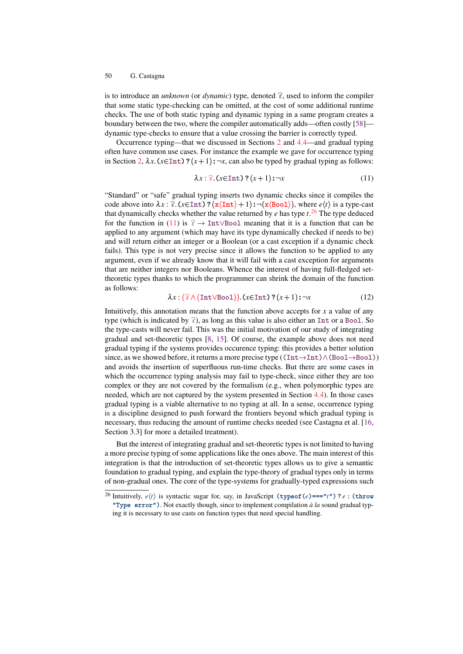is to introduce an *unknown* (or *dynamic*) type, denoted **?**, used to inform the compiler that some static type-checking can be omitted, at the cost of some additional runtime checks. The use of both static typing and dynamic typing in a same program creates a boundary between the two, where the compiler automatically adds—often costly [\[58\]](#page-58-7) dynamic type-checks to ensure that a value crossing the barrier is correctly typed.

Occurrence typing—that we discussed in Sections [2](#page-3-0) and [4.4—](#page-40-0)and gradual typing often have common use cases. For instance the example we gave for occurrence typing in Section [2,](#page-3-0)  $\lambda x$ . ( $x \in Int$ )?  $(x+1)$ : ¬*x*, can also be typed by gradual typing as follows:

<span id="page-49-1"></span>
$$
\lambda x: \mathbb{R}.(x \in \text{Int}) ?(x+1): \neg x \tag{11}
$$

"Standard" or "safe" gradual typing inserts two dynamic checks since it compiles the code above into  $\lambda x : \mathcal{E}.(x \in \text{Int})$  ?  $(x \langle \text{Int} \rangle + 1) : \neg(x \langle \text{Bool} \rangle)$ , where  $e\langle t \rangle$  is a type-cast that dynamically checks whether the value returned by *e* has type *t*. [26](#page-49-0) The type deduced for the function in [\(11\)](#page-49-1) is **?** → Int∨Bool meaning that it is a function that can be applied to any argument (which may have its type dynamically checked if needs to be) and will return either an integer or a Boolean (or a cast exception if a dynamic check fails). This type is not very precise since it allows the function to be applied to any argument, even if we already know that it will fail with a cast exception for arguments that are neither integers nor Booleans. Whence the interest of having full-fledged settheoretic types thanks to which the programmer can shrink the domain of the function as follows:

<span id="page-49-2"></span>
$$
\lambda x : (\mathfrak{F} \wedge (\text{IntVBool})) \cdot (x \in \text{Int}) ?(x+1) : \neg x \tag{12}
$$

Intuitively, this annotation means that the function above accepts for *x* a value of any type (which is indicated by **?**), as long as this value is also either an Int or a Bool. So the type-casts will never fail. This was the initial motivation of our study of integrating gradual and set-theoretic types [\[8,](#page-55-10) [15\]](#page-55-11). Of course, the example above does not need gradual typing if the systems provides occurence typing: this provides a better solution since, as we showed before, it returns a more precise type ((Int→Int)∧(Bool→Bool)) and avoids the insertion of superfluous run-time checks. But there are some cases in which the occurrence typing analysis may fail to type-check, since either they are too complex or they are not covered by the formalism (e.g., when polymorphic types are needed, which are not captured by the system presented in Section [4.4\)](#page-40-0). In those cases gradual typing is a viable alternative to no typing at all. In a sense, occurrence typing is a discipline designed to push forward the frontiers beyond which gradual typing is necessary, thus reducing the amount of runtime checks needed (see Castagna et al. [\[16,](#page-55-1) Section 3.3] for more a detailed treatment).

But the interest of integrating gradual and set-theoretic types is not limited to having a more precise typing of some applications like the ones above. The main interest of this integration is that the introduction of set-theoretic types allows us to give a semantic foundation to gradual typing, and explain the type-theory of gradual types only in terms of non-gradual ones. The core of the type-systems for gradually-typed expressions such

<span id="page-49-0"></span><sup>&</sup>lt;sup>26</sup> Intuitively,  $e(t)$  is syntactic sugar for, say, in JavaScript (typeof( $e$ )===" $t^*$ ") ?  $e$  : (throw "Type error"). Not exactly though, since to implement compilation  $\dot{a}$  la sound gradual typing it is necessary to use casts on function types that need special handling.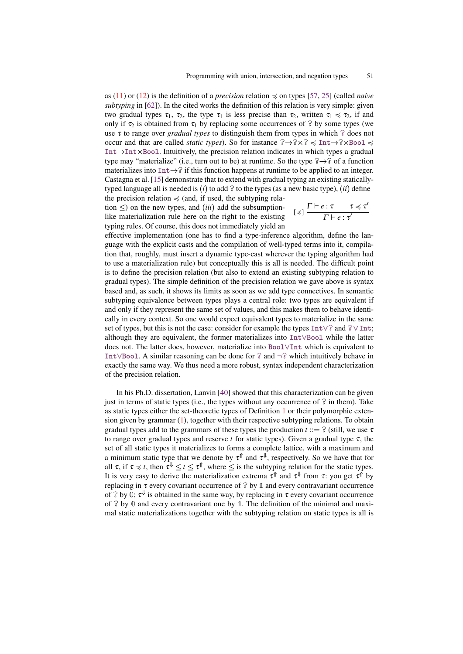as [\(11\)](#page-49-1) or [\(12\)](#page-49-2) is the definition of a *precision* relation  $\preccurlyeq$  on types [\[57,](#page-58-8) [25\]](#page-56-16) (called *naive subtyping* in [\[62\]](#page-58-9)). In the cited works the definition of this relation is very simple: given two gradual types  $\tau_1$ ,  $\tau_2$ , the type  $\tau_1$  is less precise than  $\tau_2$ , written  $\tau_1 \preccurlyeq \tau_2$ , if and only if  $\tau_2$  is obtained from  $\tau_1$  by replacing some occurrences of  $\hat{\epsilon}$  by some types (we use τ to range over *gradual types* to distinguish them from types in which **?** does not occur and that are called *static types*). So for instance  $\mathcal{P}\rightarrow\mathcal{P}\times\mathcal{P}\leq\mathcal{F}$  Int→ $\mathcal{P}\times\mathcal{P}$ bool  $\preccurlyeq$ Int→Int×Bool. Intuitively, the precision relation indicates in which types a gradual type may "materialize" (i.e., turn out to be) at runtime. So the type  $\hat{\epsilon} \rightarrow \hat{\epsilon}$  of a function materializes into Int→**?** if this function happens at runtime to be applied to an integer. Castagna et al. [\[15\]](#page-55-11) demonstrate that to extend with gradual typing an existing staticallytyped language all is needed is (*i*) to add **?** to the types (as a new basic type), (*ii*) define the precision relation  $\preccurlyeq$  (and, if used, the subtyping rela-

tion ≤) on the new types, and (*iii*) add the subsumptionlike materialization rule here on the right to the existing typing rules. Of course, this does not immediately yield an  $[\preccurlyeq] \frac{\Gamma \vdash e : \tau \qquad \tau \preccurlyeq \tau'}{\Gamma \vdash e \qquad \tau}$  $\overline{\Gamma \vdash e : \tau'}$ 

effective implementation (one has to find a type-inference algorithm, define the language with the explicit casts and the compilation of well-typed terms into it, compilation that, roughly, must insert a dynamic type-cast wherever the typing algorithm had to use a materialization rule) but conceptually this is all is needed. The difficult point is to define the precision relation (but also to extend an existing subtyping relation to gradual types). The simple definition of the precision relation we gave above is syntax based and, as such, it shows its limits as soon as we add type connectives. In semantic subtyping equivalence between types plays a central role: two types are equivalent if and only if they represent the same set of values, and this makes them to behave identically in every context. So one would expect equivalent types to materialize in the same set of types, but this is not the case: consider for example the types Int∨**?** and **?**∨Int; although they are equivalent, the former materializes into Int∨Bool while the latter does not. The latter does, however, materialize into Bool∨Int which is equivalent to Int∨Bool. A similar reasoning can be done for **?** and ¬**?** which intuitively behave in exactly the same way. We thus need a more robust, syntax independent characterization of the precision relation.

In his Ph.D. dissertation, Lanvin [\[40\]](#page-57-16) showed that this characterization can be given just in terms of static types (i.e., the types without any occurrence of **?** in them). Take as static types either the set-theoretic types of Definition [1](#page-11-1) or their polymorphic extension given by grammar [\(1\)](#page-13-3), together with their respective subtyping relations. To obtain gradual types add to the grammars of these types the production  $t ::= \hat{\epsilon}$  (still, we use  $\tau$ to range over gradual types and reserve *t* for static types). Given a gradual type  $\tau$ , the set of all static types it materializes to forms a complete lattice, with a maximum and a minimum static type that we denote by  $\tau$ <sup> $\Uparrow$ </sup> and  $\tau^{\Downarrow}$ , respectively. So we have that for all  $\tau$ , if  $\tau \preccurlyeq t$ , then  $\tau^{\Downarrow} \le t \le \tau^{\Uparrow}$ , where  $\le$  is the subtyping relation for the static types. It is very easy to derive the materialization extrema  $\tau$ <sup> $\uparrow$ </sup> and  $\tau^{\downarrow}$  from  $\tau$ : you get  $\tau^{\uparrow}$  by replacing in τ every covariant occurrence of **?** by **1** and every contravariant occurrence of  $\hat{\ }$  by  $\mathbb{0}$ ;  $\tau^{\Downarrow}$  is obtained in the same way, by replacing in  $\tau$  every covariant occurrence of **?** by **0** and every contravariant one by **1**. The definition of the minimal and maximal static materializations together with the subtyping relation on static types is all is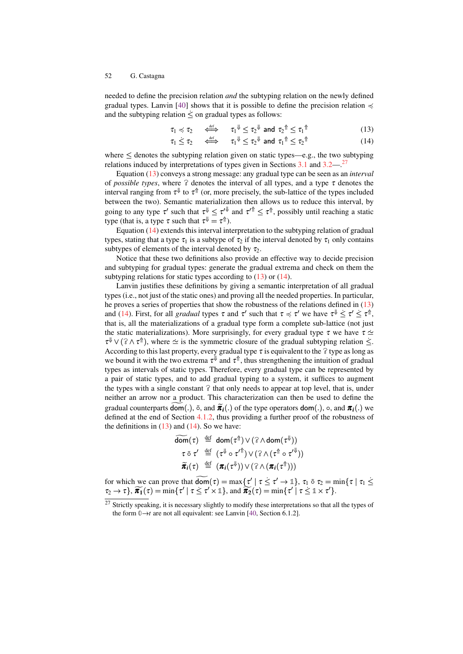needed to define the precision relation *and* the subtyping relation on the newly defined gradual types. Lanvin [\[40\]](#page-57-16) shows that it is possible to define the precision relation  $\preccurlyeq$ and the subtyping relation  $\leq$  on gradual types as follows:

<span id="page-51-1"></span>
$$
\tau_1 \preccurlyeq \tau_2 \quad \stackrel{\text{def}}{\iff} \quad \tau_1^{\Downarrow} \le \tau_2^{\Downarrow} \text{ and } \tau_2^{\Uparrow} \le \tau_1^{\Uparrow} \tag{13}
$$

$$
\tau_1 \leq \tau_2 \quad \iff \quad \tau_1^{\psi} \leq \tau_2^{\psi} \text{ and } \tau_1^{\psi} \leq \tau_2^{\psi} \tag{14}
$$

where  $\leq$  denotes the subtyping relation given on static types—e.g., the two subtyping relations induced by interpretations of types given in Sections  $3.1$  and  $3.2$ — $^{27}$  $^{27}$  $^{27}$ 

Equation [\(13\)](#page-51-1) conveys a strong message: any gradual type can be seen as an *interval* of *possible types*, where  $\hat{\epsilon}$  denotes the interval of all types, and a type  $\tau$  denotes the interval ranging from  $\tau^{\Downarrow}$  to  $\tau^{\Uparrow}$  (or, more precisely, the sub-lattice of the types included between the two). Semantic materialization then allows us to reduce this interval, by going to any type  $\tau'$  such that  $\tau^{\Downarrow} \leq \tau'^{\Downarrow}$  and  $\tau'^{\Uparrow} \leq \tau^{\Uparrow}$ , possibly until reaching a static type (that is, a type  $\tau$  such that  $\tau^{\Downarrow} = \tau^{\Uparrow}$ ).

Equation [\(14\)](#page-51-1) extends this interval interpretation to the subtyping relation of gradual types, stating that a type  $\tau_1$  is a subtype of  $\tau_2$  if the interval denoted by  $\tau_1$  only contains subtypes of elements of the interval denoted by  $\tau_2$ .

Notice that these two definitions also provide an effective way to decide precision and subtyping for gradual types: generate the gradual extrema and check on them the subtyping relations for static types according to  $(13)$  or  $(14)$ .

Lanvin justifies these definitions by giving a semantic interpretation of all gradual types (i.e., not just of the static ones) and proving all the needed properties. In particular, he proves a series of properties that show the robustness of the relations defined in [\(13\)](#page-51-1) and [\(14\)](#page-51-1). First, for all *gradual* types  $\tau$  and  $\tau'$  such that  $\tau \preccurlyeq \tau'$  we have  $\tau^{\Downarrow} \leq \tau' \leq \tau^{\Uparrow}$ , that is, all the materializations of a gradual type form a complete sub-lattice (not just the static materializations). More surprisingly, for every gradual type  $\tau$  we have  $\tau \simeq$  $\tau^{\Downarrow} \vee (\mathcal{P} \wedge \tau^{\Uparrow})$ , where  $\cong$  is the symmetric closure of the gradual subtyping relation  $\leq$ . According to this last property, every gradual type  $\tau$  is equivalent to the  $\hat{\tau}$  type as long as we bound it with the two extrema  $\tau^{\Downarrow}$  and  $\tau^{\Uparrow}$ , thus strengthening the intuition of gradual types as intervals of static types. Therefore, every gradual type can be represented by a pair of static types, and to add gradual typing to a system, it suffices to augment the types with a single constant **?** that only needs to appear at top level, that is, under neither an arrow nor a product. This characterization can then be used to define the gradual counterparts dom(*.*),  $\tilde{\sigma}$ , and  $\tilde{\pi}_i(.)$  of the type operators dom(*.*),  $\circ$ , and  $\pi_i(.)$  we defined at the end of Section [4.1.2,](#page-19-1) thus providing a further proof of the robustness of the definitions in  $(13)$  and  $(14)$ . So we have:

$$
\overline{\text{dom}}(\tau) \stackrel{\text{def}}{=} \text{dom}(\tau^{\uparrow}) \vee (\widehat{\mathcal{E}} \wedge \text{dom}(\tau^{\Downarrow}))
$$
\n
$$
\tau \circ \tau' \stackrel{\text{def}}{=} (\tau^{\Downarrow} \circ \tau'^{\uparrow}) \vee (\widehat{\mathcal{E}} \wedge (\tau^{\Uparrow} \circ \tau'^{\Downarrow}))
$$
\n
$$
\widetilde{\pi}_i(\tau) \stackrel{\text{def}}{=} (\pi_i(\tau^{\Downarrow})) \vee (\widehat{\mathcal{E}} \wedge (\pi_i(\tau^{\Uparrow})))
$$

for which we can prove that  $\overline{\text{dom}}(\tau) = \max \{\tau' | \tau \leq \tau' \to \mathbb{1}\}, \tau_1 \circ \tau_2 = \min \{\tau | \tau_1 \leq \tau' \leq \tau' \}$  $\tau_2 \to \tau$ },  $\widetilde{\pi_1}(\tau) = \min\{\tau' \mid \tau \leq \tau' \times \mathbb{1}\},\$ and  $\widetilde{\pi_2}(\tau) = \min\{\tau' \mid \tau \leq \mathbb{1} \times \tau'\}.$ 

<span id="page-51-0"></span><sup>&</sup>lt;sup>27</sup> Strictly speaking, it is necessary slightly to modify these interpretations so that all the types of the form  $0 \rightarrow t$  are not all equivalent: see Lanvin [\[40,](#page-57-16) Section 6.1.2].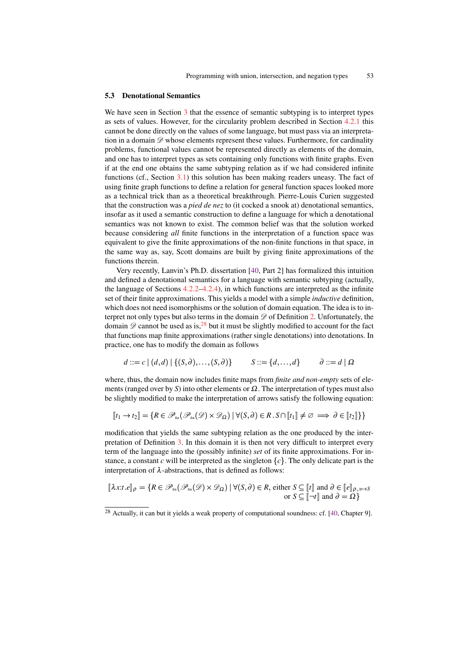#### <span id="page-52-0"></span>5.3 Denotational Semantics

We have seen in Section [3](#page-9-0) that the essence of semantic subtyping is to interpret types as sets of values. However, for the circularity problem described in Section [4.2.1](#page-22-0) this cannot be done directly on the values of some language, but must pass via an interpretation in a domain  $D$  whose elements represent these values. Furthermore, for cardinality problems, functional values cannot be represented directly as elements of the domain, and one has to interpret types as sets containing only functions with finite graphs. Even if at the end one obtains the same subtyping relation as if we had considered infinite functions (cf., Section [3.1\)](#page-10-0) this solution has been making readers uneasy. The fact of using finite graph functions to define a relation for general function spaces looked more as a technical trick than as a theoretical breakthrough. Pierre-Louis Curien suggested that the construction was a *pied de nez* to (it cocked a snook at) denotational semantics, insofar as it used a semantic construction to define a language for which a denotational semantics was not known to exist. The common belief was that the solution worked because considering *all* finite functions in the interpretation of a function space was equivalent to give the finite approximations of the non-finite functions in that space, in the same way as, say, Scott domains are built by giving finite approximations of the functions therein.

Very recently, Lanvin's Ph.D. dissertation [\[40,](#page-57-16) Part 2] has formalized this intuition and defined a denotational semantics for a language with semantic subtyping (actually, the language of Sections [4.2.2](#page-23-0)[–4.2.4\)](#page-26-0), in which functions are interpreted as the infinite set of their finite approximations. This yields a model with a simple *inductive* definition, which does not need isomorphisms or the solution of domain equation. The idea is to interpret not only types but also terms in the domain  $\mathscr{D}$  of Definition [2.](#page-11-0) Unfortunately, the domain  $\mathscr D$  cannot be used as is,  $^{28}$  $^{28}$  $^{28}$  but it must be slightly modified to account for the fact that functions map finite approximations (rather single denotations) into denotations. In practice, one has to modify the domain as follows

$$
d ::= c \mid (d,d) \mid \{(S,\partial),\ldots,(S,\partial)\} \qquad S ::= \{d,\ldots,d\} \qquad \partial ::= d \mid \Omega
$$

where, thus, the domain now includes finite maps from *finite and non-empty* sets of elements (ranged over by *S*) into other elements or  $\Omega$ . The interpretation of types must also be slightly modified to make the interpretation of arrows satisfy the following equation:

$$
\llbracket t_1 \to t_2 \rrbracket = \{ R \in \mathscr{P}_{\text{fin}}(\mathscr{P}_{\text{fin}}(\mathscr{D}) \times \mathscr{D}_{\Omega}) \mid \forall (S, \partial) \in R \,.\, S \cap \llbracket t_1 \rrbracket \neq \varnothing \implies \partial \in \llbracket t_2 \rrbracket \} \}
$$

modification that yields the same subtyping relation as the one produced by the interpretation of Definition [3.](#page-13-0) In this domain it is then not very difficult to interpret every term of the language into the (possibly infinite) *set* of its finite approximations. For instance, a constant *c* will be interpreted as the singleton  $\{c\}$ . The only delicate part is the interpretation of  $\lambda$ -abstractions, that is defined as follows:

$$
[\![\lambda x : t \cdot e]\!]_{\rho} = \{R \in \mathscr{P}_{\text{fin}}(\mathscr{P}_{\text{fin}}(\mathscr{D}) \times \mathscr{D}_{\Omega}) \mid \forall (S, \partial) \in R, \text{ either } S \subseteq [\![t]\!] \text{ and } \partial \in [\![e]\!]_{\rho, x \mapsto S}
$$
  
or  $S \subseteq [\![\neg t]\!]$  and  $\partial = \Omega\}$ 

<span id="page-52-1"></span><sup>28</sup> Actually, it can but it yields a weak property of computational soundness: cf. [\[40,](#page-57-16) Chapter 9].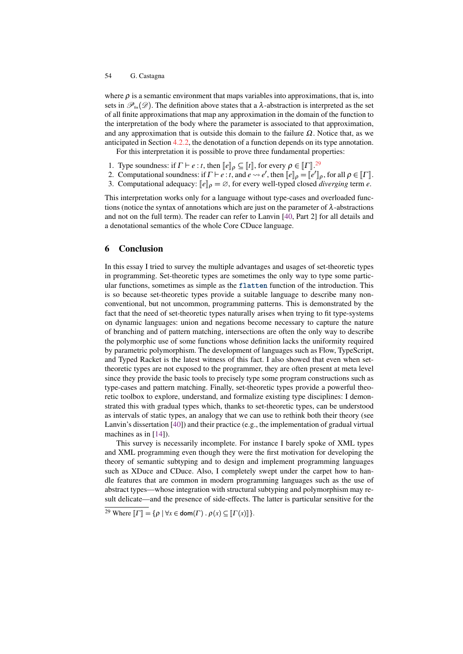where  $\rho$  is a semantic environment that maps variables into approximations, that is, into sets in  $\mathscr{P}_{\text{fin}}(\mathscr{D})$ . The definition above states that a  $\lambda$ -abstraction is interpreted as the set of all finite approximations that map any approximation in the domain of the function to the interpretation of the body where the parameter is associated to that approximation, and any approximation that is outside this domain to the failure  $\Omega$ . Notice that, as we anticipated in Section [4.2.2,](#page-23-0) the denotation of a function depends on its type annotation.

For this interpretation it is possible to prove three fundamental properties:

- 1. Type soundness: if  $\Gamma \vdash e : t$ , then  $\llbracket e \rrbracket \rho \subseteq \llbracket t \rrbracket$ , for every  $\rho \in \llbracket \Gamma \rrbracket^{29}$  $\rho \in \llbracket \Gamma \rrbracket^{29}$  $\rho \in \llbracket \Gamma \rrbracket^{29}$ .<br>2. Computational soundness: if  $\Gamma \vdash e : t$ , and  $e \otimes e'$ , then  $\llbracket e \rrbracket = \llbracket e \rrbracket$
- 2. Computational soundness: if  $\Gamma \vdash e : t$ , and  $e \leadsto e'$ , then  $[[e]]_p = [[e']_p)$ , for all  $\rho \in [[\Gamma]]$ .<br>3. Computational adequacy:  $[[e]] = \alpha$  for every well-typed closed *diversing term e*.
- 3. Computational adequacy:  $\llbracket e \rrbracket_{\rho} = \varnothing$ , for every well-typed closed *diverging* term *e*.

This interpretation works only for a language without type-cases and overloaded functions (notice the syntax of annotations which are just on the parameter of  $\lambda$ -abstractions and not on the full term). The reader can refer to Lanvin [\[40,](#page-57-16) Part 2] for all details and a denotational semantics of the whole Core CDuce language.

## 6 Conclusion

In this essay I tried to survey the multiple advantages and usages of set-theoretic types in programming. Set-theoretic types are sometimes the only way to type some particular functions, sometimes as simple as the flatten function of the introduction. This is so because set-theoretic types provide a suitable language to describe many nonconventional, but not uncommon, programming patterns. This is demonstrated by the fact that the need of set-theoretic types naturally arises when trying to fit type-systems on dynamic languages: union and negations become necessary to capture the nature of branching and of pattern matching, intersections are often the only way to describe the polymorphic use of some functions whose definition lacks the uniformity required by parametric polymorphism. The development of languages such as Flow, TypeScript, and Typed Racket is the latest witness of this fact. I also showed that even when settheoretic types are not exposed to the programmer, they are often present at meta level since they provide the basic tools to precisely type some program constructions such as type-cases and pattern matching. Finally, set-theoretic types provide a powerful theoretic toolbox to explore, understand, and formalize existing type disciplines: I demonstrated this with gradual types which, thanks to set-theoretic types, can be understood as intervals of static types, an analogy that we can use to rethink both their theory (see Lanvin's dissertation [\[40\]](#page-57-16)) and their practice (e.g., the implementation of gradual virtual machines as in [\[14\]](#page-55-12)).

This survey is necessarily incomplete. For instance I barely spoke of XML types and XML programming even though they were the first motivation for developing the theory of semantic subtyping and to design and implement programming languages such as XDuce and CDuce. Also, I completely swept under the carpet how to handle features that are common in modern programming languages such as the use of abstract types—whose integration with structural subtyping and polymorphism may result delicate—and the presence of side-effects. The latter is particular sensitive for the

<span id="page-53-0"></span><sup>&</sup>lt;sup>29</sup> Where  $\llbracket \Gamma \rrbracket = \{ \rho \mid \forall x \in \text{dom}(\Gamma) \cdot \rho(x) \subseteq \llbracket \Gamma(x) \rrbracket \}.$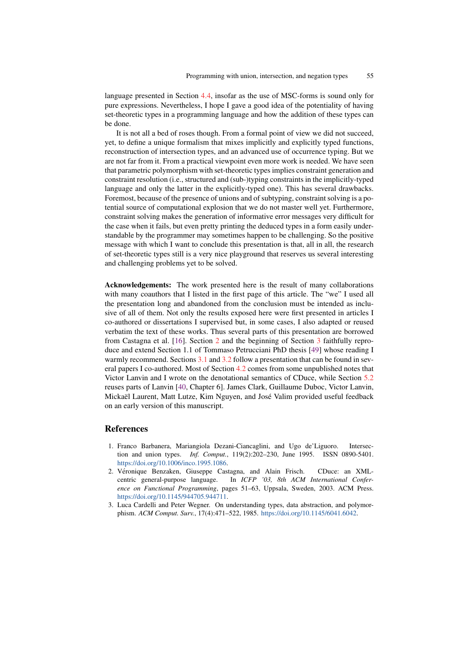language presented in Section [4.4,](#page-40-0) insofar as the use of MSC-forms is sound only for pure expressions. Nevertheless, I hope I gave a good idea of the potentiality of having set-theoretic types in a programming language and how the addition of these types can be done.

It is not all a bed of roses though. From a formal point of view we did not succeed, yet, to define a unique formalism that mixes implicitly and explicitly typed functions, reconstruction of intersection types, and an advanced use of occurrence typing. But we are not far from it. From a practical viewpoint even more work is needed. We have seen that parametric polymorphism with set-theoretic types implies constraint generation and constraint resolution (i.e., structured and (sub-)typing constraints in the implicitly-typed language and only the latter in the explicitly-typed one). This has several drawbacks. Foremost, because of the presence of unions and of subtyping, constraint solving is a potential source of computational explosion that we do not master well yet. Furthermore, constraint solving makes the generation of informative error messages very difficult for the case when it fails, but even pretty printing the deduced types in a form easily understandable by the programmer may sometimes happen to be challenging. So the positive message with which I want to conclude this presentation is that, all in all, the research of set-theoretic types still is a very nice playground that reserves us several interesting and challenging problems yet to be solved.

Acknowledgements: The work presented here is the result of many collaborations with many coauthors that I listed in the first page of this article. The "we" I used all the presentation long and abandoned from the conclusion must be intended as inclusive of all of them. Not only the results exposed here were first presented in articles I co-authored or dissertations I supervised but, in some cases, I also adapted or reused verbatim the text of these works. Thus several parts of this presentation are borrowed from Castagna et al. [\[16\]](#page-55-1). Section [2](#page-3-0) and the beginning of Section [3](#page-9-0) faithfully reproduce and extend Section 1.1 of Tommaso Petrucciani PhD thesis [\[49\]](#page-57-14) whose reading I warmly recommend. Sections [3.1](#page-10-0) and [3.2](#page-13-2) follow a presentation that can be found in several papers I co-authored. Most of Section [4.2](#page-22-1) comes from some unpublished notes that Victor Lanvin and I wrote on the denotational semantics of CDuce, while Section [5.2](#page-48-0) reuses parts of Lanvin [\[40,](#page-57-16) Chapter 6]. James Clark, Guillaume Duboc, Victor Lanvin, Mickaël Laurent, Matt Lutze, Kim Nguyen, and José Valim provided useful feedback on an early version of this manuscript.

## References

- <span id="page-54-1"></span>1. Franco Barbanera, Mariangiola Dezani-Ciancaglini, and Ugo de'Liguoro. Intersection and union types. *Inf. Comput.*, 119(2):202–230, June 1995. ISSN 0890-5401. [https://doi.org/10.1006/inco.1995.1086.](https://doi.org/10.1006/inco.1995.1086)
- <span id="page-54-2"></span>2. Véronique Benzaken, Giuseppe Castagna, and Alain Frisch. CDuce: an XMLcentric general-purpose language. In *ICFP '03, 8th ACM International Conference on Functional Programming*, pages 51–63, Uppsala, Sweden, 2003. ACM Press. [https://doi.org/10.1145/944705.944711.](https://doi.org/10.1145/944705.944711)
- <span id="page-54-0"></span>3. Luca Cardelli and Peter Wegner. On understanding types, data abstraction, and polymorphism. *ACM Comput. Surv.*, 17(4):471–522, 1985. [https://doi.org/10.1145/6041.6042.](https://doi.org/10.1145/6041.6042)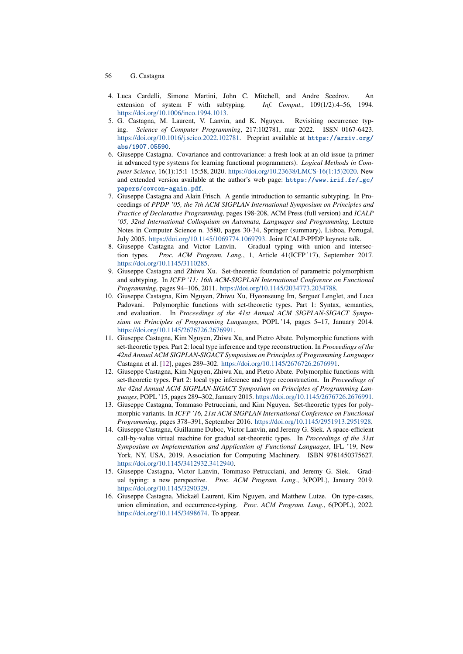- 56 G. Castagna
- <span id="page-55-2"></span>4. Luca Cardelli, Simone Martini, John C. Mitchell, and Andre Scedrov. An extension of system F with subtyping. *Inf. Comput.*, 109(1/2):4–56, 1994. [https://doi.org/10.1006/inco.1994.1013.](https://doi.org/10.1006/inco.1994.1013)
- <span id="page-55-0"></span>5. G. Castagna, M. Laurent, V. Lanvin, and K. Nguyen. Revisiting occurrence typing. *Science of Computer Programming*, 217:102781, mar 2022. ISSN 0167-6423. [https://doi.org/10.1016/j.scico.2022.102781.](https://doi.org/10.1016/j.scico.2022.102781) Preprint available at [https://arxiv.org/](https://arxiv.org/abs/1907.05590) [abs/1907.05590](https://arxiv.org/abs/1907.05590).
- <span id="page-55-5"></span>6. Giuseppe Castagna. Covariance and controvariance: a fresh look at an old issue (a primer in advanced type systems for learning functional programmers). *Logical Methods in Computer Science*, 16(1):15:1–15:58, 2020. [https://doi.org/10.23638/LMCS-16\(1:15\)2020.](https://doi.org/10.23638/LMCS-16(1:15)2020) New and extended version available at the author's web page: [https://www.irif.fr/~gc/](https://www.irif.fr/~gc/papers/covcon-again.pdf) [papers/covcon-again.pdf](https://www.irif.fr/~gc/papers/covcon-again.pdf).
- <span id="page-55-4"></span>7. Giuseppe Castagna and Alain Frisch. A gentle introduction to semantic subtyping. In Proceedings of *PPDP '05, the 7th ACM SIGPLAN International Symposium on Principles and Practice of Declarative Programming,* pages 198-208, ACM Press (full version) and *ICALP '05, 32nd International Colloquium on Automata, Languages and Programming,* Lecture Notes in Computer Science n. 3580, pages 30-34, Springer (summary), Lisboa, Portugal, July 2005. [https://doi.org/10.1145/1069774.1069793.](https://doi.org/10.1145/1069774.1069793) Joint ICALP-PPDP keynote talk.<br>8. Giuseppe Castagna and Victor Lanvin. Gradual typing with union and inter
- <span id="page-55-10"></span>Gradual typing with union and intersection types. *Proc. ACM Program. Lang.*, 1, Article 41(ICFP '17), September 2017. [https://doi.org/10.1145/3110285.](https://doi.org/10.1145/3110285)
- <span id="page-55-6"></span>9. Giuseppe Castagna and Zhiwu Xu. Set-theoretic foundation of parametric polymorphism and subtyping. In *ICFP '11: 16th ACM-SIGPLAN International Conference on Functional Programming*, pages 94–106, 2011. [https://doi.org/10.1145/2034773.2034788.](https://doi.org/10.1145/2034773.2034788)
- <span id="page-55-7"></span>10. Giuseppe Castagna, Kim Nguyen, Zhiwu Xu, Hyeonseung Im, Sergueï Lenglet, and Luca Padovani. Polymorphic functions with set-theoretic types. Part 1: Syntax, semantics, and evaluation. In *Proceedings of the 41st Annual ACM SIGPLAN-SIGACT Symposium on Principles of Programming Languages*, POPL '14, pages 5–17, January 2014. [https://doi.org/10.1145/2676726.2676991.](https://doi.org/10.1145/2676726.2676991)
- <span id="page-55-3"></span>11. Giuseppe Castagna, Kim Nguyen, Zhiwu Xu, and Pietro Abate. Polymorphic functions with set-theoretic types. Part 2: local type inference and type reconstruction. In *Proceedings of the 42nd Annual ACM SIGPLAN-SIGACT Symposium on Principles of Programming Languages* Castagna et al. [\[12\]](#page-55-8), pages 289–302. [https://doi.org/10.1145/2676726.2676991.](https://doi.org/10.1145/2676726.2676991)
- <span id="page-55-8"></span>12. Giuseppe Castagna, Kim Nguyen, Zhiwu Xu, and Pietro Abate. Polymorphic functions with set-theoretic types. Part 2: local type inference and type reconstruction. In *Proceedings of the 42nd Annual ACM SIGPLAN-SIGACT Symposium on Principles of Programming Languages*, POPL '15, pages 289–302, January 2015. [https://doi.org/10.1145/2676726.2676991.](https://doi.org/10.1145/2676726.2676991)
- <span id="page-55-9"></span>13. Giuseppe Castagna, Tommaso Petrucciani, and Kim Nguyen. Set-theoretic types for polymorphic variants. In *ICFP '16, 21st ACM SIGPLAN International Conference on Functional Programming*, pages 378–391, September 2016. [https://doi.org/10.1145/2951913.2951928.](https://doi.org/10.1145/2951913.2951928)
- <span id="page-55-12"></span>14. Giuseppe Castagna, Guillaume Duboc, Victor Lanvin, and Jeremy G. Siek. A space-efficient call-by-value virtual machine for gradual set-theoretic types. In *Proceedings of the 31st Symposium on Implementation and Application of Functional Languages*, IFL '19, New York, NY, USA, 2019. Association for Computing Machinery. ISBN 9781450375627. [https://doi.org/10.1145/3412932.3412940.](https://doi.org/10.1145/3412932.3412940)
- <span id="page-55-11"></span>15. Giuseppe Castagna, Victor Lanvin, Tommaso Petrucciani, and Jeremy G. Siek. Gradual typing: a new perspective. *Proc. ACM Program. Lang.*, 3(POPL), January 2019. [https://doi.org/10.1145/3290329.](https://doi.org/10.1145/3290329)
- <span id="page-55-1"></span>16. Giuseppe Castagna, Mickaël Laurent, Kim Nguyen, and Matthew Lutze. On type-cases, union elimination, and occurrence-typing. *Proc. ACM Program. Lang.*, 6(POPL), 2022. [https://doi.org/10.1145/3498674.](https://doi.org/10.1145/3498674) To appear.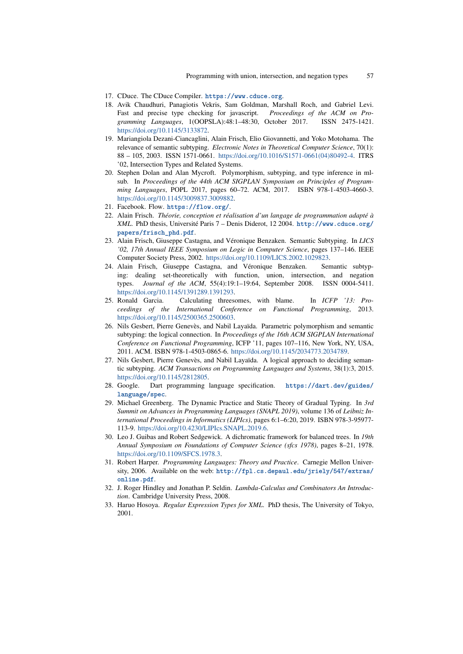- <span id="page-56-1"></span>17. CDuce. The CDuce Compiler. <https://www.cduce.org>.
- <span id="page-56-4"></span>18. Avik Chaudhuri, Panagiotis Vekris, Sam Goldman, Marshall Roch, and Gabriel Levi. Fast and precise type checking for javascript. *Proceedings of the ACM on Programming Languages*, 1(OOPSLA):48:1–48:30, October 2017. ISSN 2475-1421. [https://doi.org/10.1145/3133872.](https://doi.org/10.1145/3133872)
- <span id="page-56-11"></span>19. Mariangiola Dezani-Ciancaglini, Alain Frisch, Elio Giovannetti, and Yoko Motohama. The relevance of semantic subtyping. *Electronic Notes in Theoretical Computer Science*, 70(1): 88 – 105, 2003. ISSN 1571-0661. [https://doi.org/10.1016/S1571-0661\(04\)80492-4.](https://doi.org/10.1016/S1571-0661(04)80492-4) ITRS '02, Intersection Types and Related Systems.
- <span id="page-56-15"></span>20. Stephen Dolan and Alan Mycroft. Polymorphism, subtyping, and type inference in mlsub. In *Proceedings of the 44th ACM SIGPLAN Symposium on Principles of Programming Languages*, POPL 2017, pages 60–72. ACM, 2017. ISBN 978-1-4503-4660-3. [https://doi.org/10.1145/3009837.3009882.](https://doi.org/10.1145/3009837.3009882)
- <span id="page-56-3"></span>21. Facebook. Flow. <https://flow.org/>.
- <span id="page-56-14"></span>22. Alain Frisch. *Theorie, conception et r ´ ealisation d'un langage de programmation adapt ´ e´ a` XML*. PhD thesis, Université Paris 7 – Denis Diderot, 12 2004. [http://www.cduce.org/](http://www.cduce.org/papers/frisch_phd.pdf) [papers/frisch\\_phd.pdf](http://www.cduce.org/papers/frisch_phd.pdf).
- <span id="page-56-7"></span>23. Alain Frisch, Giuseppe Castagna, and Véronique Benzaken. Semantic Subtyping. In *LICS '02, 17th Annual IEEE Symposium on Logic in Computer Science*, pages 137–146. IEEE Computer Society Press, 2002. [https://doi.org/10.1109/LICS.2002.1029823.](https://doi.org/10.1109/LICS.2002.1029823)
- <span id="page-56-8"></span>24. Alain Frisch, Giuseppe Castagna, and Véronique Benzaken. Semantic subtyping: dealing set-theoretically with function, union, intersection, and negation types. *Journal of the ACM*, 55(4):19:1–19:64, September 2008. ISSN 0004-5411. [https://doi.org/10.1145/1391289.1391293.](https://doi.org/10.1145/1391289.1391293)
- <span id="page-56-16"></span>25. Ronald Garcia. Calculating threesomes, with blame. In *ICFP '13: Proceedings of the International Conference on Functional Programming*, 2013. [https://doi.org/10.1145/2500365.2500603.](https://doi.org/10.1145/2500365.2500603)
- <span id="page-56-9"></span>26. Nils Gesbert, Pierre Genevès, and Nabil Layaïda. Parametric polymorphism and semantic subtyping: the logical connection. In *Proceedings of the 16th ACM SIGPLAN International Conference on Functional Programming*, ICFP '11, pages 107–116, New York, NY, USA, 2011. ACM. ISBN 978-1-4503-0865-6. [https://doi.org/10.1145/2034773.2034789.](https://doi.org/10.1145/2034773.2034789)
- <span id="page-56-10"></span>27. Nils Gesbert, Pierre Genevès, and Nabil Layaïda. A logical approach to deciding semantic subtyping. *ACM Transactions on Programming Languages and Systems*, 38(1):3, 2015. [https://doi.org/10.1145/2812805.](https://doi.org/10.1145/2812805)
- <span id="page-56-5"></span>28. Google. Dart programming language specification. [https://dart.dev/guides/](https://dart.dev/guides/language/spec) [language/spec](https://dart.dev/guides/language/spec).
- <span id="page-56-0"></span>29. Michael Greenberg. The Dynamic Practice and Static Theory of Gradual Typing. In *3rd Summit on Advances in Programming Languages (SNAPL 2019)*, volume 136 of *Leibniz International Proceedings in Informatics (LIPIcs)*, pages 6:1–6:20, 2019. ISBN 978-3-95977- 113-9. [https://doi.org/10.4230/LIPIcs.SNAPL.2019.6.](https://doi.org/10.4230/LIPIcs.SNAPL.2019.6)
- <span id="page-56-6"></span>30. Leo J. Guibas and Robert Sedgewick. A dichromatic framework for balanced trees. In *19th Annual Symposium on Foundations of Computer Science (sfcs 1978)*, pages 8–21, 1978. [https://doi.org/10.1109/SFCS.1978.3.](https://doi.org/10.1109/SFCS.1978.3)
- <span id="page-56-2"></span>31. Robert Harper. *Programming Languages: Theory and Practice*. Carnegie Mellon University, 2006. Available on the web: [http://fpl.cs.depaul.edu/jriely/547/extras/](http://fpl.cs.depaul.edu/jriely/547/extras/online.pdf) [online.pdf](http://fpl.cs.depaul.edu/jriely/547/extras/online.pdf).
- <span id="page-56-12"></span>32. J. Roger Hindley and Jonathan P. Seldin. *Lambda-Calculus and Combinators An Introduction*. Cambridge University Press, 2008.
- <span id="page-56-13"></span>33. Haruo Hosoya. *Regular Expression Types for XML*. PhD thesis, The University of Tokyo, 2001.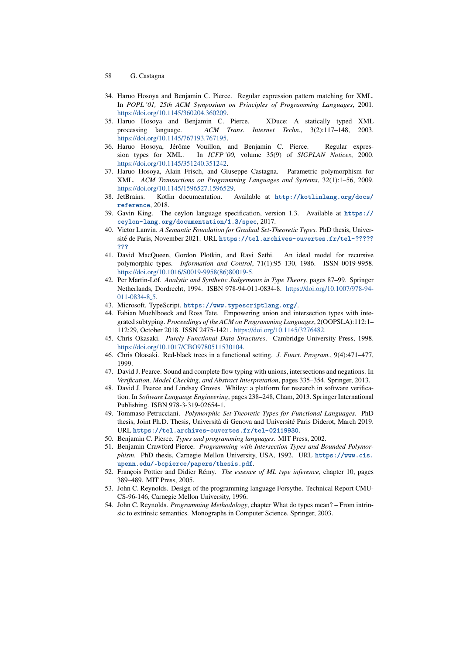- 58 G. Castagna
- <span id="page-57-12"></span>34. Haruo Hosoya and Benjamin C. Pierce. Regular expression pattern matching for XML. In *POPL '01, 25th ACM Symposium on Principles of Programming Languages*, 2001. [https://doi.org/10.1145/360204.360209.](https://doi.org/10.1145/360204.360209)
- <span id="page-57-13"></span>35. Haruo Hosoya and Benjamin C. Pierce. XDuce: A statically typed XML processing language. *ACM Trans. Internet Techn.*, 3(2):117–148, 2003. processing language. *ACM Trans. Internet Techn.*, 3(2):117–148, 2003. [https://doi.org/10.1145/767193.767195.](https://doi.org/10.1145/767193.767195)
- <span id="page-57-11"></span>36. Haruo Hosoya, Jérôme Vouillon, and Benjamin C. Pierce. Regular expression types for XML. In *ICFP '00*, volume 35(9) of *SIGPLAN Notices*, 2000. [https://doi.org/10.1145/351240.351242.](https://doi.org/10.1145/351240.351242)
- <span id="page-57-8"></span>37. Haruo Hosoya, Alain Frisch, and Giuseppe Castagna. Parametric polymorphism for XML. *ACM Transactions on Programming Languages and Systems*, 32(1):1–56, 2009. [https://doi.org/10.1145/1596527.1596529.](https://doi.org/10.1145/1596527.1596529)
- <span id="page-57-3"></span>38. JetBrains. Kotlin documentation. Available at [http://kotlinlang.org/docs/](http://kotlinlang.org/docs/reference) [reference](http://kotlinlang.org/docs/reference), 2018.
- <span id="page-57-2"></span>39. Gavin King. The ceylon language specification, version 1.3. Available at [https://](https://ceylon-lang.org/documentation/1.3/spec) [ceylon-lang.org/documentation/1.3/spec](https://ceylon-lang.org/documentation/1.3/spec), 2017.
- <span id="page-57-16"></span>40. Victor Lanvin. *A Semantic Foundation for Gradual Set-Theoretic Types*. PhD thesis, Université de Paris, November 2021. URL [https://tel.archives-ouvertes.fr/tel-?????](https://tel.archives-ouvertes.fr/tel-????????) [???](https://tel.archives-ouvertes.fr/tel-????????)
- <span id="page-57-9"></span>41. David MacQueen, Gordon Plotkin, and Ravi Sethi. An ideal model for recursive polymorphic types. *Information and Control*, 71(1):95–130, 1986. ISSN 0019-9958. [https://doi.org/10.1016/S0019-9958\(86\)80019-5.](https://doi.org/10.1016/S0019-9958(86)80019-5)
- <span id="page-57-10"></span>42. Per Martin-Löf. Analytic and Synthetic Judgements in Type Theory, pages 87–99. Springer Netherlands, Dordrecht, 1994. ISBN 978-94-011-0834-8. [https://doi.org/10.1007/978-94-](https://doi.org/10.1007/978-94-011-0834-8_5) [011-0834-8](https://doi.org/10.1007/978-94-011-0834-8_5) 5.
- <span id="page-57-0"></span>43. Microsoft. TypeScript. <https://www.typescriptlang.org/>.
- <span id="page-57-5"></span>44. Fabian Muehlboeck and Ross Tate. Empowering union and intersection types with integrated subtyping. *Proceedings of the ACM on Programming Languages*, 2(OOPSLA):112:1– 112:29, October 2018. ISSN 2475-1421. [https://doi.org/10.1145/3276482.](https://doi.org/10.1145/3276482)
- <span id="page-57-6"></span>45. Chris Okasaki. *Purely Functional Data Structures*. Cambridge University Press, 1998. [https://doi.org/10.1017/CBO9780511530104.](https://doi.org/10.1017/CBO9780511530104)
- <span id="page-57-7"></span>46. Chris Okasaki. Red-black trees in a functional setting. *J. Funct. Program.*, 9(4):471–477, 1999.
- <span id="page-57-1"></span>47. David J. Pearce. Sound and complete flow typing with unions, intersections and negations. In *Verification, Model Checking, and Abstract Interpretation*, pages 335–354. Springer, 2013.
- <span id="page-57-4"></span>48. David J. Pearce and Lindsay Groves. Whiley: a platform for research in software verification. In *Software Language Engineering*, pages 238–248, Cham, 2013. Springer International Publishing. ISBN 978-3-319-02654-1.
- <span id="page-57-14"></span>49. Tommaso Petrucciani. *Polymorphic Set-Theoretic Types for Functional Languages*. PhD thesis, Joint Ph.D. Thesis, Università di Genova and Université Paris Diderot, March 2019. URL <https://tel.archives-ouvertes.fr/tel-02119930>.
- <span id="page-57-19"></span>50. Benjamin C. Pierce. *Types and programming languages*. MIT Press, 2002.
- <span id="page-57-18"></span>51. Benjamin Crawford Pierce. *Programming with Intersection Types and Bounded Polymorphism*. PhD thesis, Carnegie Mellon University, USA, 1992. URL [https://www.cis.](https://www.cis.upenn.edu/~bcpierce/papers/thesis.pdf) [upenn.edu/~bcpierce/papers/thesis.pdf](https://www.cis.upenn.edu/~bcpierce/papers/thesis.pdf).
- <span id="page-57-20"></span>52. François Pottier and Didier Rémy. The essence of ML type inference, chapter 10, pages 389–489. MIT Press, 2005.
- <span id="page-57-17"></span>53. John C. Reynolds. Design of the programming language Forsythe. Technical Report CMU-CS-96-146, Carnegie Mellon University, 1996.
- <span id="page-57-15"></span>54. John C. Reynolds. *Programming Methodology*, chapter What do types mean? – From intrinsic to extrinsic semantics. Monographs in Computer Science. Springer, 2003.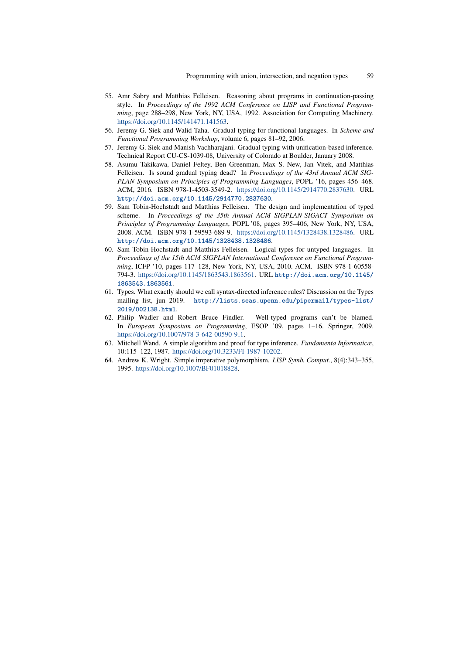- <span id="page-58-5"></span>55. Amr Sabry and Matthias Felleisen. Reasoning about programs in continuation-passing style. In *Proceedings of the 1992 ACM Conference on LISP and Functional Programming*, page 288–298, New York, NY, USA, 1992. Association for Computing Machinery. [https://doi.org/10.1145/141471.141563.](https://doi.org/10.1145/141471.141563)
- <span id="page-58-6"></span>56. Jeremy G. Siek and Walid Taha. Gradual typing for functional languages. In *Scheme and Functional Programming Workshop*, volume 6, pages 81–92, 2006.
- <span id="page-58-8"></span>57. Jeremy G. Siek and Manish Vachharajani. Gradual typing with unification-based inference. Technical Report CU-CS-1039-08, University of Colorado at Boulder, January 2008.
- <span id="page-58-7"></span>58. Asumu Takikawa, Daniel Feltey, Ben Greenman, Max S. New, Jan Vitek, and Matthias Felleisen. Is sound gradual typing dead? In *Proceedings of the 43rd Annual ACM SIG-PLAN Symposium on Principles of Programming Languages*, POPL '16, pages 456–468. ACM, 2016. ISBN 978-1-4503-3549-2. [https://doi.org/10.1145/2914770.2837630.](https://doi.org/10.1145/2914770.2837630) URL <http://doi.acm.org/10.1145/2914770.2837630>.
- <span id="page-58-0"></span>59. Sam Tobin-Hochstadt and Matthias Felleisen. The design and implementation of typed scheme. In *Proceedings of the 35th Annual ACM SIGPLAN-SIGACT Symposium on Principles of Programming Languages*, POPL '08, pages 395–406, New York, NY, USA, 2008. ACM. ISBN 978-1-59593-689-9. [https://doi.org/10.1145/1328438.1328486.](https://doi.org/10.1145/1328438.1328486) URL <http://doi.acm.org/10.1145/1328438.1328486>.
- <span id="page-58-1"></span>60. Sam Tobin-Hochstadt and Matthias Felleisen. Logical types for untyped languages. In *Proceedings of the 15th ACM SIGPLAN International Conference on Functional Programming*, ICFP '10, pages 117–128, New York, NY, USA, 2010. ACM. ISBN 978-1-60558- 794-3. [https://doi.org/10.1145/1863543.1863561.](https://doi.org/10.1145/1863543.1863561) URL [http://doi.acm.org/10.1145/](http://doi.acm.org/10.1145/1863543.1863561) [1863543.1863561](http://doi.acm.org/10.1145/1863543.1863561).
- <span id="page-58-2"></span>61. Types. What exactly should we call syntax-directed inference rules? Discussion on the Types mailing list, jun 2019. [http://lists.seas.upenn.edu/pipermail/types-list/](http://lists.seas.upenn.edu/pipermail/types-list/2019/002138.html) [2019/002138.html](http://lists.seas.upenn.edu/pipermail/types-list/2019/002138.html).
- <span id="page-58-9"></span>62. Philip Wadler and Robert Bruce Findler. Well-typed programs can't be blamed. In *European Symposium on Programming*, ESOP '09, pages 1–16. Springer, 2009. [https://doi.org/10.1007/978-3-642-00590-9](https://doi.org/10.1007/978-3-642-00590-9_1)<sub>-</sub>1.
- <span id="page-58-4"></span>63. Mitchell Wand. A simple algorithm and proof for type inference. *Fundamenta Informaticæ*, 10:115–122, 1987. [https://doi.org/10.3233/FI-1987-10202.](https://doi.org/10.3233/FI-1987-10202)
- <span id="page-58-3"></span>64. Andrew K. Wright. Simple imperative polymorphism. *LISP Symb. Comput.*, 8(4):343–355, 1995. [https://doi.org/10.1007/BF01018828.](https://doi.org/10.1007/BF01018828)